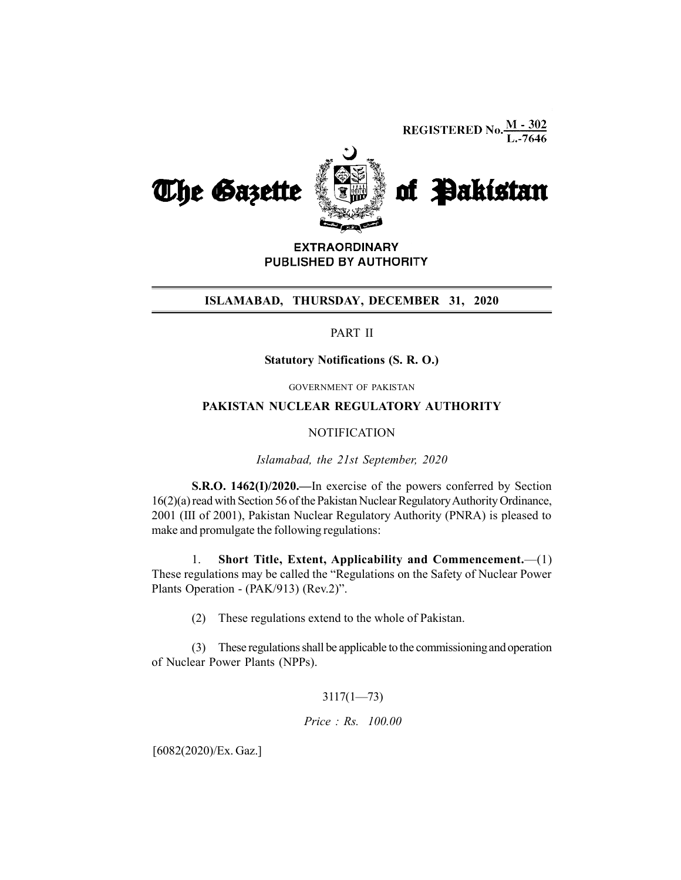**REGISTERED No.**  $\frac{M - 302}{L - 7646}$ 



**EXTRAORDINARY** PUBLISHED BY AUTHORITY

### ISLAMABAD, THURSDAY, DECEMBER 31, 2020

# PART II

#### Statutory Notifications (S. R. O.)

GOVERNMENT OF PAKISTAN

# PAKISTAN NUCLEAR REGULATORY AUTHORITY

#### **NOTIFICATION**

Islamabad, the 21st September, 2020

S.R.O. 1462(I)/2020.—In exercise of the powers conferred by Section 16(2)(a) read with Section 56 of the Pakistan Nuclear Regulatory Authority Ordinance, 2001 (III of 2001), Pakistan Nuclear Regulatory Authority (PNRA) is pleased to make and promulgate the following regulations:

1. Short Title, Extent, Applicability and Commencement.—(1) These regulations may be called the "Regulations on the Safety of Nuclear Power Plants Operation - (PAK/913) (Rev.2)".

(2) These regulations extend to the whole of Pakistan.

(3) These regulations shall be applicable to the commissioning and operation of Nuclear Power Plants (NPPs).

# 3117(1—73)

Price : Rs. 100.00

[6082(2020)/Ex. Gaz.]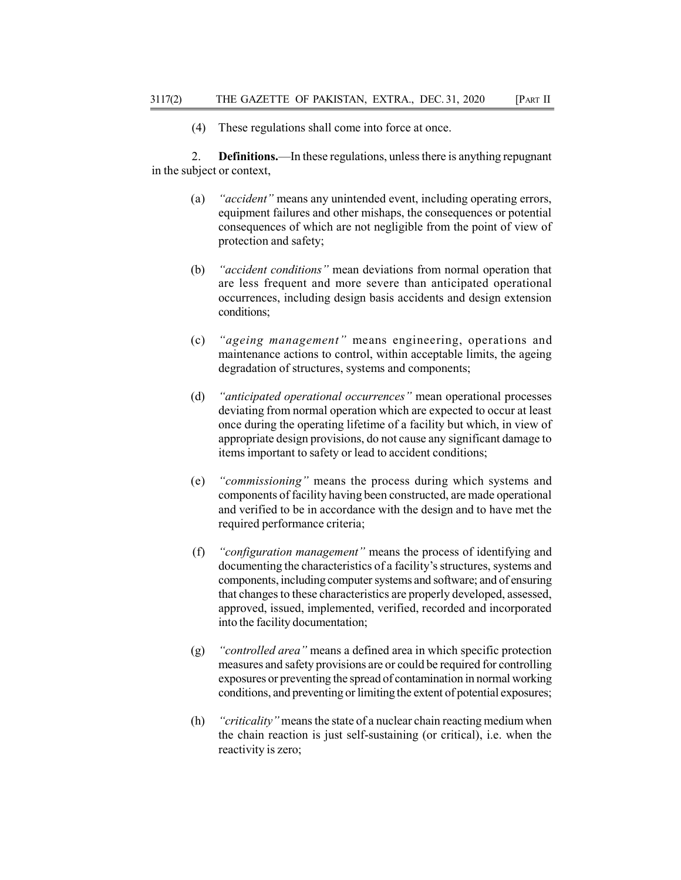(4) These regulations shall come into force at once.

2. Definitions.—In these regulations, unless there is anything repugnant in the subject or context,

- (a) "accident" means any unintended event, including operating errors, equipment failures and other mishaps, the consequences or potential consequences of which are not negligible from the point of view of protection and safety;
- (b) "accident conditions" mean deviations from normal operation that are less frequent and more severe than anticipated operational occurrences, including design basis accidents and design extension conditions;
- (c) "ageing management" means engineering, operations and maintenance actions to control, within acceptable limits, the ageing degradation of structures, systems and components;
- (d) "anticipated operational occurrences" mean operational processes deviating from normal operation which are expected to occur at least once during the operating lifetime of a facility but which, in view of appropriate design provisions, do not cause any significant damage to items important to safety or lead to accident conditions;
- (e) "commissioning" means the process during which systems and components of facility having been constructed, are made operational and verified to be in accordance with the design and to have met the required performance criteria;
- (f) "configuration management" means the process of identifying and documenting the characteristics of a facility's structures, systems and components, including computer systems and software; and of ensuring that changes to these characteristics are properly developed, assessed, approved, issued, implemented, verified, recorded and incorporated into the facility documentation;
- (g) "controlled area" means a defined area in which specific protection measures and safety provisions are or could be required for controlling exposures or preventing the spread of contamination in normal working conditions, and preventing or limiting the extent of potential exposures;
- (h) "criticality" means the state of a nuclear chain reacting medium when the chain reaction is just self-sustaining (or critical), i.e. when the reactivity is zero;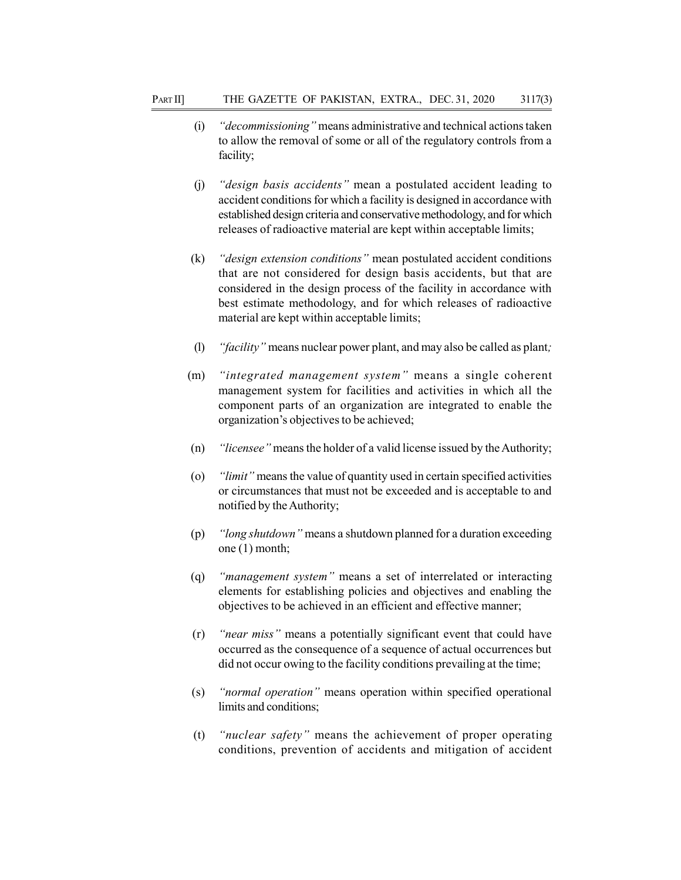- (i) "decommissioning" means administrative and technical actions taken to allow the removal of some or all of the regulatory controls from a facility;
- (j) "design basis accidents" mean a postulated accident leading to accident conditions for which a facility is designed in accordance with established design criteria and conservative methodology, and for which releases of radioactive material are kept within acceptable limits;
- (k) "design extension conditions" mean postulated accident conditions that are not considered for design basis accidents, but that are considered in the design process of the facility in accordance with best estimate methodology, and for which releases of radioactive material are kept within acceptable limits;
- (l) "facility" means nuclear power plant, and may also be called as plant;
- (m) "integrated management system" means a single coherent management system for facilities and activities in which all the component parts of an organization are integrated to enable the organization's objectives to be achieved;
- (n) "licensee" means the holder of a valid license issued by the Authority;
- (o) "limit" means the value of quantity used in certain specified activities or circumstances that must not be exceeded and is acceptable to and notified by the Authority;
- (p) "long shutdown" means a shutdown planned for a duration exceeding one (1) month;
- (q) "management system" means a set of interrelated or interacting elements for establishing policies and objectives and enabling the objectives to be achieved in an efficient and effective manner;
- (r) "near miss" means a potentially significant event that could have occurred as the consequence of a sequence of actual occurrences but did not occur owing to the facility conditions prevailing at the time;
- (s) "normal operation" means operation within specified operational limits and conditions;
- (t) "nuclear safety" means the achievement of proper operating conditions, prevention of accidents and mitigation of accident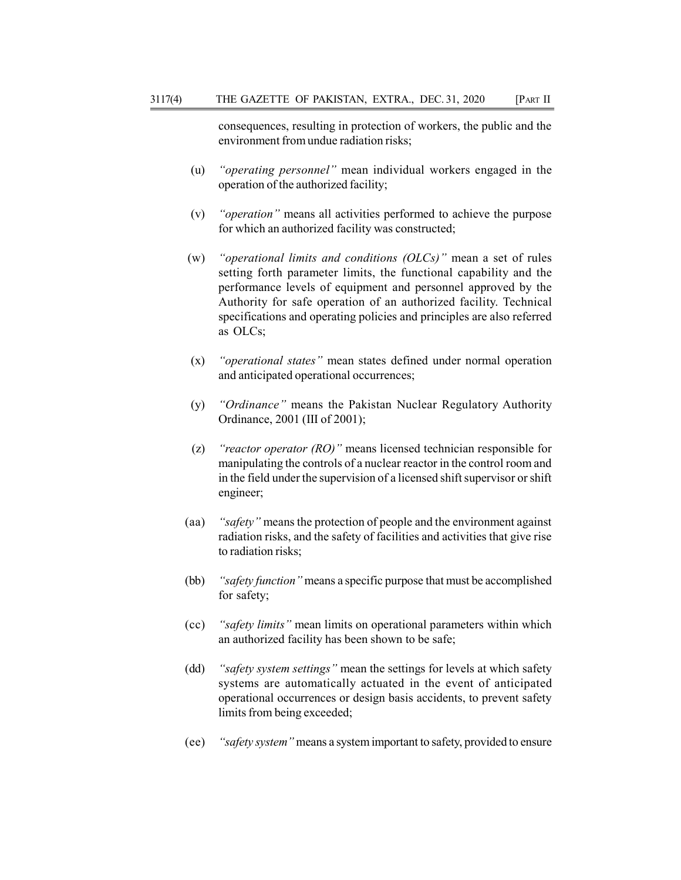consequences, resulting in protection of workers, the public and the environment from undue radiation risks;

- (u) "operating personnel" mean individual workers engaged in the operation of the authorized facility;
- (v) "operation" means all activities performed to achieve the purpose for which an authorized facility was constructed;
- (w) "operational limits and conditions  $(OLCs)$ " mean a set of rules setting forth parameter limits, the functional capability and the performance levels of equipment and personnel approved by the Authority for safe operation of an authorized facility. Technical specifications and operating policies and principles are also referred as OLCs;
- (x) "operational states" mean states defined under normal operation and anticipated operational occurrences;
- (y) "Ordinance" means the Pakistan Nuclear Regulatory Authority Ordinance, 2001 (III of 2001);
- (z) "reactor operator  $(RO)$ " means licensed technician responsible for manipulating the controls of a nuclear reactor in the control room and in the field under the supervision of a licensed shift supervisor or shift engineer;
- (aa) "safety" means the protection of people and the environment against radiation risks, and the safety of facilities and activities that give rise to radiation risks;
- (bb) "safety function" means a specific purpose that must be accomplished for safety;
- (cc) "safety limits" mean limits on operational parameters within which an authorized facility has been shown to be safe;
- (dd) "safety system settings" mean the settings for levels at which safety systems are automatically actuated in the event of anticipated operational occurrences or design basis accidents, to prevent safety limits from being exceeded;
- (ee) "safety system" means a system important to safety, provided to ensure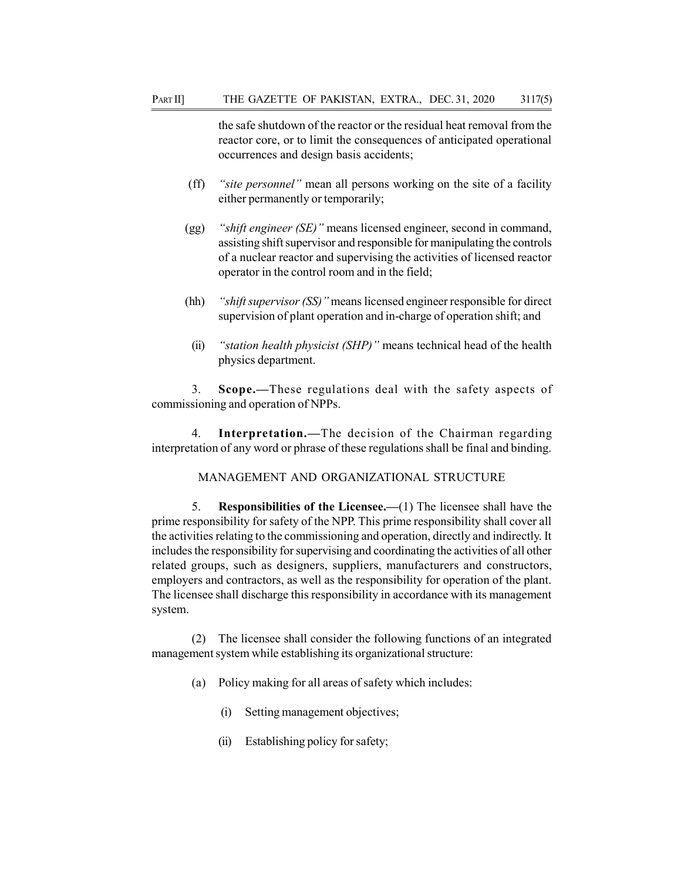the safe shutdown of the reactor or the residual heat removal from the reactor core, or to limit the consequences of anticipated operational occurrences and design basis accidents;

- (ff) "site personnel" mean all persons working on the site of a facility either permanently or temporarily;
- (gg) "shift engineer (SE)" means licensed engineer, second in command, assisting shift supervisor and responsible for manipulating the controls of a nuclear reactor and supervising the activities of licensed reactor operator in the control room and in the field;
- (hh) "shift supervisor  $(SS)$ " means licensed engineer responsible for direct supervision of plant operation and in-charge of operation shift; and
- (ii) "station health physicist (SHP)" means technical head of the health physics department.

3. Scope.—These regulations deal with the safety aspects of commissioning and operation of NPPs.

4. Interpretation.—The decision of the Chairman regarding interpretation of any word or phrase of these regulations shall be final and binding.

### MANAGEMENT AND ORGANIZATIONAL STRUCTURE

5. Responsibilities of the Licensee.—(1) The licensee shall have the prime responsibility for safety of the NPP. This prime responsibility shall cover all the activities relating to the commissioning and operation, directly and indirectly. It includes the responsibility for supervising and coordinating the activities of all other related groups, such as designers, suppliers, manufacturers and constructors, employers and contractors, as well as the responsibility for operation of the plant. The licensee shall discharge this responsibility in accordance with its management system.

(2) The licensee shall consider the following functions of an integrated management system while establishing its organizational structure:

- (a) Policy making for all areas of safety which includes:
	- (i) Setting management objectives;
	- (ii) Establishing policy for safety;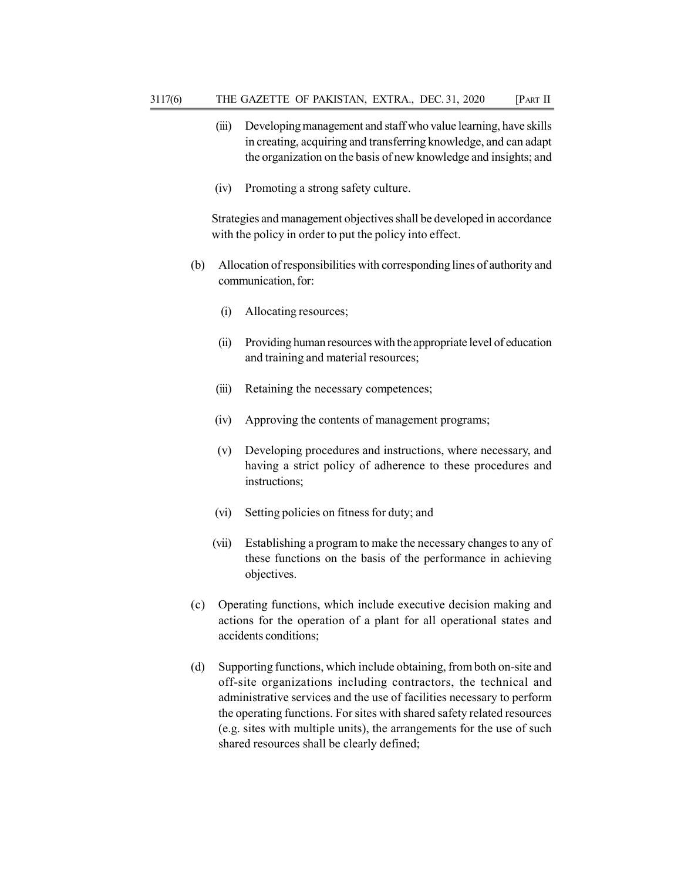- (iii) Developing management and staff who value learning, have skills in creating, acquiring and transferring knowledge, and can adapt the organization on the basis of new knowledge and insights; and
- (iv) Promoting a strong safety culture.

Strategies and management objectives shall be developed in accordance with the policy in order to put the policy into effect.

- (b) Allocation of responsibilities with corresponding lines of authority and communication, for:
	- (i) Allocating resources;
	- (ii) Providing human resources with the appropriate level of education and training and material resources;
	- (iii) Retaining the necessary competences;
	- (iv) Approving the contents of management programs;
	- (v) Developing procedures and instructions, where necessary, and having a strict policy of adherence to these procedures and instructions;
	- (vi) Setting policies on fitness for duty; and
	- (vii) Establishing a program to make the necessary changes to any of these functions on the basis of the performance in achieving objectives.
- (c) Operating functions, which include executive decision making and actions for the operation of a plant for all operational states and accidents conditions;
- (d) Supporting functions, which include obtaining, from both on-site and off-site organizations including contractors, the technical and administrative services and the use of facilities necessary to perform the operating functions. For sites with shared safety related resources (e.g. sites with multiple units), the arrangements for the use of such shared resources shall be clearly defined;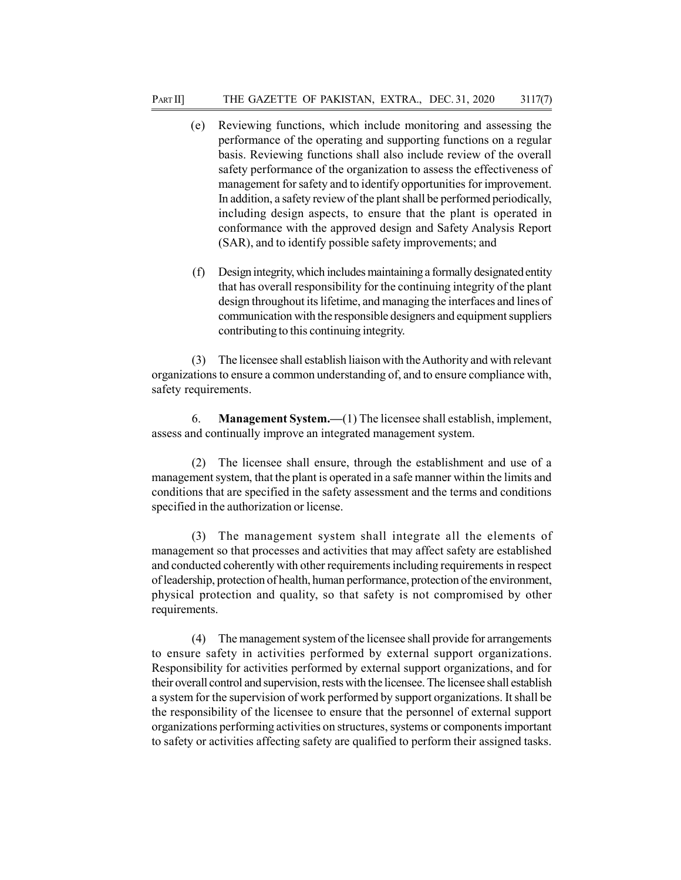- (e) Reviewing functions, which include monitoring and assessing the performance of the operating and supporting functions on a regular basis. Reviewing functions shall also include review of the overall safety performance of the organization to assess the effectiveness of management for safety and to identify opportunities for improvement. In addition, a safety review of the plant shall be performed periodically, including design aspects, to ensure that the plant is operated in conformance with the approved design and Safety Analysis Report (SAR), and to identify possible safety improvements; and
- (f) Design integrity, which includes maintaining a formally designated entity that has overall responsibility for the continuing integrity of the plant design throughout its lifetime, and managing the interfaces and lines of communication with the responsible designers and equipment suppliers contributing to this continuing integrity.

(3) The licensee shall establish liaison with the Authority and with relevant organizations to ensure a common understanding of, and to ensure compliance with, safety requirements.

6. Management System.—(1) The licensee shall establish, implement, assess and continually improve an integrated management system.

(2) The licensee shall ensure, through the establishment and use of a management system, that the plant is operated in a safe manner within the limits and conditions that are specified in the safety assessment and the terms and conditions specified in the authorization or license.

(3) The management system shall integrate all the elements of management so that processes and activities that may affect safety are established and conducted coherently with other requirements including requirements in respect of leadership, protection of health, human performance, protection of the environment, physical protection and quality, so that safety is not compromised by other requirements.

(4) The management system of the licensee shall provide for arrangements to ensure safety in activities performed by external support organizations. Responsibility for activities performed by external support organizations, and for their overall control and supervision, rests with the licensee. The licensee shall establish a system for the supervision of work performed by support organizations. It shall be the responsibility of the licensee to ensure that the personnel of external support organizations performing activities on structures, systems or components important to safety or activities affecting safety are qualified to perform their assigned tasks.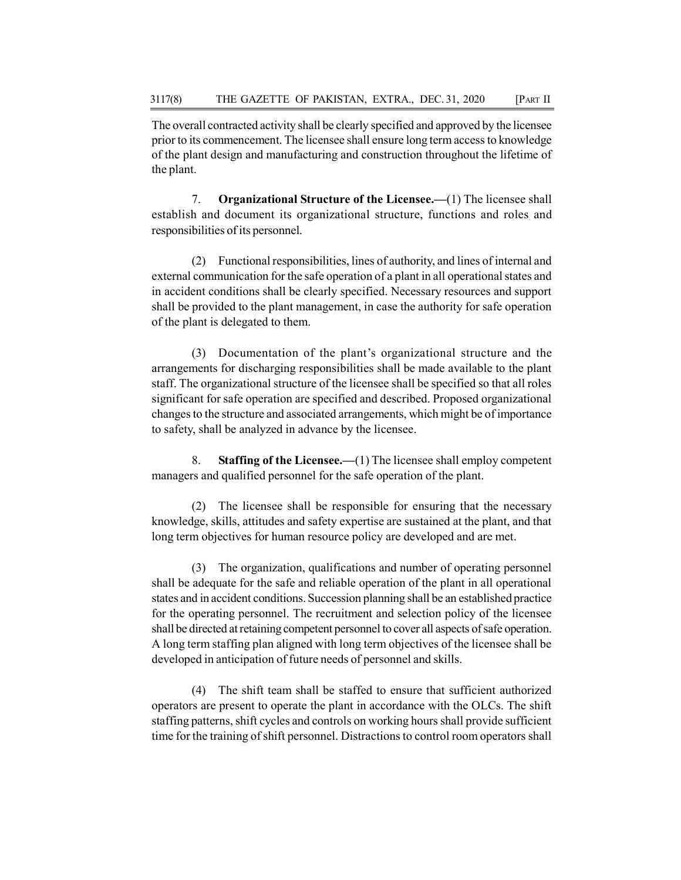The overall contracted activity shall be clearly specified and approved by the licensee prior to its commencement. The licensee shall ensure long term access to knowledge of the plant design and manufacturing and construction throughout the lifetime of the plant.

7. Organizational Structure of the Licensee.—(1) The licensee shall establish and document its organizational structure, functions and roles and responsibilities of its personnel.

(2) Functional responsibilities, lines of authority, and lines of internal and external communication for the safe operation of a plant in all operational states and in accident conditions shall be clearly specified. Necessary resources and support shall be provided to the plant management, in case the authority for safe operation of the plant is delegated to them.

(3) Documentation of the plant's organizational structure and the arrangements for discharging responsibilities shall be made available to the plant staff. The organizational structure of the licensee shall be specified so that all roles significant for safe operation are specified and described. Proposed organizational changes to the structure and associated arrangements, which might be of importance to safety, shall be analyzed in advance by the licensee.

8. Staffing of the Licensee.—(1) The licensee shall employ competent managers and qualified personnel for the safe operation of the plant.

(2) The licensee shall be responsible for ensuring that the necessary knowledge, skills, attitudes and safety expertise are sustained at the plant, and that long term objectives for human resource policy are developed and are met.

(3) The organization, qualifications and number of operating personnel shall be adequate for the safe and reliable operation of the plant in all operational states and in accident conditions. Succession planning shall be an established practice for the operating personnel. The recruitment and selection policy of the licensee shall be directed at retaining competent personnel to cover all aspects of safe operation. A long term staffing plan aligned with long term objectives of the licensee shall be developed in anticipation of future needs of personnel and skills.

(4) The shift team shall be staffed to ensure that sufficient authorized operators are present to operate the plant in accordance with the OLCs. The shift staffing patterns, shift cycles and controls on working hours shall provide sufficient time for the training of shift personnel. Distractions to control room operators shall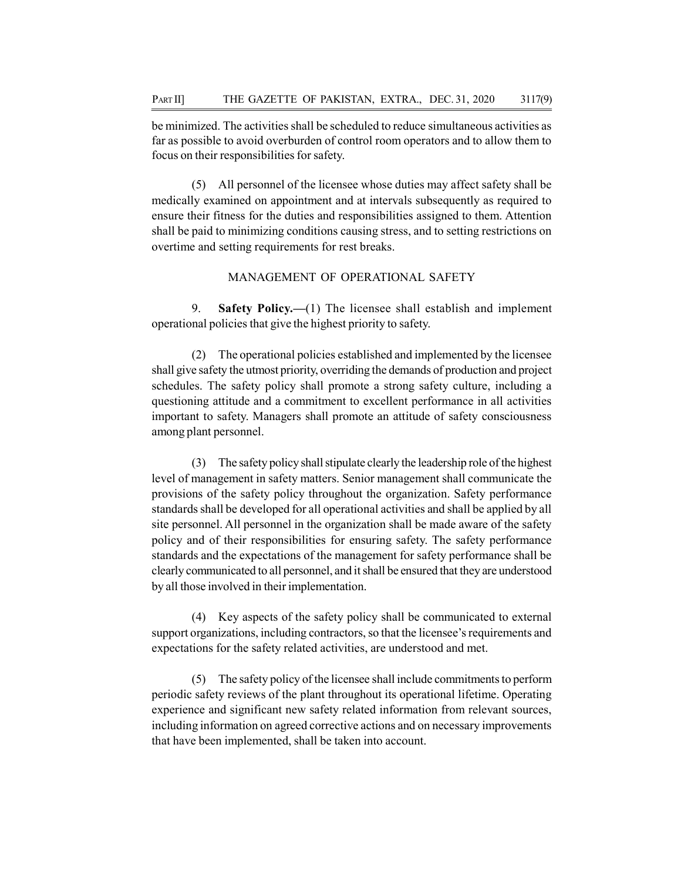be minimized. The activities shall be scheduled to reduce simultaneous activities as far as possible to avoid overburden of control room operators and to allow them to focus on their responsibilities for safety.

(5) All personnel of the licensee whose duties may affect safety shall be medically examined on appointment and at intervals subsequently as required to ensure their fitness for the duties and responsibilities assigned to them. Attention shall be paid to minimizing conditions causing stress, and to setting restrictions on overtime and setting requirements for rest breaks.

# MANAGEMENT OF OPERATIONAL SAFETY

9. Safety Policy.—(1) The licensee shall establish and implement operational policies that give the highest priority to safety.

(2) The operational policies established and implemented by the licensee shall give safety the utmost priority, overriding the demands of production and project schedules. The safety policy shall promote a strong safety culture, including a questioning attitude and a commitment to excellent performance in all activities important to safety. Managers shall promote an attitude of safety consciousness among plant personnel.

(3) The safety policy shall stipulate clearly the leadership role of the highest level of management in safety matters. Senior management shall communicate the provisions of the safety policy throughout the organization. Safety performance standards shall be developed for all operational activities and shall be applied by all site personnel. All personnel in the organization shall be made aware of the safety policy and of their responsibilities for ensuring safety. The safety performance standards and the expectations of the management for safety performance shall be clearly communicated to all personnel, and it shall be ensured that they are understood by all those involved in their implementation.

(4) Key aspects of the safety policy shall be communicated to external support organizations, including contractors, so that the licensee's requirements and expectations for the safety related activities, are understood and met.

(5) The safety policy of the licensee shall include commitments to perform periodic safety reviews of the plant throughout its operational lifetime. Operating experience and significant new safety related information from relevant sources, including information on agreed corrective actions and on necessary improvements that have been implemented, shall be taken into account.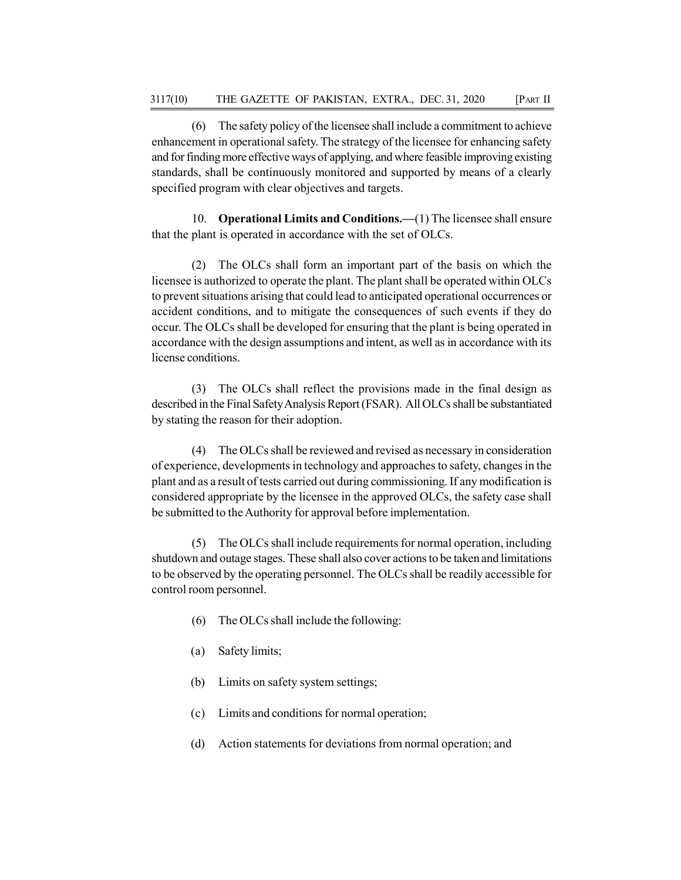(6) The safety policy of the licensee shall include a commitment to achieve enhancement in operational safety. The strategy of the licensee for enhancing safety and for finding more effective ways of applying, and where feasible improving existing standards, shall be continuously monitored and supported by means of a clearly specified program with clear objectives and targets.

10. Operational Limits and Conditions.—(1) The licensee shall ensure that the plant is operated in accordance with the set of OLCs.

(2) The OLCs shall form an important part of the basis on which the licensee is authorized to operate the plant. The plant shall be operated within OLCs to prevent situations arising that could lead to anticipated operational occurrences or accident conditions, and to mitigate the consequences of such events if they do occur. The OLCs shall be developed for ensuring that the plant is being operated in accordance with the design assumptions and intent, as well as in accordance with its license conditions.

(3) The OLCs shall reflect the provisions made in the final design as described in the Final Safety Analysis Report (FSAR). All OLCs shall be substantiated by stating the reason for their adoption.

(4) The OLCs shall be reviewed and revised as necessary in consideration of experience, developments in technology and approaches to safety, changes in the plant and as a result of tests carried out during commissioning. If any modification is considered appropriate by the licensee in the approved OLCs, the safety case shall be submitted to the Authority for approval before implementation.

(5) The OLCs shall include requirements for normal operation, including shutdown and outage stages. These shall also cover actions to be taken and limitations to be observed by the operating personnel. The OLCs shall be readily accessible for control room personnel.

- (6) The OLCs shall include the following:
- (a) Safety limits;
- (b) Limits on safety system settings;
- (c) Limits and conditions for normal operation;
- (d) Action statements for deviations from normal operation; and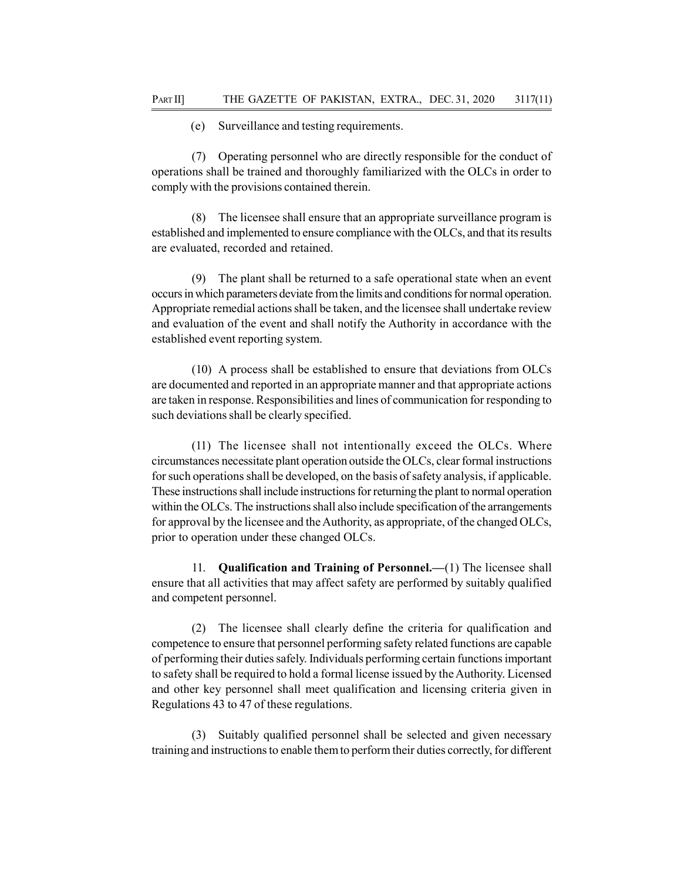(e) Surveillance and testing requirements.

(7) Operating personnel who are directly responsible for the conduct of operations shall be trained and thoroughly familiarized with the OLCs in order to comply with the provisions contained therein.

(8) The licensee shall ensure that an appropriate surveillance program is established and implemented to ensure compliance with the OLCs, and that its results are evaluated, recorded and retained.

The plant shall be returned to a safe operational state when an event occurs in which parameters deviate from the limits and conditions for normal operation. Appropriate remedial actions shall be taken, and the licensee shall undertake review and evaluation of the event and shall notify the Authority in accordance with the established event reporting system.

(10) A process shall be established to ensure that deviations from OLCs are documented and reported in an appropriate manner and that appropriate actions are taken in response. Responsibilities and lines of communication for responding to such deviations shall be clearly specified.

(11) The licensee shall not intentionally exceed the OLCs. Where circumstances necessitate plant operation outside the OLCs, clear formal instructions for such operations shall be developed, on the basis of safety analysis, if applicable. These instructions shall include instructions for returning the plant to normal operation within the OLCs. The instructions shall also include specification of the arrangements for approval by the licensee and the Authority, as appropriate, of the changed OLCs, prior to operation under these changed OLCs.

11. Qualification and Training of Personnel.—(1) The licensee shall ensure that all activities that may affect safety are performed by suitably qualified and competent personnel.

(2) The licensee shall clearly define the criteria for qualification and competence to ensure that personnel performing safety related functions are capable of performing their duties safely. Individuals performing certain functions important to safety shall be required to hold a formal license issued by the Authority. Licensed and other key personnel shall meet qualification and licensing criteria given in Regulations 43 to 47 of these regulations.

(3) Suitably qualified personnel shall be selected and given necessary training and instructions to enable them to perform their duties correctly, for different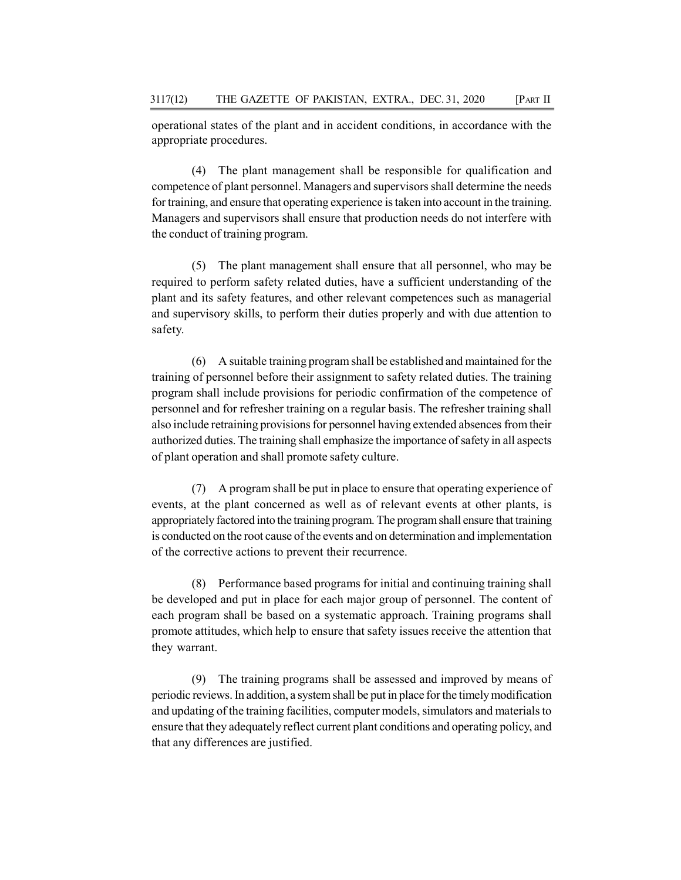operational states of the plant and in accident conditions, in accordance with the appropriate procedures.

(4) The plant management shall be responsible for qualification and competence of plant personnel. Managers and supervisors shall determine the needs for training, and ensure that operating experience is taken into account in the training. Managers and supervisors shall ensure that production needs do not interfere with the conduct of training program.

(5) The plant management shall ensure that all personnel, who may be required to perform safety related duties, have a sufficient understanding of the plant and its safety features, and other relevant competences such as managerial and supervisory skills, to perform their duties properly and with due attention to safety.

(6) A suitable training program shall be established and maintained for the training of personnel before their assignment to safety related duties. The training program shall include provisions for periodic confirmation of the competence of personnel and for refresher training on a regular basis. The refresher training shall also include retraining provisions for personnel having extended absences from their authorized duties. The training shall emphasize the importance of safety in all aspects of plant operation and shall promote safety culture.

(7) A program shall be put in place to ensure that operating experience of events, at the plant concerned as well as of relevant events at other plants, is appropriately factored into the training program. The program shall ensure that training is conducted on the root cause of the events and on determination and implementation of the corrective actions to prevent their recurrence.

(8) Performance based programs for initial and continuing training shall be developed and put in place for each major group of personnel. The content of each program shall be based on a systematic approach. Training programs shall promote attitudes, which help to ensure that safety issues receive the attention that they warrant.

(9) The training programs shall be assessed and improved by means of periodic reviews. In addition, a system shall be put in place for the timely modification and updating of the training facilities, computer models, simulators and materials to ensure that they adequately reflect current plant conditions and operating policy, and that any differences are justified.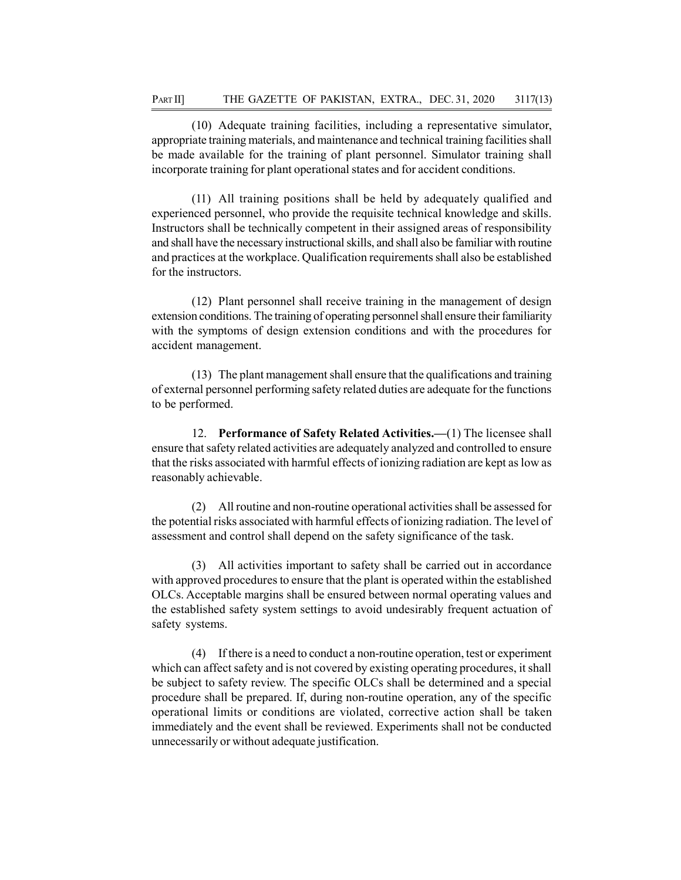(10) Adequate training facilities, including a representative simulator, appropriate training materials, and maintenance and technical training facilities shall be made available for the training of plant personnel. Simulator training shall incorporate training for plant operational states and for accident conditions.

(11) All training positions shall be held by adequately qualified and experienced personnel, who provide the requisite technical knowledge and skills. Instructors shall be technically competent in their assigned areas of responsibility and shall have the necessary instructional skills, and shall also be familiar with routine and practices at the workplace. Qualification requirements shall also be established for the instructors.

(12) Plant personnel shall receive training in the management of design extension conditions. The training of operating personnel shall ensure their familiarity with the symptoms of design extension conditions and with the procedures for accident management.

(13) The plant management shall ensure that the qualifications and training of external personnel performing safety related duties are adequate for the functions to be performed.

12. Performance of Safety Related Activities.—(1) The licensee shall ensure that safety related activities are adequately analyzed and controlled to ensure that the risks associated with harmful effects of ionizing radiation are kept as low as reasonably achievable.

(2) All routine and non-routine operational activities shall be assessed for the potential risks associated with harmful effects of ionizing radiation. The level of assessment and control shall depend on the safety significance of the task.

(3) All activities important to safety shall be carried out in accordance with approved procedures to ensure that the plant is operated within the established OLCs. Acceptable margins shall be ensured between normal operating values and the established safety system settings to avoid undesirably frequent actuation of safety systems.

(4) If there is a need to conduct a non-routine operation, test or experiment which can affect safety and is not covered by existing operating procedures, it shall be subject to safety review. The specific OLCs shall be determined and a special procedure shall be prepared. If, during non-routine operation, any of the specific operational limits or conditions are violated, corrective action shall be taken immediately and the event shall be reviewed. Experiments shall not be conducted unnecessarily or without adequate justification.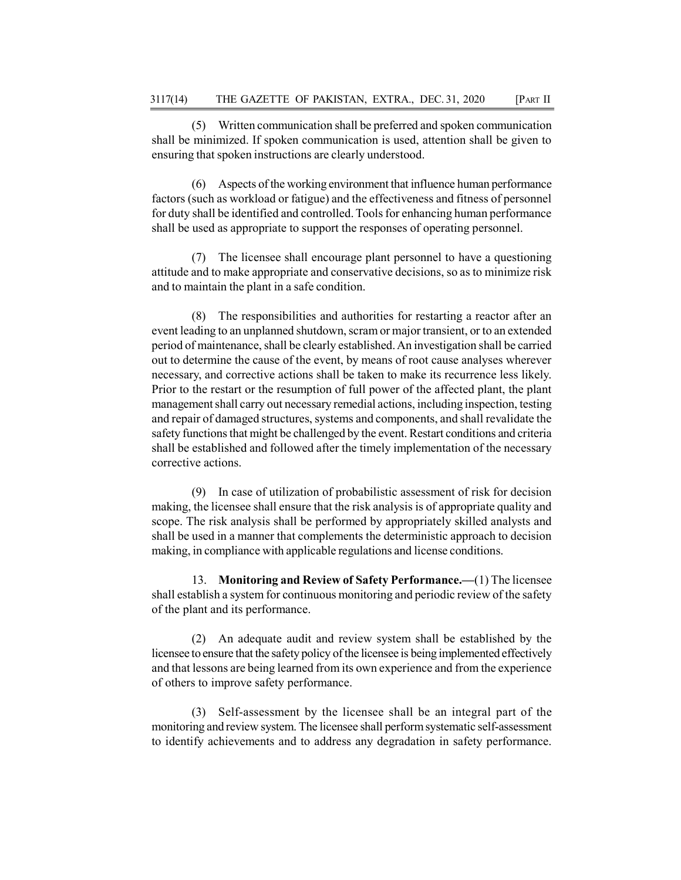(5) Written communication shall be preferred and spoken communication shall be minimized. If spoken communication is used, attention shall be given to ensuring that spoken instructions are clearly understood.

(6) Aspects of the working environment that influence human performance factors (such as workload or fatigue) and the effectiveness and fitness of personnel for duty shall be identified and controlled. Tools for enhancing human performance shall be used as appropriate to support the responses of operating personnel.

(7) The licensee shall encourage plant personnel to have a questioning attitude and to make appropriate and conservative decisions, so as to minimize risk and to maintain the plant in a safe condition.

(8) The responsibilities and authorities for restarting a reactor after an event leading to an unplanned shutdown, scram or major transient, or to an extended period of maintenance, shall be clearly established. An investigation shall be carried out to determine the cause of the event, by means of root cause analyses wherever necessary, and corrective actions shall be taken to make its recurrence less likely. Prior to the restart or the resumption of full power of the affected plant, the plant management shall carry out necessary remedial actions, including inspection, testing and repair of damaged structures, systems and components, and shall revalidate the safety functions that might be challenged by the event. Restart conditions and criteria shall be established and followed after the timely implementation of the necessary corrective actions.

(9) In case of utilization of probabilistic assessment of risk for decision making, the licensee shall ensure that the risk analysis is of appropriate quality and scope. The risk analysis shall be performed by appropriately skilled analysts and shall be used in a manner that complements the deterministic approach to decision making, in compliance with applicable regulations and license conditions.

13. Monitoring and Review of Safety Performance.—(1) The licensee shall establish a system for continuous monitoring and periodic review of the safety of the plant and its performance.

(2) An adequate audit and review system shall be established by the licensee to ensure that the safety policy of the licensee is being implemented effectively and that lessons are being learned from its own experience and from the experience of others to improve safety performance.

(3) Self-assessment by the licensee shall be an integral part of the monitoring and review system. The licensee shall perform systematic self-assessment to identify achievements and to address any degradation in safety performance.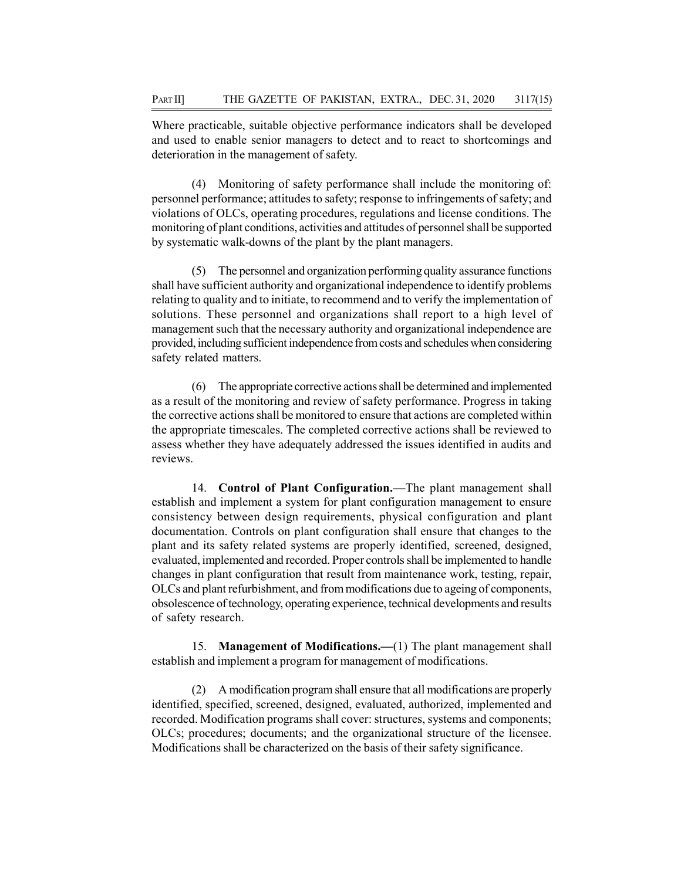Where practicable, suitable objective performance indicators shall be developed and used to enable senior managers to detect and to react to shortcomings and deterioration in the management of safety.

(4) Monitoring of safety performance shall include the monitoring of: personnel performance; attitudes to safety; response to infringements of safety; and violations of OLCs, operating procedures, regulations and license conditions. The monitoring of plant conditions, activities and attitudes of personnel shall be supported by systematic walk-downs of the plant by the plant managers.

(5) The personnel and organization performing quality assurance functions shall have sufficient authority and organizational independence to identify problems relating to quality and to initiate, to recommend and to verify the implementation of solutions. These personnel and organizations shall report to a high level of management such that the necessary authority and organizational independence are provided, including sufficient independence from costs and schedules when considering safety related matters.

(6) The appropriate corrective actions shall be determined and implemented as a result of the monitoring and review of safety performance. Progress in taking the corrective actions shall be monitored to ensure that actions are completed within the appropriate timescales. The completed corrective actions shall be reviewed to assess whether they have adequately addressed the issues identified in audits and reviews.

14. Control of Plant Configuration.—The plant management shall establish and implement a system for plant configuration management to ensure consistency between design requirements, physical configuration and plant documentation. Controls on plant configuration shall ensure that changes to the plant and its safety related systems are properly identified, screened, designed, evaluated, implemented and recorded. Proper controls shall be implemented to handle changes in plant configuration that result from maintenance work, testing, repair, OLCs and plant refurbishment, and from modifications due to ageing of components, obsolescence of technology, operating experience, technical developments and results of safety research.

15. Management of Modifications.—(1) The plant management shall establish and implement a program for management of modifications.

(2) A modification program shall ensure that all modifications are properly identified, specified, screened, designed, evaluated, authorized, implemented and recorded. Modification programs shall cover: structures, systems and components; OLCs; procedures; documents; and the organizational structure of the licensee. Modifications shall be characterized on the basis of their safety significance.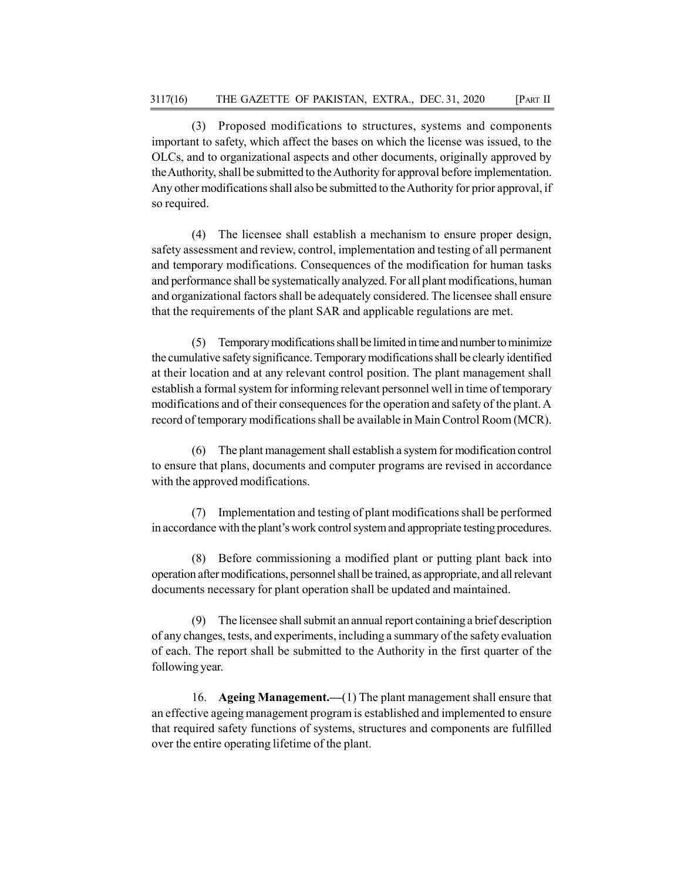(3) Proposed modifications to structures, systems and components important to safety, which affect the bases on which the license was issued, to the OLCs, and to organizational aspects and other documents, originally approved by the Authority, shall be submitted to the Authority for approval before implementation. Any other modifications shall also be submitted to the Authority for prior approval, if so required.

(4) The licensee shall establish a mechanism to ensure proper design, safety assessment and review, control, implementation and testing of all permanent and temporary modifications. Consequences of the modification for human tasks and performance shall be systematically analyzed. For all plant modifications, human and organizational factors shall be adequately considered. The licensee shall ensure that the requirements of the plant SAR and applicable regulations are met.

(5) Temporary modifications shall be limited in time and number to minimize the cumulative safety significance. Temporary modifications shall be clearly identified at their location and at any relevant control position. The plant management shall establish a formal system for informing relevant personnel well in time of temporary modifications and of their consequences for the operation and safety of the plant. A record of temporary modifications shall be available in Main Control Room (MCR).

(6) The plant management shall establish a system for modification control to ensure that plans, documents and computer programs are revised in accordance with the approved modifications.

(7) Implementation and testing of plant modifications shall be performed in accordance with the plant's work control system and appropriate testing procedures.

(8) Before commissioning a modified plant or putting plant back into operation after modifications, personnel shall be trained, as appropriate, and all relevant documents necessary for plant operation shall be updated and maintained.

(9) The licensee shall submit an annual report containing a brief description of any changes, tests, and experiments, including a summary of the safety evaluation of each. The report shall be submitted to the Authority in the first quarter of the following year.

16. Ageing Management.—(1) The plant management shall ensure that an effective ageing management program is established and implemented to ensure that required safety functions of systems, structures and components are fulfilled over the entire operating lifetime of the plant.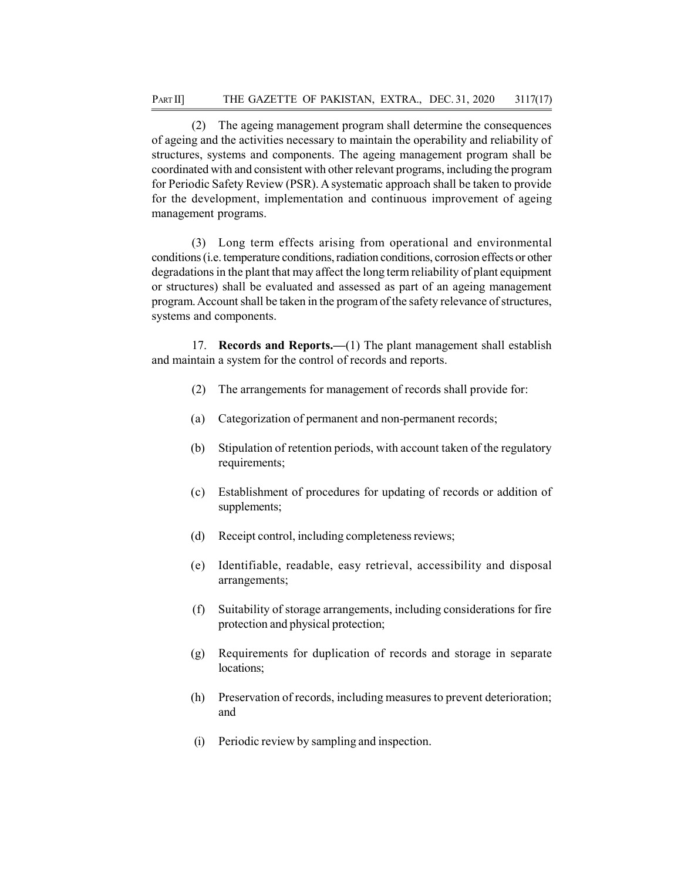(2) The ageing management program shall determine the consequences of ageing and the activities necessary to maintain the operability and reliability of structures, systems and components. The ageing management program shall be coordinated with and consistent with other relevant programs, including the program for Periodic Safety Review (PSR). A systematic approach shall be taken to provide for the development, implementation and continuous improvement of ageing management programs.

(3) Long term effects arising from operational and environmental conditions (i.e. temperature conditions, radiation conditions, corrosion effects or other degradations in the plant that may affect the long term reliability of plant equipment or structures) shall be evaluated and assessed as part of an ageing management program. Account shall be taken in the program of the safety relevance of structures, systems and components.

17. Records and Reports.—(1) The plant management shall establish and maintain a system for the control of records and reports.

- (2) The arrangements for management of records shall provide for:
- (a) Categorization of permanent and non-permanent records;
- (b) Stipulation of retention periods, with account taken of the regulatory requirements;
- (c) Establishment of procedures for updating of records or addition of supplements;
- (d) Receipt control, including completeness reviews;
- (e) Identifiable, readable, easy retrieval, accessibility and disposal arrangements;
- (f) Suitability of storage arrangements, including considerations for fire protection and physical protection;
- (g) Requirements for duplication of records and storage in separate locations;
- (h) Preservation of records, including measures to prevent deterioration; and
- (i) Periodic review by sampling and inspection.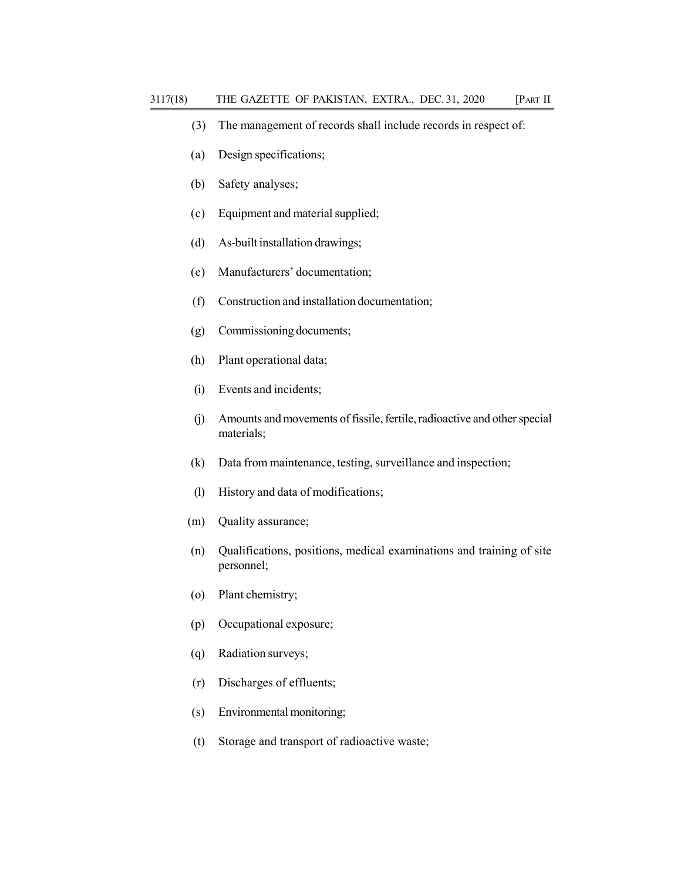- (3) The management of records shall include records in respect of:
- (a) Design specifications;
- (b) Safety analyses;
- (c) Equipment and material supplied;
- (d) As-built installation drawings;
- (e) Manufacturers' documentation;
- (f) Construction and installation documentation;
- (g) Commissioning documents;
- (h) Plant operational data;
- (i) Events and incidents;
- (j) Amounts and movements of fissile, fertile, radioactive and other special materials;
- (k) Data from maintenance, testing, surveillance and inspection;
- (l) History and data of modifications;
- (m) Quality assurance;
- (n) Qualifications, positions, medical examinations and training of site personnel;
- (o) Plant chemistry;
- (p) Occupational exposure;
- (q) Radiation surveys;
- (r) Discharges of effluents;
- (s) Environmental monitoring;
- (t) Storage and transport of radioactive waste;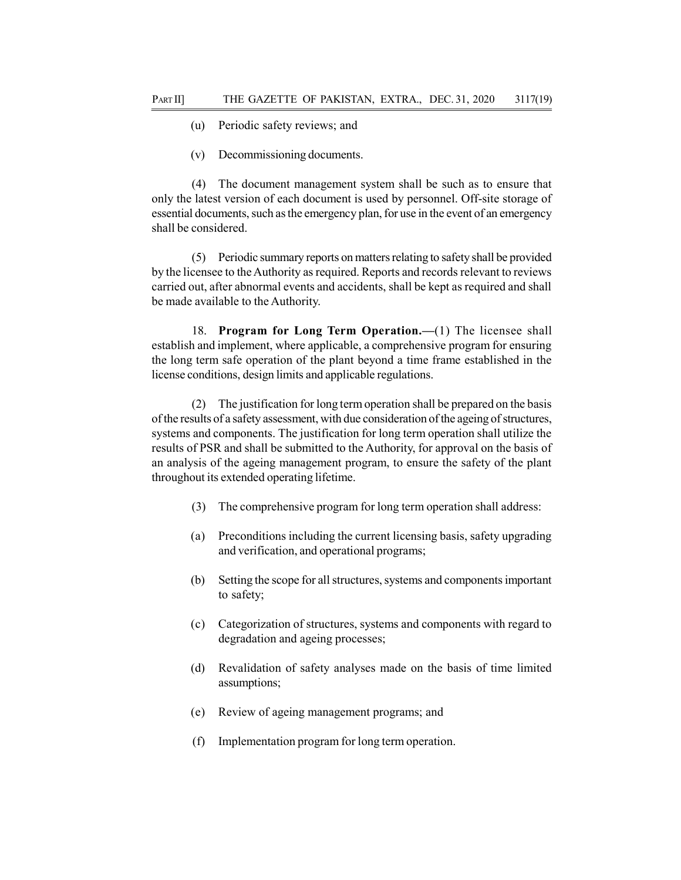- (u) Periodic safety reviews; and
- (v) Decommissioning documents.

(4) The document management system shall be such as to ensure that only the latest version of each document is used by personnel. Off-site storage of essential documents, such as the emergency plan, for use in the event of an emergency shall be considered.

(5) Periodic summary reports on matters relating to safety shall be provided by the licensee to the Authority as required. Reports and records relevant to reviews carried out, after abnormal events and accidents, shall be kept as required and shall be made available to the Authority.

18. Program for Long Term Operation.—(1) The licensee shall establish and implement, where applicable, a comprehensive program for ensuring the long term safe operation of the plant beyond a time frame established in the license conditions, design limits and applicable regulations.

(2) The justification for long term operation shall be prepared on the basis of the results of a safety assessment, with due consideration of the ageing of structures, systems and components. The justification for long term operation shall utilize the results of PSR and shall be submitted to the Authority, for approval on the basis of an analysis of the ageing management program, to ensure the safety of the plant throughout its extended operating lifetime.

- (3) The comprehensive program for long term operation shall address:
- (a) Preconditions including the current licensing basis, safety upgrading and verification, and operational programs;
- (b) Setting the scope for all structures, systems and components important to safety;
- (c) Categorization of structures, systems and components with regard to degradation and ageing processes;
- (d) Revalidation of safety analyses made on the basis of time limited assumptions;
- (e) Review of ageing management programs; and
- (f) Implementation program for long term operation.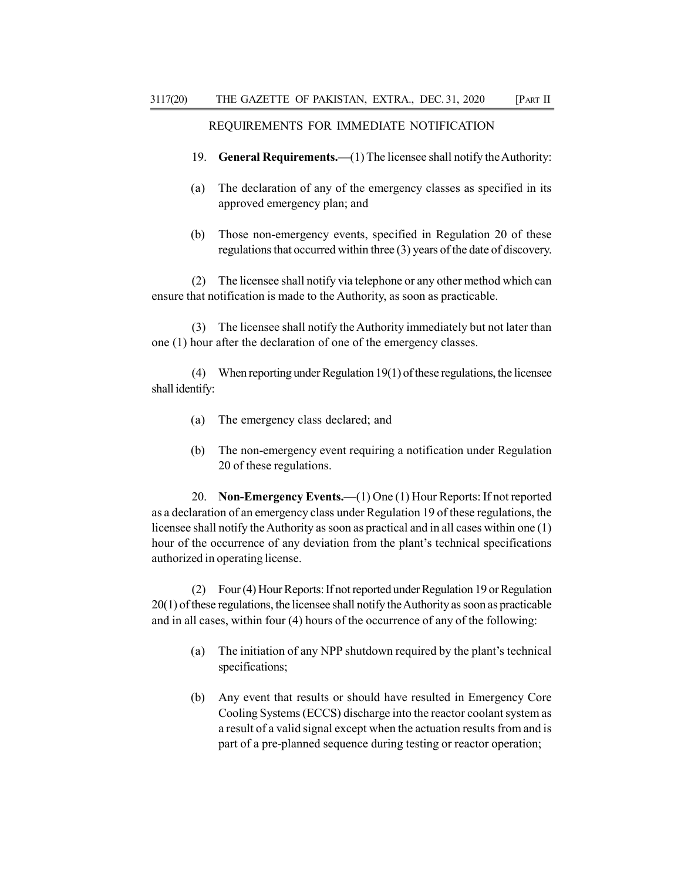### REQUIREMENTS FOR IMMEDIATE NOTIFICATION

- 19. General Requirements.—(1) The licensee shall notify the Authority:
- (a) The declaration of any of the emergency classes as specified in its approved emergency plan; and
- (b) Those non-emergency events, specified in Regulation 20 of these regulations that occurred within three (3) years of the date of discovery.

(2) The licensee shall notify via telephone or any other method which can ensure that notification is made to the Authority, as soon as practicable.

(3) The licensee shall notify the Authority immediately but not later than one (1) hour after the declaration of one of the emergency classes.

(4) When reporting under Regulation 19(1) of these regulations, the licensee shall identify:

- (a) The emergency class declared; and
- (b) The non-emergency event requiring a notification under Regulation 20 of these regulations.

20. Non-Emergency Events.—(1) One (1) Hour Reports: If not reported as a declaration of an emergency class under Regulation 19 of these regulations, the licensee shall notify the Authority as soon as practical and in all cases within one (1) hour of the occurrence of any deviation from the plant's technical specifications authorized in operating license.

(2) Four (4) Hour Reports: If not reported under Regulation 19 or Regulation 20(1) of these regulations, the licensee shall notify the Authority as soon as practicable and in all cases, within four (4) hours of the occurrence of any of the following:

- (a) The initiation of any NPP shutdown required by the plant's technical specifications;
- (b) Any event that results or should have resulted in Emergency Core Cooling Systems (ECCS) discharge into the reactor coolant system as a result of a valid signal except when the actuation results from and is part of a pre-planned sequence during testing or reactor operation;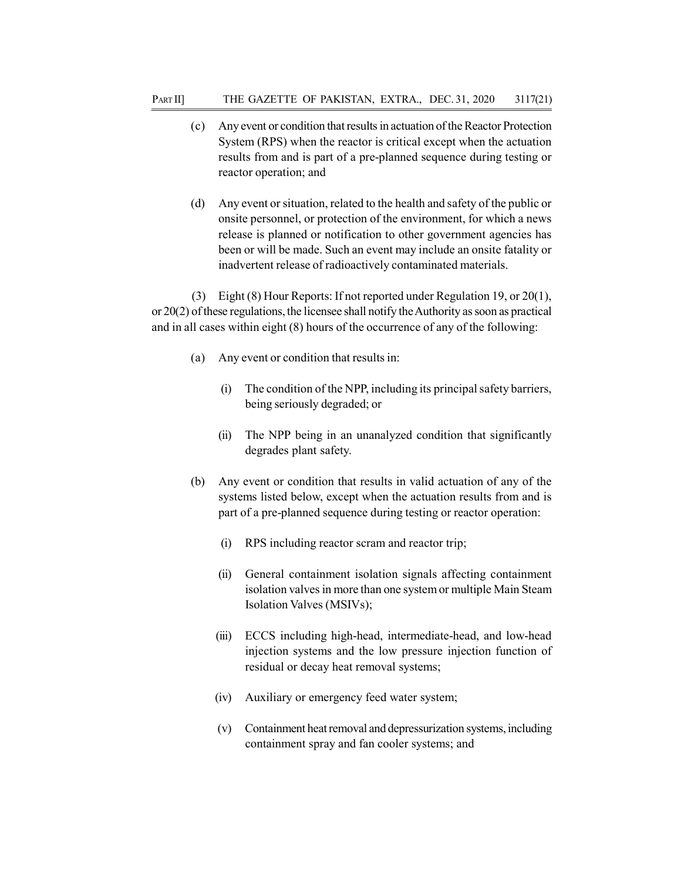- (c) Any event or condition that results in actuation of the Reactor Protection System (RPS) when the reactor is critical except when the actuation results from and is part of a pre-planned sequence during testing or reactor operation; and
- (d) Any event or situation, related to the health and safety of the public or onsite personnel, or protection of the environment, for which a news release is planned or notification to other government agencies has been or will be made. Such an event may include an onsite fatality or inadvertent release of radioactively contaminated materials.

(3) Eight (8) Hour Reports: If not reported under Regulation 19, or 20(1), or 20(2) of these regulations, the licensee shall notify the Authority as soon as practical and in all cases within eight (8) hours of the occurrence of any of the following:

- (a) Any event or condition that results in:
	- (i) The condition of the NPP, including its principal safety barriers, being seriously degraded; or
	- (ii) The NPP being in an unanalyzed condition that significantly degrades plant safety.
- (b) Any event or condition that results in valid actuation of any of the systems listed below, except when the actuation results from and is part of a pre-planned sequence during testing or reactor operation:
	- (i) RPS including reactor scram and reactor trip;
	- (ii) General containment isolation signals affecting containment isolation valves in more than one system or multiple Main Steam Isolation Valves (MSIVs);
	- (iii) ECCS including high-head, intermediate-head, and low-head injection systems and the low pressure injection function of residual or decay heat removal systems;
	- (iv) Auxiliary or emergency feed water system;
	- (v) Containment heat removal and depressurization systems, including containment spray and fan cooler systems; and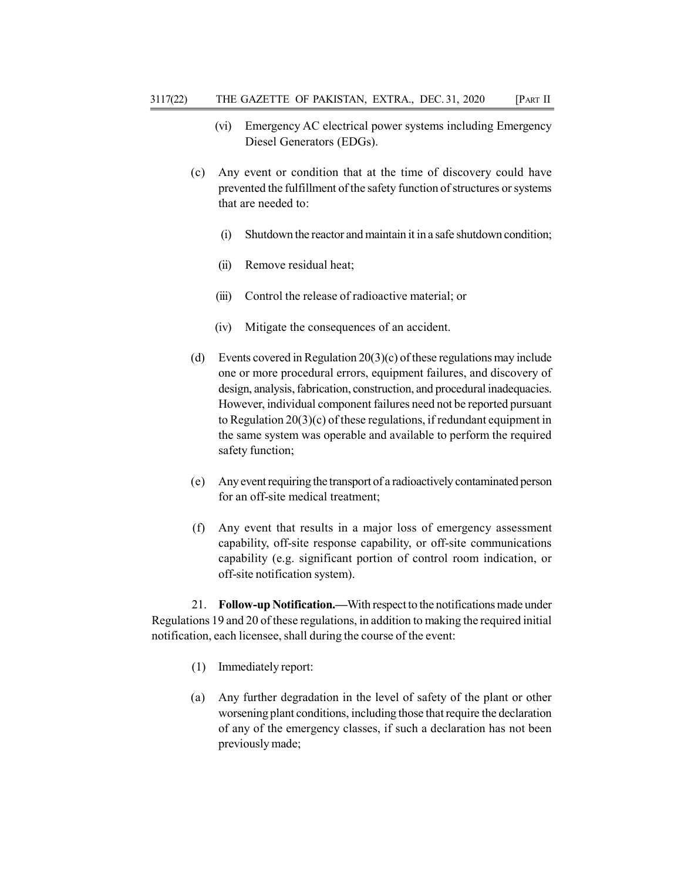- (vi) Emergency AC electrical power systems including Emergency Diesel Generators (EDGs).
- (c) Any event or condition that at the time of discovery could have prevented the fulfillment of the safety function of structures or systems that are needed to:
	- (i) Shutdown the reactor and maintain it in a safe shutdown condition;
	- (ii) Remove residual heat;
	- (iii) Control the release of radioactive material; or
	- (iv) Mitigate the consequences of an accident.
- (d) Events covered in Regulation  $20(3)(c)$  of these regulations may include one or more procedural errors, equipment failures, and discovery of design, analysis, fabrication, construction, and procedural inadequacies. However, individual component failures need not be reported pursuant to Regulation 20(3)(c) of these regulations, if redundant equipment in the same system was operable and available to perform the required safety function;
- (e) Any event requiring the transport of a radioactively contaminated person for an off-site medical treatment;
- (f) Any event that results in a major loss of emergency assessment capability, off-site response capability, or off-site communications capability (e.g. significant portion of control room indication, or off-site notification system).

21. Follow-up Notification.—With respect to the notifications made under Regulations 19 and 20 of these regulations, in addition to making the required initial notification, each licensee, shall during the course of the event:

- (1) Immediately report:
- (a) Any further degradation in the level of safety of the plant or other worsening plant conditions, including those that require the declaration of any of the emergency classes, if such a declaration has not been previously made;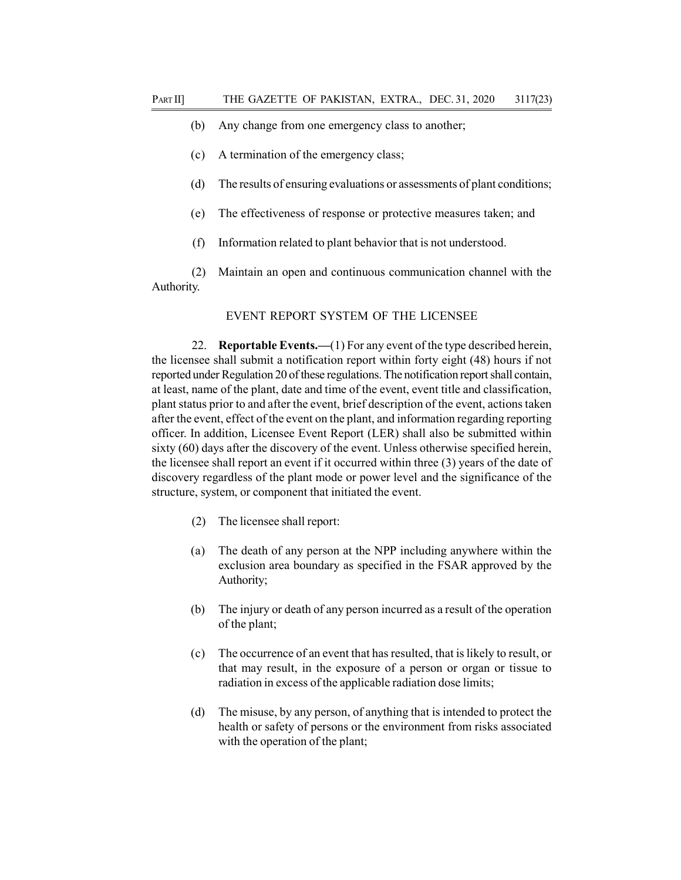- (b) Any change from one emergency class to another;
- (c) A termination of the emergency class;
- (d) The results of ensuring evaluations or assessments of plant conditions;
- (e) The effectiveness of response or protective measures taken; and
- (f) Information related to plant behavior that is not understood.

(2) Maintain an open and continuous communication channel with the Authority.

#### EVENT REPORT SYSTEM OF THE LICENSEE

22. Reportable Events.—(1) For any event of the type described herein, the licensee shall submit a notification report within forty eight (48) hours if not reported under Regulation 20 of these regulations. The notification report shall contain, at least, name of the plant, date and time of the event, event title and classification, plant status prior to and after the event, brief description of the event, actions taken after the event, effect of the event on the plant, and information regarding reporting officer. In addition, Licensee Event Report (LER) shall also be submitted within sixty (60) days after the discovery of the event. Unless otherwise specified herein, the licensee shall report an event if it occurred within three (3) years of the date of discovery regardless of the plant mode or power level and the significance of the structure, system, or component that initiated the event.

- (2) The licensee shall report:
- (a) The death of any person at the NPP including anywhere within the exclusion area boundary as specified in the FSAR approved by the Authority;
- (b) The injury or death of any person incurred as a result of the operation of the plant;
- (c) The occurrence of an event that has resulted, that is likely to result, or that may result, in the exposure of a person or organ or tissue to radiation in excess of the applicable radiation dose limits;
- (d) The misuse, by any person, of anything that is intended to protect the health or safety of persons or the environment from risks associated with the operation of the plant;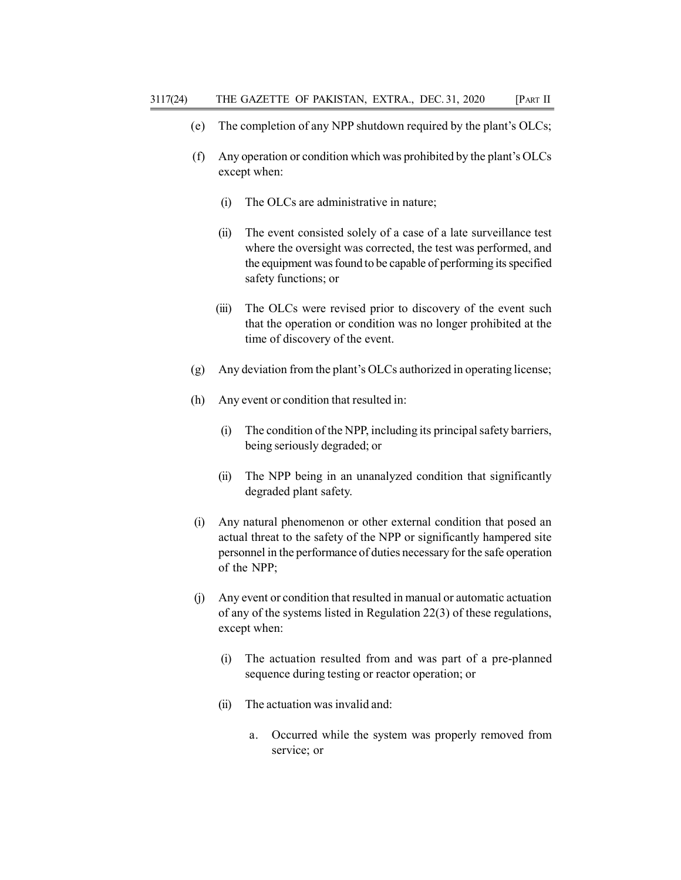- (e) The completion of any NPP shutdown required by the plant's OLCs;
- (f) Any operation or condition which was prohibited by the plant's OLCs except when:
	- (i) The OLCs are administrative in nature;
	- (ii) The event consisted solely of a case of a late surveillance test where the oversight was corrected, the test was performed, and the equipment was found to be capable of performing its specified safety functions; or
	- (iii) The OLCs were revised prior to discovery of the event such that the operation or condition was no longer prohibited at the time of discovery of the event.
- (g) Any deviation from the plant's OLCs authorized in operating license;
- (h) Any event or condition that resulted in:
	- (i) The condition of the NPP, including its principal safety barriers, being seriously degraded; or
	- (ii) The NPP being in an unanalyzed condition that significantly degraded plant safety.
- (i) Any natural phenomenon or other external condition that posed an actual threat to the safety of the NPP or significantly hampered site personnel in the performance of duties necessary for the safe operation of the NPP;
- (j) Any event or condition that resulted in manual or automatic actuation of any of the systems listed in Regulation 22(3) of these regulations, except when:
	- (i) The actuation resulted from and was part of a pre-planned sequence during testing or reactor operation; or
	- (ii) The actuation was invalid and:
		- a. Occurred while the system was properly removed from service; or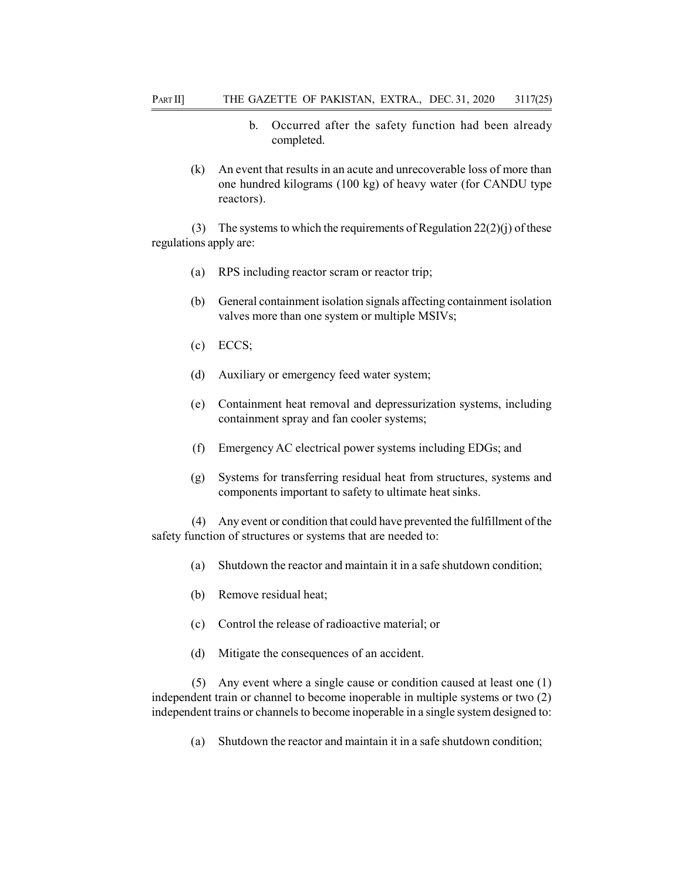- b. Occurred after the safety function had been already completed.
- (k) An event that results in an acute and unrecoverable loss of more than one hundred kilograms (100 kg) of heavy water (for CANDU type reactors).

(3) The systems to which the requirements of Regulation  $22(2)(i)$  of these regulations apply are:

- (a) RPS including reactor scram or reactor trip;
- (b) General containment isolation signals affecting containment isolation valves more than one system or multiple MSIVs;
- (c) ECCS;
- (d) Auxiliary or emergency feed water system;
- (e) Containment heat removal and depressurization systems, including containment spray and fan cooler systems;
- (f) Emergency AC electrical power systems including EDGs; and
- (g) Systems for transferring residual heat from structures, systems and components important to safety to ultimate heat sinks.

(4) Any event or condition that could have prevented the fulfillment of the safety function of structures or systems that are needed to:

- (a) Shutdown the reactor and maintain it in a safe shutdown condition;
- (b) Remove residual heat;
- (c) Control the release of radioactive material; or
- (d) Mitigate the consequences of an accident.

(5) Any event where a single cause or condition caused at least one (1) independent train or channel to become inoperable in multiple systems or two (2) independent trains or channels to become inoperable in a single system designed to:

(a) Shutdown the reactor and maintain it in a safe shutdown condition;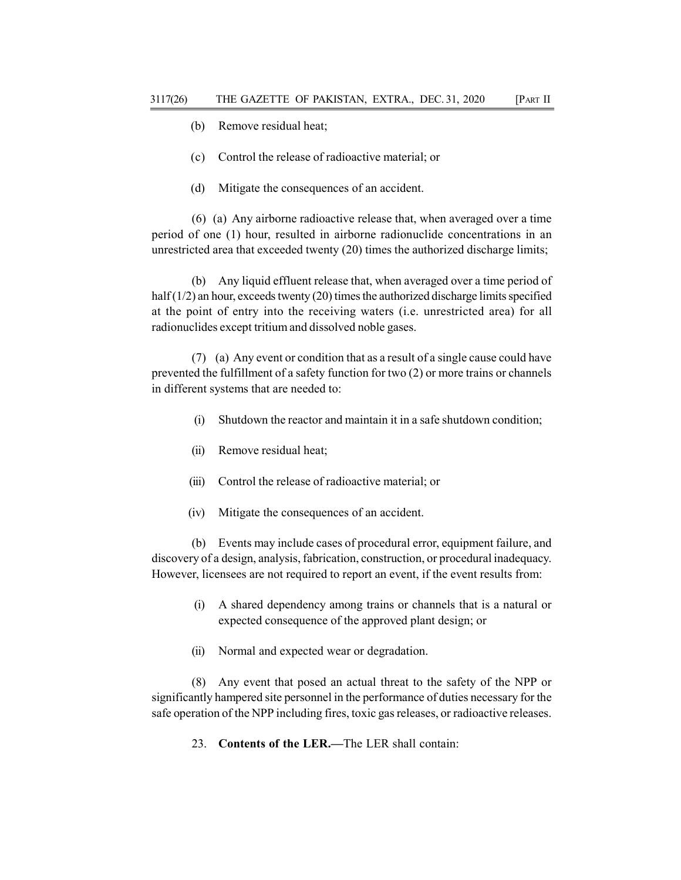- (b) Remove residual heat;
- (c) Control the release of radioactive material; or
- (d) Mitigate the consequences of an accident.

(6) (a) Any airborne radioactive release that, when averaged over a time period of one (1) hour, resulted in airborne radionuclide concentrations in an unrestricted area that exceeded twenty (20) times the authorized discharge limits;

(b) Any liquid effluent release that, when averaged over a time period of half  $(1/2)$  an hour, exceeds twenty  $(20)$  times the authorized discharge limits specified at the point of entry into the receiving waters (i.e. unrestricted area) for all radionuclides except tritium and dissolved noble gases.

(7) (a) Any event or condition that as a result of a single cause could have prevented the fulfillment of a safety function for two (2) or more trains or channels in different systems that are needed to:

- (i) Shutdown the reactor and maintain it in a safe shutdown condition;
- (ii) Remove residual heat;
- (iii) Control the release of radioactive material; or
- (iv) Mitigate the consequences of an accident.

(b) Events may include cases of procedural error, equipment failure, and discovery of a design, analysis, fabrication, construction, or procedural inadequacy. However, licensees are not required to report an event, if the event results from:

- (i) A shared dependency among trains or channels that is a natural or expected consequence of the approved plant design; or
- (ii) Normal and expected wear or degradation.

(8) Any event that posed an actual threat to the safety of the NPP or significantly hampered site personnel in the performance of duties necessary for the safe operation of the NPP including fires, toxic gas releases, or radioactive releases.

23. Contents of the LER.—The LER shall contain: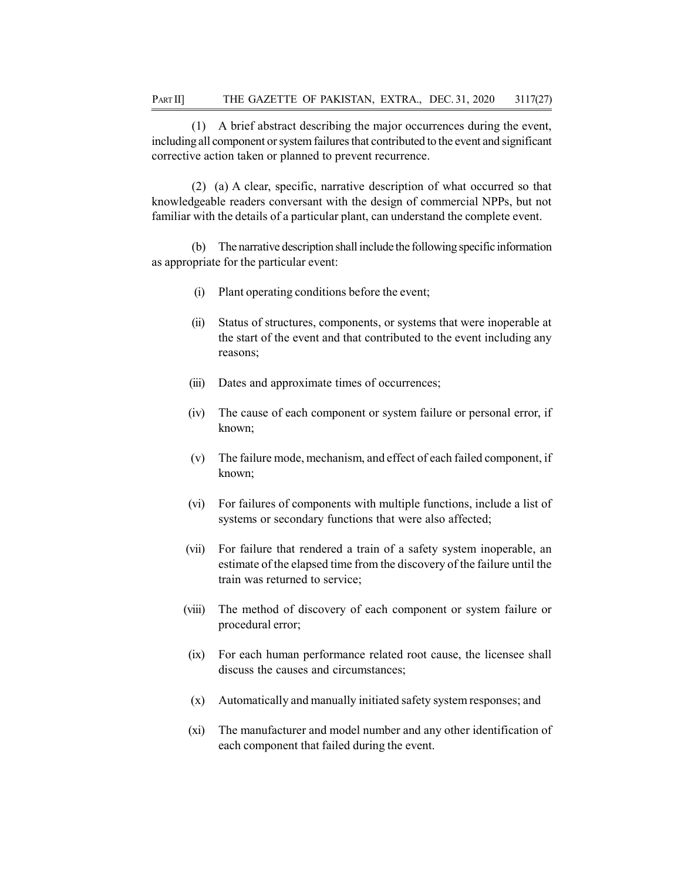(1) A brief abstract describing the major occurrences during the event, including all component or system failures that contributed to the event and significant corrective action taken or planned to prevent recurrence.

(2) (a) A clear, specific, narrative description of what occurred so that knowledgeable readers conversant with the design of commercial NPPs, but not familiar with the details of a particular plant, can understand the complete event.

(b) The narrative description shall include the following specific information as appropriate for the particular event:

- (i) Plant operating conditions before the event;
- (ii) Status of structures, components, or systems that were inoperable at the start of the event and that contributed to the event including any reasons;
- (iii) Dates and approximate times of occurrences;
- (iv) The cause of each component or system failure or personal error, if known;
- (v) The failure mode, mechanism, and effect of each failed component, if known;
- (vi) For failures of components with multiple functions, include a list of systems or secondary functions that were also affected;
- (vii) For failure that rendered a train of a safety system inoperable, an estimate of the elapsed time from the discovery of the failure until the train was returned to service;
- (viii) The method of discovery of each component or system failure or procedural error;
- (ix) For each human performance related root cause, the licensee shall discuss the causes and circumstances;
- (x) Automatically and manually initiated safety system responses; and
- (xi) The manufacturer and model number and any other identification of each component that failed during the event.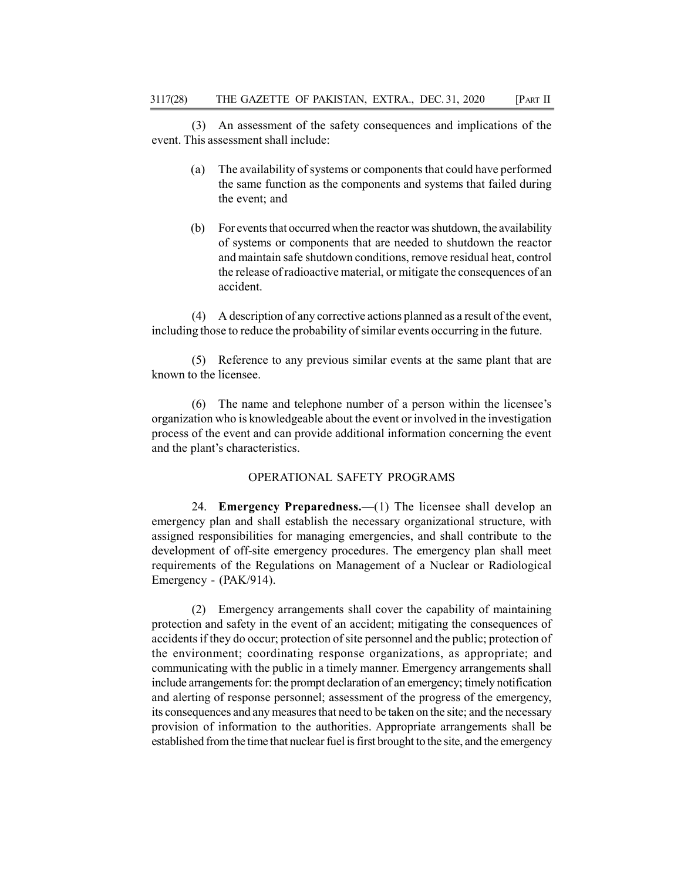(3) An assessment of the safety consequences and implications of the event. This assessment shall include:

- (a) The availability of systems or components that could have performed the same function as the components and systems that failed during the event; and
- (b) For events that occurred when the reactor was shutdown, the availability of systems or components that are needed to shutdown the reactor and maintain safe shutdown conditions, remove residual heat, control the release of radioactive material, or mitigate the consequences of an accident.

(4) A description of any corrective actions planned as a result of the event, including those to reduce the probability of similar events occurring in the future.

(5) Reference to any previous similar events at the same plant that are known to the licensee.

(6) The name and telephone number of a person within the licensee's organization who is knowledgeable about the event or involved in the investigation process of the event and can provide additional information concerning the event and the plant's characteristics.

### OPERATIONAL SAFETY PROGRAMS

24. Emergency Preparedness.—(1) The licensee shall develop an emergency plan and shall establish the necessary organizational structure, with assigned responsibilities for managing emergencies, and shall contribute to the development of off-site emergency procedures. The emergency plan shall meet requirements of the Regulations on Management of a Nuclear or Radiological Emergency - (PAK/914).

(2) Emergency arrangements shall cover the capability of maintaining protection and safety in the event of an accident; mitigating the consequences of accidents if they do occur; protection of site personnel and the public; protection of the environment; coordinating response organizations, as appropriate; and communicating with the public in a timely manner. Emergency arrangements shall include arrangements for: the prompt declaration of an emergency; timely notification and alerting of response personnel; assessment of the progress of the emergency, its consequences and any measures that need to be taken on the site; and the necessary provision of information to the authorities. Appropriate arrangements shall be established from the time that nuclear fuel is first brought to the site, and the emergency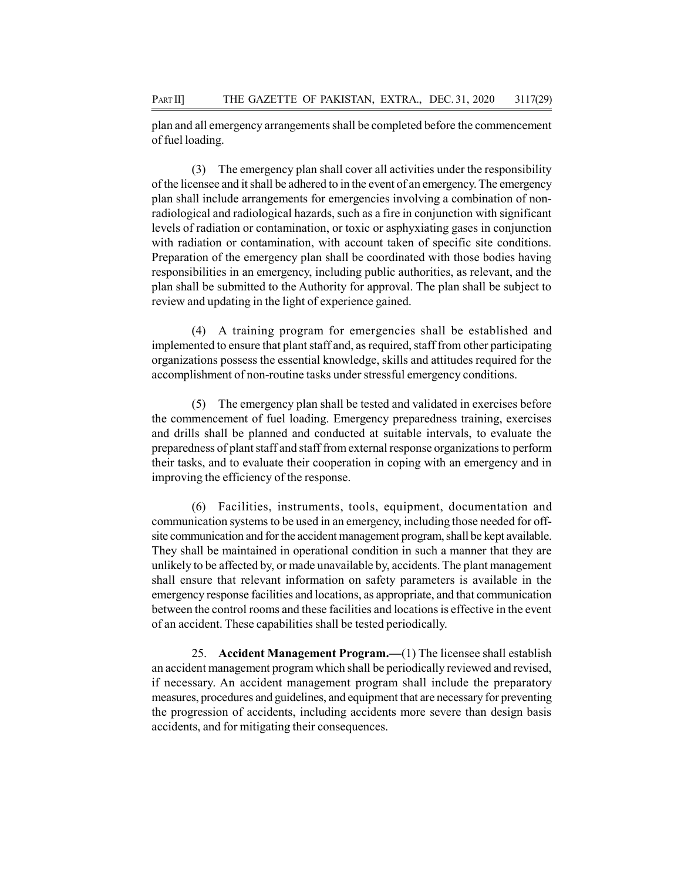plan and all emergency arrangements shall be completed before the commencement of fuel loading.

(3) The emergency plan shall cover all activities under the responsibility of the licensee and it shall be adhered to in the event of an emergency. The emergency plan shall include arrangements for emergencies involving a combination of nonradiological and radiological hazards, such as a fire in conjunction with significant levels of radiation or contamination, or toxic or asphyxiating gases in conjunction with radiation or contamination, with account taken of specific site conditions. Preparation of the emergency plan shall be coordinated with those bodies having responsibilities in an emergency, including public authorities, as relevant, and the plan shall be submitted to the Authority for approval. The plan shall be subject to review and updating in the light of experience gained.

(4) A training program for emergencies shall be established and implemented to ensure that plant staff and, as required, staff from other participating organizations possess the essential knowledge, skills and attitudes required for the accomplishment of non-routine tasks under stressful emergency conditions.

(5) The emergency plan shall be tested and validated in exercises before the commencement of fuel loading. Emergency preparedness training, exercises and drills shall be planned and conducted at suitable intervals, to evaluate the preparedness of plant staff and staff from external response organizations to perform their tasks, and to evaluate their cooperation in coping with an emergency and in improving the efficiency of the response.

(6) Facilities, instruments, tools, equipment, documentation and communication systems to be used in an emergency, including those needed for offsite communication and for the accident management program, shall be kept available. They shall be maintained in operational condition in such a manner that they are unlikely to be affected by, or made unavailable by, accidents. The plant management shall ensure that relevant information on safety parameters is available in the emergency response facilities and locations, as appropriate, and that communication between the control rooms and these facilities and locations is effective in the event of an accident. These capabilities shall be tested periodically.

25. Accident Management Program.—(1) The licensee shall establish an accident management program which shall be periodically reviewed and revised, if necessary. An accident management program shall include the preparatory measures, procedures and guidelines, and equipment that are necessary for preventing the progression of accidents, including accidents more severe than design basis accidents, and for mitigating their consequences.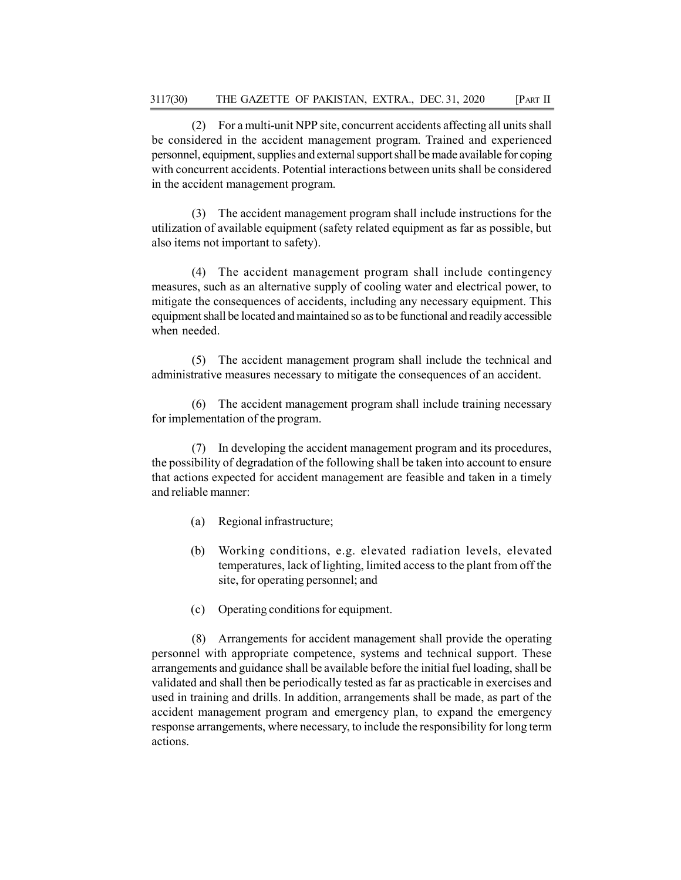(2) For a multi-unit NPP site, concurrent accidents affecting all units shall be considered in the accident management program. Trained and experienced personnel, equipment, supplies and external support shall be made available for coping with concurrent accidents. Potential interactions between units shall be considered in the accident management program.

(3) The accident management program shall include instructions for the utilization of available equipment (safety related equipment as far as possible, but also items not important to safety).

(4) The accident management program shall include contingency measures, such as an alternative supply of cooling water and electrical power, to mitigate the consequences of accidents, including any necessary equipment. This equipment shall be located and maintained so as to be functional and readily accessible when needed.

(5) The accident management program shall include the technical and administrative measures necessary to mitigate the consequences of an accident.

(6) The accident management program shall include training necessary for implementation of the program.

(7) In developing the accident management program and its procedures, the possibility of degradation of the following shall be taken into account to ensure that actions expected for accident management are feasible and taken in a timely and reliable manner:

- (a) Regional infrastructure;
- (b) Working conditions, e.g. elevated radiation levels, elevated temperatures, lack of lighting, limited access to the plant from off the site, for operating personnel; and
- (c) Operating conditions for equipment.

(8) Arrangements for accident management shall provide the operating personnel with appropriate competence, systems and technical support. These arrangements and guidance shall be available before the initial fuel loading, shall be validated and shall then be periodically tested as far as practicable in exercises and used in training and drills. In addition, arrangements shall be made, as part of the accident management program and emergency plan, to expand the emergency response arrangements, where necessary, to include the responsibility for long term actions.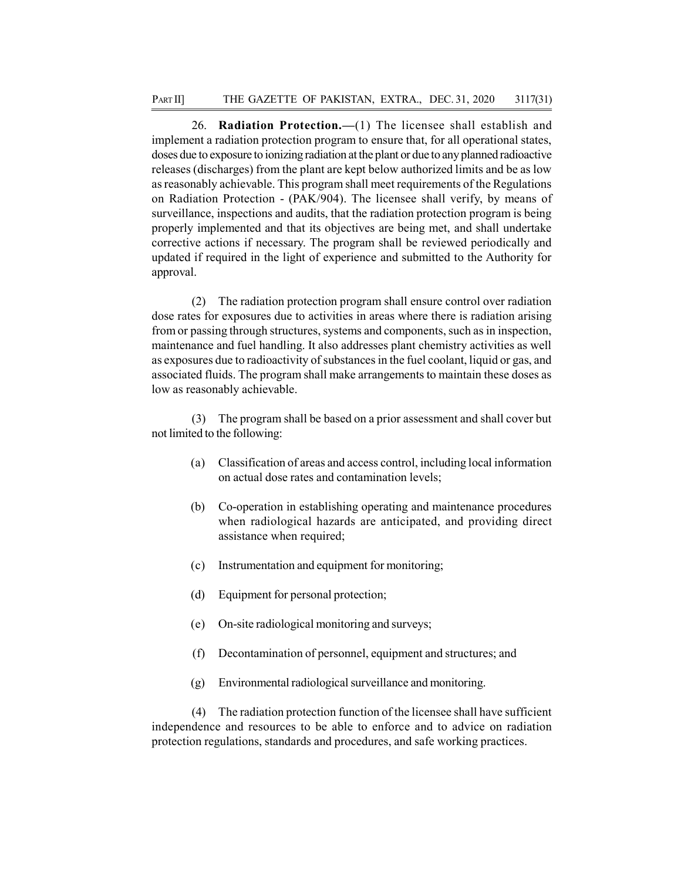26. Radiation Protection.—(1) The licensee shall establish and implement a radiation protection program to ensure that, for all operational states, doses due to exposure to ionizing radiation at the plant or due to any planned radioactive releases (discharges) from the plant are kept below authorized limits and be as low as reasonably achievable. This program shall meet requirements of the Regulations on Radiation Protection - (PAK/904). The licensee shall verify, by means of surveillance, inspections and audits, that the radiation protection program is being properly implemented and that its objectives are being met, and shall undertake corrective actions if necessary. The program shall be reviewed periodically and updated if required in the light of experience and submitted to the Authority for approval.

(2) The radiation protection program shall ensure control over radiation dose rates for exposures due to activities in areas where there is radiation arising from or passing through structures, systems and components, such as in inspection, maintenance and fuel handling. It also addresses plant chemistry activities as well as exposures due to radioactivity of substances in the fuel coolant, liquid or gas, and associated fluids. The program shall make arrangements to maintain these doses as low as reasonably achievable.

(3) The program shall be based on a prior assessment and shall cover but not limited to the following:

- (a) Classification of areas and access control, including local information on actual dose rates and contamination levels;
- (b) Co-operation in establishing operating and maintenance procedures when radiological hazards are anticipated, and providing direct assistance when required;
- (c) Instrumentation and equipment for monitoring;
- (d) Equipment for personal protection;
- (e) On-site radiological monitoring and surveys;
- (f) Decontamination of personnel, equipment and structures; and
- (g) Environmental radiological surveillance and monitoring.

(4) The radiation protection function of the licensee shall have sufficient independence and resources to be able to enforce and to advice on radiation protection regulations, standards and procedures, and safe working practices.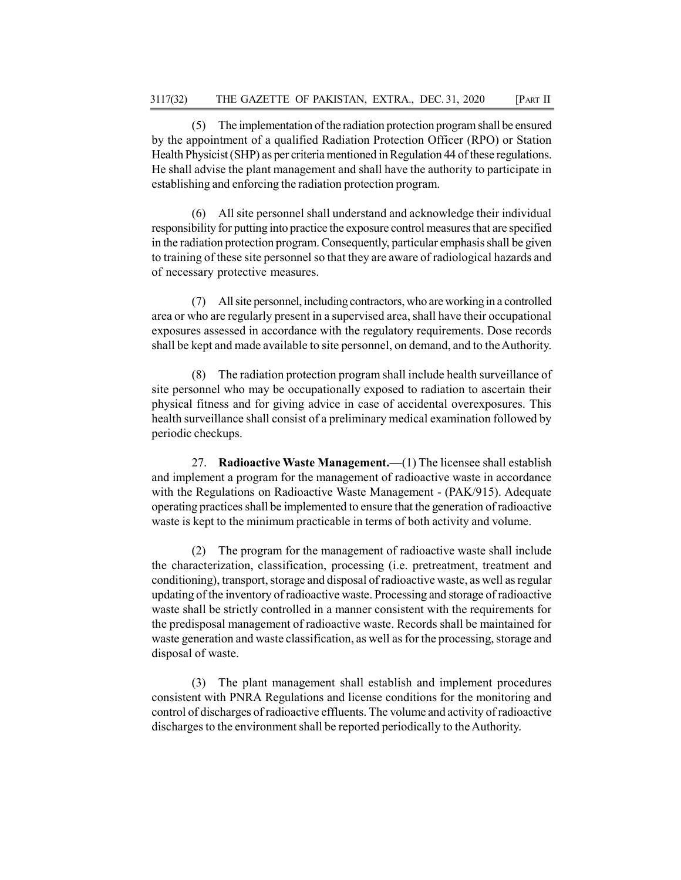(5) The implementation of the radiation protection program shall be ensured by the appointment of a qualified Radiation Protection Officer (RPO) or Station Health Physicist (SHP) as per criteria mentioned in Regulation 44 of these regulations. He shall advise the plant management and shall have the authority to participate in establishing and enforcing the radiation protection program.

(6) All site personnel shall understand and acknowledge their individual responsibility for putting into practice the exposure control measures that are specified in the radiation protection program. Consequently, particular emphasis shall be given to training of these site personnel so that they are aware of radiological hazards and of necessary protective measures.

(7) All site personnel, including contractors, who are working in a controlled area or who are regularly present in a supervised area, shall have their occupational exposures assessed in accordance with the regulatory requirements. Dose records shall be kept and made available to site personnel, on demand, and to the Authority.

(8) The radiation protection program shall include health surveillance of site personnel who may be occupationally exposed to radiation to ascertain their physical fitness and for giving advice in case of accidental overexposures. This health surveillance shall consist of a preliminary medical examination followed by periodic checkups.

27. Radioactive Waste Management.—(1) The licensee shall establish and implement a program for the management of radioactive waste in accordance with the Regulations on Radioactive Waste Management - (PAK/915). Adequate operating practices shall be implemented to ensure that the generation of radioactive waste is kept to the minimum practicable in terms of both activity and volume.

(2) The program for the management of radioactive waste shall include the characterization, classification, processing (i.e. pretreatment, treatment and conditioning), transport, storage and disposal of radioactive waste, as well as regular updating of the inventory of radioactive waste. Processing and storage of radioactive waste shall be strictly controlled in a manner consistent with the requirements for the predisposal management of radioactive waste. Records shall be maintained for waste generation and waste classification, as well as for the processing, storage and disposal of waste.

(3) The plant management shall establish and implement procedures consistent with PNRA Regulations and license conditions for the monitoring and control of discharges of radioactive effluents. The volume and activity of radioactive discharges to the environment shall be reported periodically to the Authority.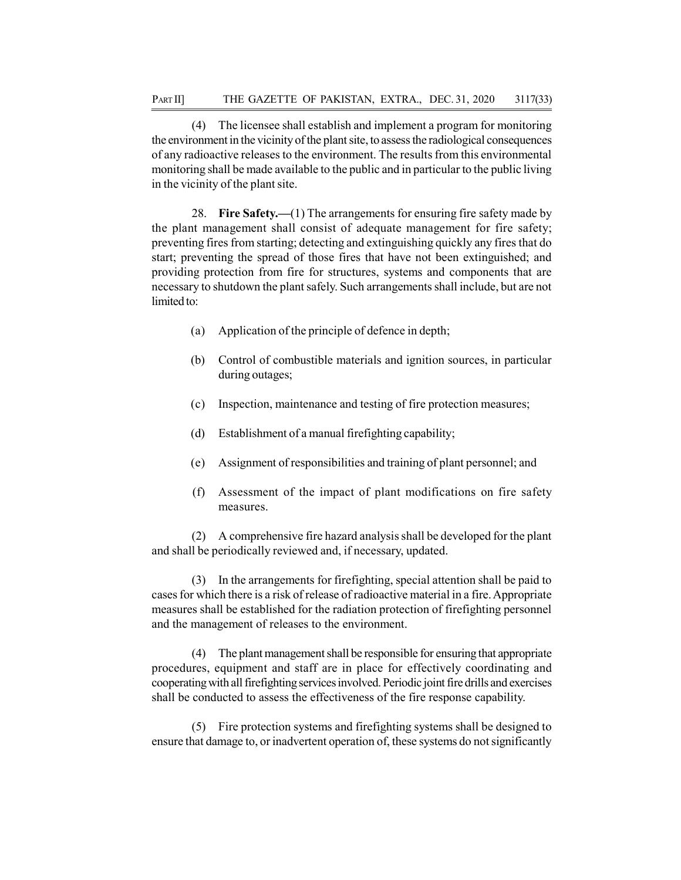(4) The licensee shall establish and implement a program for monitoring the environment in the vicinity of the plant site, to assess the radiological consequences of any radioactive releases to the environment. The results from this environmental monitoring shall be made available to the public and in particular to the public living in the vicinity of the plant site.

28. Fire Safety.—(1) The arrangements for ensuring fire safety made by the plant management shall consist of adequate management for fire safety; preventing fires from starting; detecting and extinguishing quickly any fires that do start; preventing the spread of those fires that have not been extinguished; and providing protection from fire for structures, systems and components that are necessary to shutdown the plant safely. Such arrangements shall include, but are not limited to:

- (a) Application of the principle of defence in depth;
- (b) Control of combustible materials and ignition sources, in particular during outages;
- (c) Inspection, maintenance and testing of fire protection measures;
- (d) Establishment of a manual firefighting capability;
- (e) Assignment of responsibilities and training of plant personnel; and
- (f) Assessment of the impact of plant modifications on fire safety measures.

(2) A comprehensive fire hazard analysis shall be developed for the plant and shall be periodically reviewed and, if necessary, updated.

(3) In the arrangements for firefighting, special attention shall be paid to cases for which there is a risk of release of radioactive material in a fire. Appropriate measures shall be established for the radiation protection of firefighting personnel and the management of releases to the environment.

(4) The plant management shall be responsible for ensuring that appropriate procedures, equipment and staff are in place for effectively coordinating and cooperating with all firefighting services involved. Periodic joint fire drills and exercises shall be conducted to assess the effectiveness of the fire response capability.

(5) Fire protection systems and firefighting systems shall be designed to ensure that damage to, or inadvertent operation of, these systems do not significantly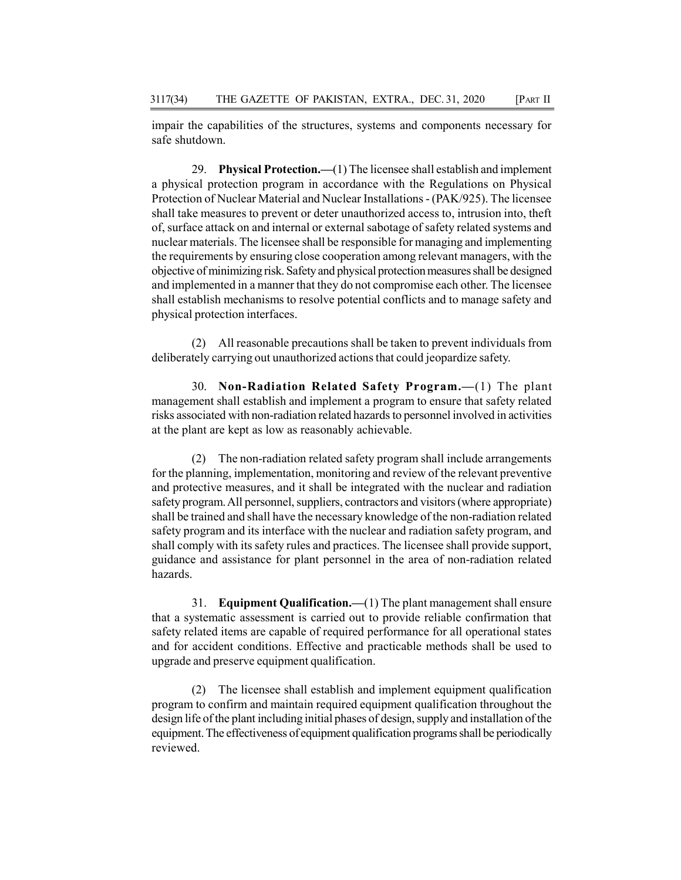impair the capabilities of the structures, systems and components necessary for safe shutdown.

29. Physical Protection.—(1) The licensee shall establish and implement a physical protection program in accordance with the Regulations on Physical Protection of Nuclear Material and Nuclear Installations - (PAK/925). The licensee shall take measures to prevent or deter unauthorized access to, intrusion into, theft of, surface attack on and internal or external sabotage of safety related systems and nuclear materials. The licensee shall be responsible for managing and implementing the requirements by ensuring close cooperation among relevant managers, with the objective of minimizing risk. Safety and physical protection measures shall be designed and implemented in a manner that they do not compromise each other. The licensee shall establish mechanisms to resolve potential conflicts and to manage safety and physical protection interfaces.

(2) All reasonable precautions shall be taken to prevent individuals from deliberately carrying out unauthorized actions that could jeopardize safety.

30. Non-Radiation Related Safety Program.—(1) The plant management shall establish and implement a program to ensure that safety related risks associated with non-radiation related hazards to personnel involved in activities at the plant are kept as low as reasonably achievable.

(2) The non-radiation related safety program shall include arrangements for the planning, implementation, monitoring and review of the relevant preventive and protective measures, and it shall be integrated with the nuclear and radiation safety program. All personnel, suppliers, contractors and visitors (where appropriate) shall be trained and shall have the necessary knowledge of the non-radiation related safety program and its interface with the nuclear and radiation safety program, and shall comply with its safety rules and practices. The licensee shall provide support, guidance and assistance for plant personnel in the area of non-radiation related hazards.

31. Equipment Qualification.—(1) The plant management shall ensure that a systematic assessment is carried out to provide reliable confirmation that safety related items are capable of required performance for all operational states and for accident conditions. Effective and practicable methods shall be used to upgrade and preserve equipment qualification.

(2) The licensee shall establish and implement equipment qualification program to confirm and maintain required equipment qualification throughout the design life of the plant including initial phases of design, supply and installation of the equipment. The effectiveness of equipment qualification programs shall be periodically reviewed.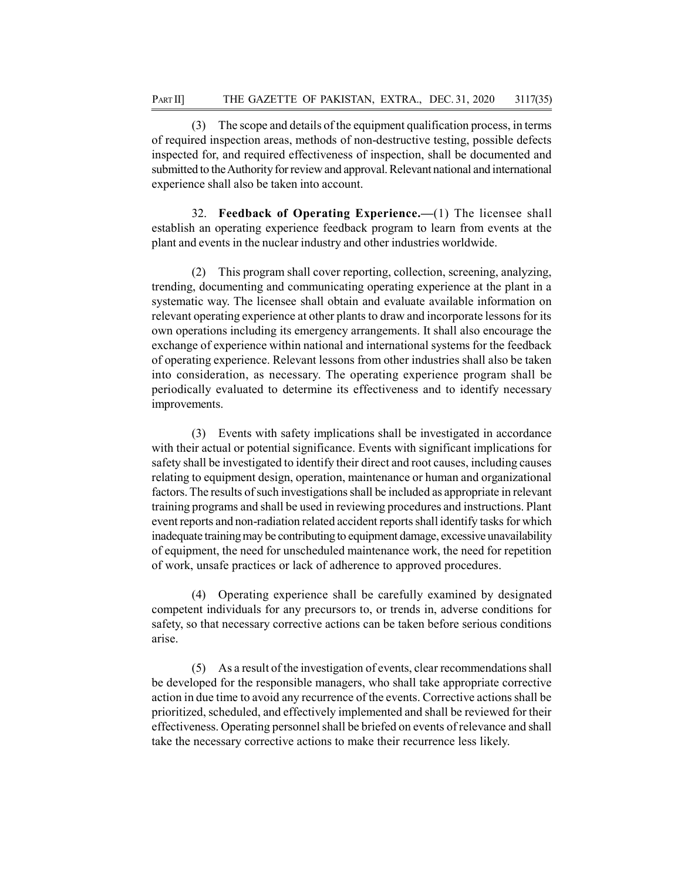(3) The scope and details of the equipment qualification process, in terms of required inspection areas, methods of non-destructive testing, possible defects inspected for, and required effectiveness of inspection, shall be documented and submitted to the Authority for review and approval. Relevant national and international experience shall also be taken into account.

32. Feedback of Operating Experience.—(1) The licensee shall establish an operating experience feedback program to learn from events at the plant and events in the nuclear industry and other industries worldwide.

(2) This program shall cover reporting, collection, screening, analyzing, trending, documenting and communicating operating experience at the plant in a systematic way. The licensee shall obtain and evaluate available information on relevant operating experience at other plants to draw and incorporate lessons for its own operations including its emergency arrangements. It shall also encourage the exchange of experience within national and international systems for the feedback of operating experience. Relevant lessons from other industries shall also be taken into consideration, as necessary. The operating experience program shall be periodically evaluated to determine its effectiveness and to identify necessary improvements.

(3) Events with safety implications shall be investigated in accordance with their actual or potential significance. Events with significant implications for safety shall be investigated to identify their direct and root causes, including causes relating to equipment design, operation, maintenance or human and organizational factors. The results of such investigations shall be included as appropriate in relevant training programs and shall be used in reviewing procedures and instructions. Plant event reports and non-radiation related accident reports shall identify tasks for which inadequate training may be contributing to equipment damage, excessive unavailability of equipment, the need for unscheduled maintenance work, the need for repetition of work, unsafe practices or lack of adherence to approved procedures.

(4) Operating experience shall be carefully examined by designated competent individuals for any precursors to, or trends in, adverse conditions for safety, so that necessary corrective actions can be taken before serious conditions arise.

(5) As a result of the investigation of events, clear recommendations shall be developed for the responsible managers, who shall take appropriate corrective action in due time to avoid any recurrence of the events. Corrective actions shall be prioritized, scheduled, and effectively implemented and shall be reviewed for their effectiveness. Operating personnel shall be briefed on events of relevance and shall take the necessary corrective actions to make their recurrence less likely.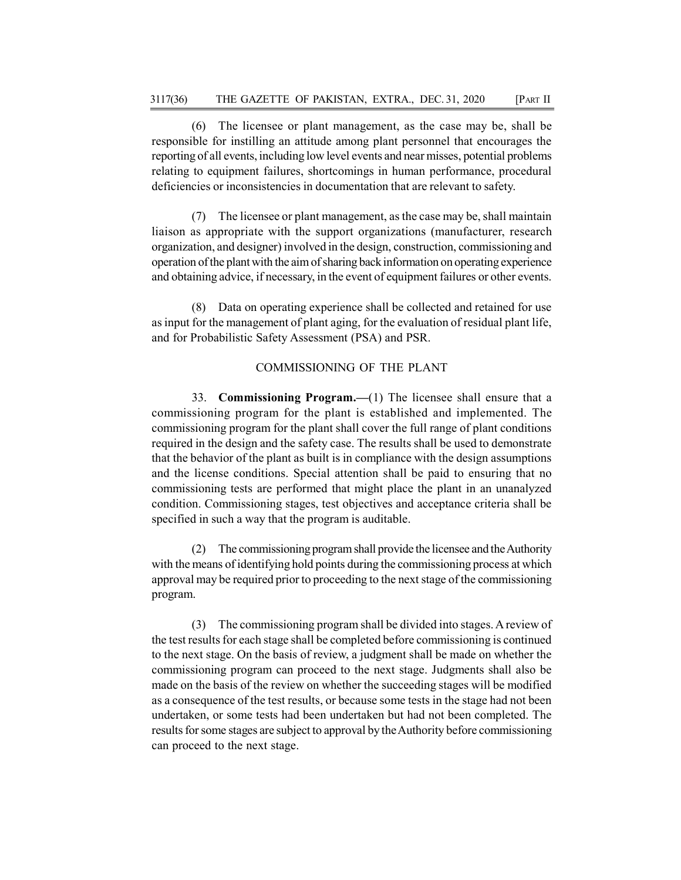(6) The licensee or plant management, as the case may be, shall be responsible for instilling an attitude among plant personnel that encourages the reporting of all events, including low level events and near misses, potential problems relating to equipment failures, shortcomings in human performance, procedural deficiencies or inconsistencies in documentation that are relevant to safety.

(7) The licensee or plant management, as the case may be, shall maintain liaison as appropriate with the support organizations (manufacturer, research organization, and designer) involved in the design, construction, commissioning and operation of the plant with the aim of sharing back information on operating experience and obtaining advice, if necessary, in the event of equipment failures or other events.

(8) Data on operating experience shall be collected and retained for use as input for the management of plant aging, for the evaluation of residual plant life, and for Probabilistic Safety Assessment (PSA) and PSR.

# COMMISSIONING OF THE PLANT

33. Commissioning Program.—(1) The licensee shall ensure that a commissioning program for the plant is established and implemented. The commissioning program for the plant shall cover the full range of plant conditions required in the design and the safety case. The results shall be used to demonstrate that the behavior of the plant as built is in compliance with the design assumptions and the license conditions. Special attention shall be paid to ensuring that no commissioning tests are performed that might place the plant in an unanalyzed condition. Commissioning stages, test objectives and acceptance criteria shall be specified in such a way that the program is auditable.

(2) The commissioning program shall provide the licensee and the Authority with the means of identifying hold points during the commissioning process at which approval may be required prior to proceeding to the next stage of the commissioning program.

(3) The commissioning program shall be divided into stages. A review of the test results for each stage shall be completed before commissioning is continued to the next stage. On the basis of review, a judgment shall be made on whether the commissioning program can proceed to the next stage. Judgments shall also be made on the basis of the review on whether the succeeding stages will be modified as a consequence of the test results, or because some tests in the stage had not been undertaken, or some tests had been undertaken but had not been completed. The results for some stages are subject to approval by the Authority before commissioning can proceed to the next stage.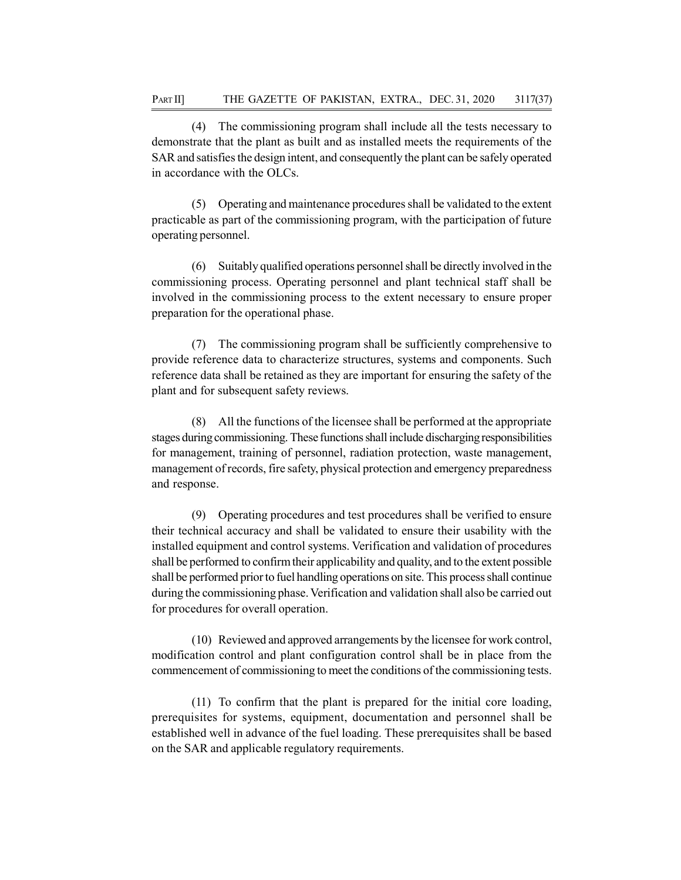(4) The commissioning program shall include all the tests necessary to demonstrate that the plant as built and as installed meets the requirements of the SAR and satisfies the design intent, and consequently the plant can be safely operated in accordance with the OLCs.

(5) Operating and maintenance procedures shall be validated to the extent practicable as part of the commissioning program, with the participation of future operating personnel.

(6) Suitably qualified operations personnel shall be directly involved in the commissioning process. Operating personnel and plant technical staff shall be involved in the commissioning process to the extent necessary to ensure proper preparation for the operational phase.

(7) The commissioning program shall be sufficiently comprehensive to provide reference data to characterize structures, systems and components. Such reference data shall be retained as they are important for ensuring the safety of the plant and for subsequent safety reviews.

(8) All the functions of the licensee shall be performed at the appropriate stages during commissioning. These functions shall include discharging responsibilities for management, training of personnel, radiation protection, waste management, management of records, fire safety, physical protection and emergency preparedness and response.

(9) Operating procedures and test procedures shall be verified to ensure their technical accuracy and shall be validated to ensure their usability with the installed equipment and control systems. Verification and validation of procedures shall be performed to confirm their applicability and quality, and to the extent possible shall be performed prior to fuel handling operations on site. This process shall continue during the commissioning phase. Verification and validation shall also be carried out for procedures for overall operation.

(10) Reviewed and approved arrangements by the licensee for work control, modification control and plant configuration control shall be in place from the commencement of commissioning to meet the conditions of the commissioning tests.

(11) To confirm that the plant is prepared for the initial core loading, prerequisites for systems, equipment, documentation and personnel shall be established well in advance of the fuel loading. These prerequisites shall be based on the SAR and applicable regulatory requirements.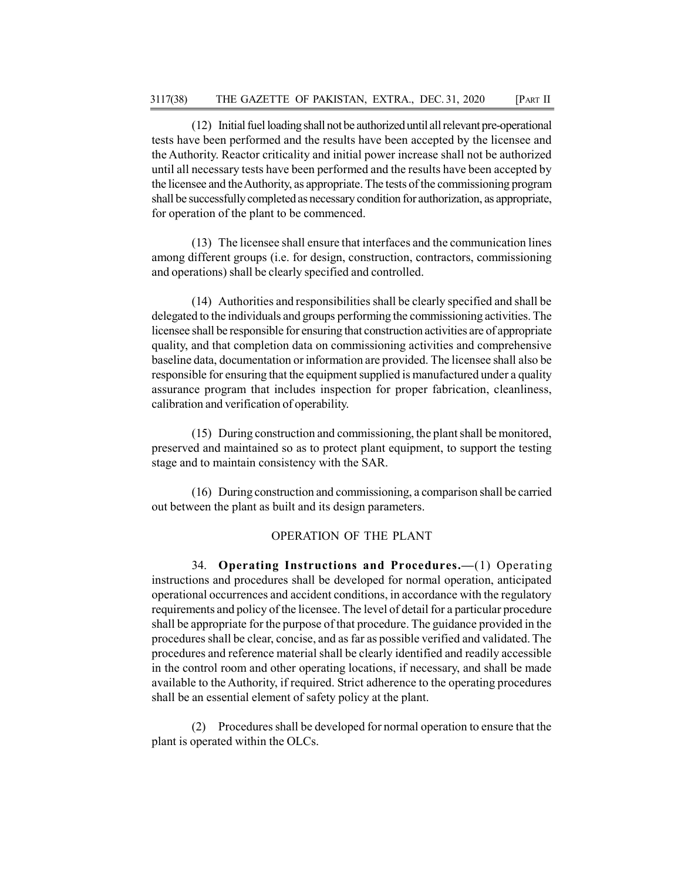(12) Initial fuel loading shall not be authorized until all relevant pre-operational tests have been performed and the results have been accepted by the licensee and the Authority. Reactor criticality and initial power increase shall not be authorized until all necessary tests have been performed and the results have been accepted by the licensee and the Authority, as appropriate. The tests of the commissioning program shall be successfully completed as necessary condition for authorization, as appropriate, for operation of the plant to be commenced.

(13) The licensee shall ensure that interfaces and the communication lines among different groups (i.e. for design, construction, contractors, commissioning and operations) shall be clearly specified and controlled.

(14) Authorities and responsibilities shall be clearly specified and shall be delegated to the individuals and groups performing the commissioning activities. The licensee shall be responsible for ensuring that construction activities are of appropriate quality, and that completion data on commissioning activities and comprehensive baseline data, documentation or information are provided. The licensee shall also be responsible for ensuring that the equipment supplied is manufactured under a quality assurance program that includes inspection for proper fabrication, cleanliness, calibration and verification of operability.

(15) During construction and commissioning, the plant shall be monitored, preserved and maintained so as to protect plant equipment, to support the testing stage and to maintain consistency with the SAR.

(16) During construction and commissioning, a comparison shall be carried out between the plant as built and its design parameters.

#### OPERATION OF THE PLANT

34. Operating Instructions and Procedures.—(1) Operating instructions and procedures shall be developed for normal operation, anticipated operational occurrences and accident conditions, in accordance with the regulatory requirements and policy of the licensee. The level of detail for a particular procedure shall be appropriate for the purpose of that procedure. The guidance provided in the procedures shall be clear, concise, and as far as possible verified and validated. The procedures and reference material shall be clearly identified and readily accessible in the control room and other operating locations, if necessary, and shall be made available to the Authority, if required. Strict adherence to the operating procedures shall be an essential element of safety policy at the plant.

(2) Procedures shall be developed for normal operation to ensure that the plant is operated within the OLCs.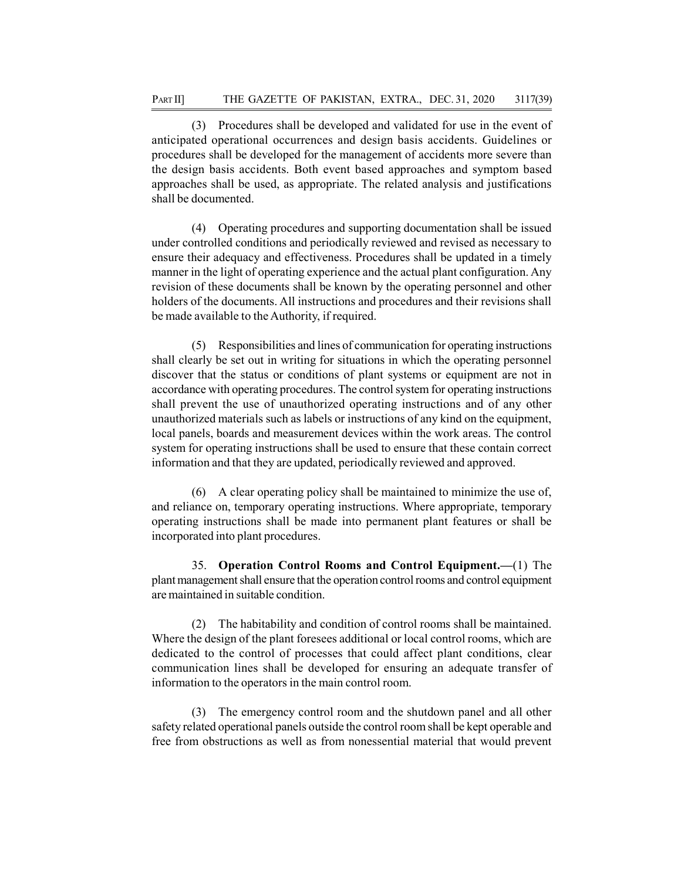(3) Procedures shall be developed and validated for use in the event of anticipated operational occurrences and design basis accidents. Guidelines or procedures shall be developed for the management of accidents more severe than the design basis accidents. Both event based approaches and symptom based approaches shall be used, as appropriate. The related analysis and justifications shall be documented.

(4) Operating procedures and supporting documentation shall be issued under controlled conditions and periodically reviewed and revised as necessary to ensure their adequacy and effectiveness. Procedures shall be updated in a timely manner in the light of operating experience and the actual plant configuration. Any revision of these documents shall be known by the operating personnel and other holders of the documents. All instructions and procedures and their revisions shall be made available to the Authority, if required.

(5) Responsibilities and lines of communication for operating instructions shall clearly be set out in writing for situations in which the operating personnel discover that the status or conditions of plant systems or equipment are not in accordance with operating procedures. The control system for operating instructions shall prevent the use of unauthorized operating instructions and of any other unauthorized materials such as labels or instructions of any kind on the equipment, local panels, boards and measurement devices within the work areas. The control system for operating instructions shall be used to ensure that these contain correct information and that they are updated, periodically reviewed and approved.

(6) A clear operating policy shall be maintained to minimize the use of, and reliance on, temporary operating instructions. Where appropriate, temporary operating instructions shall be made into permanent plant features or shall be incorporated into plant procedures.

35. Operation Control Rooms and Control Equipment.—(1) The plant management shall ensure that the operation control rooms and control equipment are maintained in suitable condition.

(2) The habitability and condition of control rooms shall be maintained. Where the design of the plant foresees additional or local control rooms, which are dedicated to the control of processes that could affect plant conditions, clear communication lines shall be developed for ensuring an adequate transfer of information to the operators in the main control room.

(3) The emergency control room and the shutdown panel and all other safety related operational panels outside the control room shall be kept operable and free from obstructions as well as from nonessential material that would prevent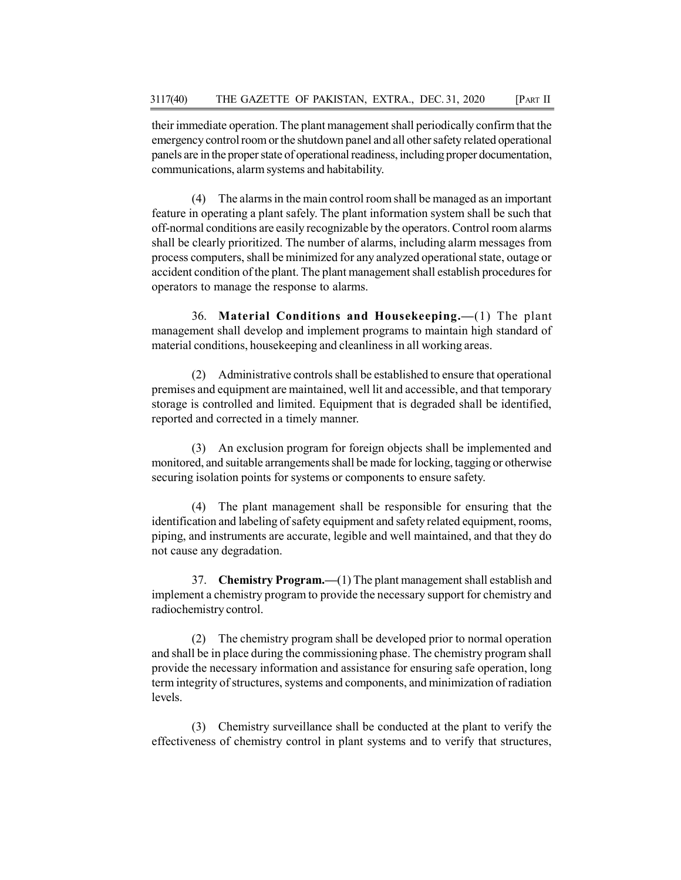their immediate operation. The plant management shall periodically confirm that the emergency control room or the shutdown panel and all other safety related operational panels are in the proper state of operational readiness, including proper documentation, communications, alarm systems and habitability.

(4) The alarms in the main control room shall be managed as an important feature in operating a plant safely. The plant information system shall be such that off-normal conditions are easily recognizable by the operators. Control room alarms shall be clearly prioritized. The number of alarms, including alarm messages from process computers, shall be minimized for any analyzed operational state, outage or accident condition of the plant. The plant management shall establish procedures for operators to manage the response to alarms.

36. Material Conditions and Housekeeping.—(1) The plant management shall develop and implement programs to maintain high standard of material conditions, housekeeping and cleanliness in all working areas.

(2) Administrative controls shall be established to ensure that operational premises and equipment are maintained, well lit and accessible, and that temporary storage is controlled and limited. Equipment that is degraded shall be identified, reported and corrected in a timely manner.

(3) An exclusion program for foreign objects shall be implemented and monitored, and suitable arrangements shall be made for locking, tagging or otherwise securing isolation points for systems or components to ensure safety.

(4) The plant management shall be responsible for ensuring that the identification and labeling of safety equipment and safety related equipment, rooms, piping, and instruments are accurate, legible and well maintained, and that they do not cause any degradation.

37. Chemistry Program.—(1) The plant management shall establish and implement a chemistry program to provide the necessary support for chemistry and radiochemistry control.

(2) The chemistry program shall be developed prior to normal operation and shall be in place during the commissioning phase. The chemistry program shall provide the necessary information and assistance for ensuring safe operation, long term integrity of structures, systems and components, and minimization of radiation levels.

(3) Chemistry surveillance shall be conducted at the plant to verify the effectiveness of chemistry control in plant systems and to verify that structures,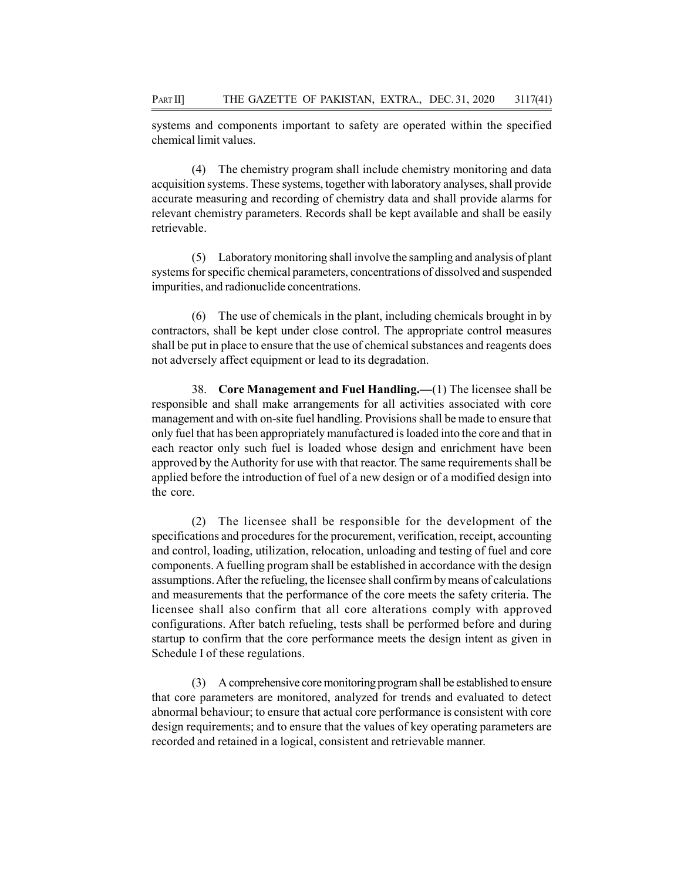systems and components important to safety are operated within the specified chemical limit values.

(4) The chemistry program shall include chemistry monitoring and data acquisition systems. These systems, together with laboratory analyses, shall provide accurate measuring and recording of chemistry data and shall provide alarms for relevant chemistry parameters. Records shall be kept available and shall be easily retrievable.

(5) Laboratory monitoring shall involve the sampling and analysis of plant systems for specific chemical parameters, concentrations of dissolved and suspended impurities, and radionuclide concentrations.

(6) The use of chemicals in the plant, including chemicals brought in by contractors, shall be kept under close control. The appropriate control measures shall be put in place to ensure that the use of chemical substances and reagents does not adversely affect equipment or lead to its degradation.

38. Core Management and Fuel Handling.—(1) The licensee shall be responsible and shall make arrangements for all activities associated with core management and with on-site fuel handling. Provisions shall be made to ensure that only fuel that has been appropriately manufactured is loaded into the core and that in each reactor only such fuel is loaded whose design and enrichment have been approved by the Authority for use with that reactor. The same requirements shall be applied before the introduction of fuel of a new design or of a modified design into the core.

(2) The licensee shall be responsible for the development of the specifications and procedures for the procurement, verification, receipt, accounting and control, loading, utilization, relocation, unloading and testing of fuel and core components. A fuelling program shall be established in accordance with the design assumptions. After the refueling, the licensee shall confirm by means of calculations and measurements that the performance of the core meets the safety criteria. The licensee shall also confirm that all core alterations comply with approved configurations. After batch refueling, tests shall be performed before and during startup to confirm that the core performance meets the design intent as given in Schedule I of these regulations.

(3) A comprehensive core monitoring program shall be established to ensure that core parameters are monitored, analyzed for trends and evaluated to detect abnormal behaviour; to ensure that actual core performance is consistent with core design requirements; and to ensure that the values of key operating parameters are recorded and retained in a logical, consistent and retrievable manner.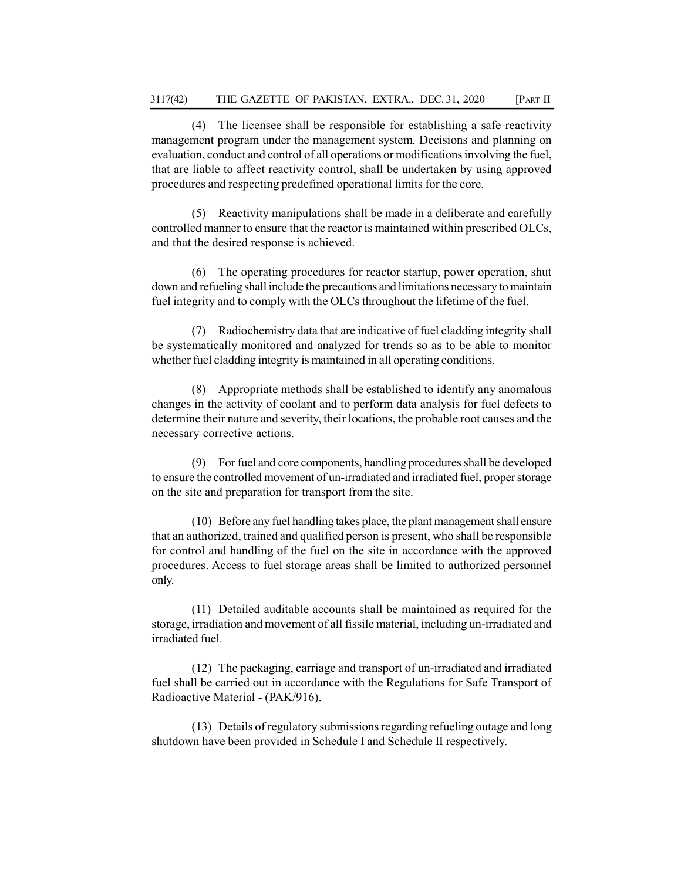(4) The licensee shall be responsible for establishing a safe reactivity management program under the management system. Decisions and planning on evaluation, conduct and control of all operations or modifications involving the fuel, that are liable to affect reactivity control, shall be undertaken by using approved procedures and respecting predefined operational limits for the core.

(5) Reactivity manipulations shall be made in a deliberate and carefully controlled manner to ensure that the reactor is maintained within prescribed OLCs, and that the desired response is achieved.

(6) The operating procedures for reactor startup, power operation, shut down and refueling shall include the precautions and limitations necessary to maintain fuel integrity and to comply with the OLCs throughout the lifetime of the fuel.

(7) Radiochemistry data that are indicative of fuel cladding integrity shall be systematically monitored and analyzed for trends so as to be able to monitor whether fuel cladding integrity is maintained in all operating conditions.

(8) Appropriate methods shall be established to identify any anomalous changes in the activity of coolant and to perform data analysis for fuel defects to determine their nature and severity, their locations, the probable root causes and the necessary corrective actions.

(9) For fuel and core components, handling procedures shall be developed to ensure the controlled movement of un-irradiated and irradiated fuel, proper storage on the site and preparation for transport from the site.

(10) Before any fuel handling takes place, the plant management shall ensure that an authorized, trained and qualified person is present, who shall be responsible for control and handling of the fuel on the site in accordance with the approved procedures. Access to fuel storage areas shall be limited to authorized personnel only.

(11) Detailed auditable accounts shall be maintained as required for the storage, irradiation and movement of all fissile material, including un-irradiated and irradiated fuel.

(12) The packaging, carriage and transport of un-irradiated and irradiated fuel shall be carried out in accordance with the Regulations for Safe Transport of Radioactive Material - (PAK/916).

(13) Details of regulatory submissions regarding refueling outage and long shutdown have been provided in Schedule I and Schedule II respectively.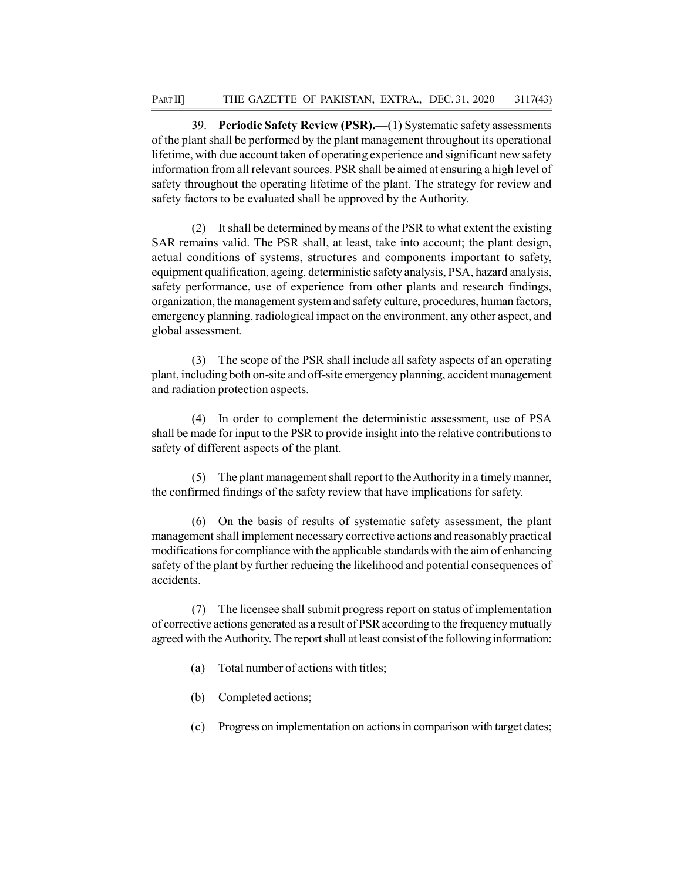39. Periodic Safety Review (PSR).—(1) Systematic safety assessments of the plant shall be performed by the plant management throughout its operational lifetime, with due account taken of operating experience and significant new safety information from all relevant sources. PSR shall be aimed at ensuring a high level of safety throughout the operating lifetime of the plant. The strategy for review and safety factors to be evaluated shall be approved by the Authority.

(2) It shall be determined by means of the PSR to what extent the existing SAR remains valid. The PSR shall, at least, take into account; the plant design, actual conditions of systems, structures and components important to safety, equipment qualification, ageing, deterministic safety analysis, PSA, hazard analysis, safety performance, use of experience from other plants and research findings, organization, the management system and safety culture, procedures, human factors, emergency planning, radiological impact on the environment, any other aspect, and global assessment.

(3) The scope of the PSR shall include all safety aspects of an operating plant, including both on-site and off-site emergency planning, accident management and radiation protection aspects.

(4) In order to complement the deterministic assessment, use of PSA shall be made for input to the PSR to provide insight into the relative contributions to safety of different aspects of the plant.

(5) The plant management shall report to the Authority in a timely manner, the confirmed findings of the safety review that have implications for safety.

(6) On the basis of results of systematic safety assessment, the plant management shall implement necessary corrective actions and reasonably practical modifications for compliance with the applicable standards with the aim of enhancing safety of the plant by further reducing the likelihood and potential consequences of accidents.

(7) The licensee shall submit progress report on status of implementation of corrective actions generated as a result of PSR according to the frequency mutually agreed with the Authority. The report shall at least consist of the following information:

- (a) Total number of actions with titles;
- (b) Completed actions;
- (c) Progress on implementation on actions in comparison with target dates;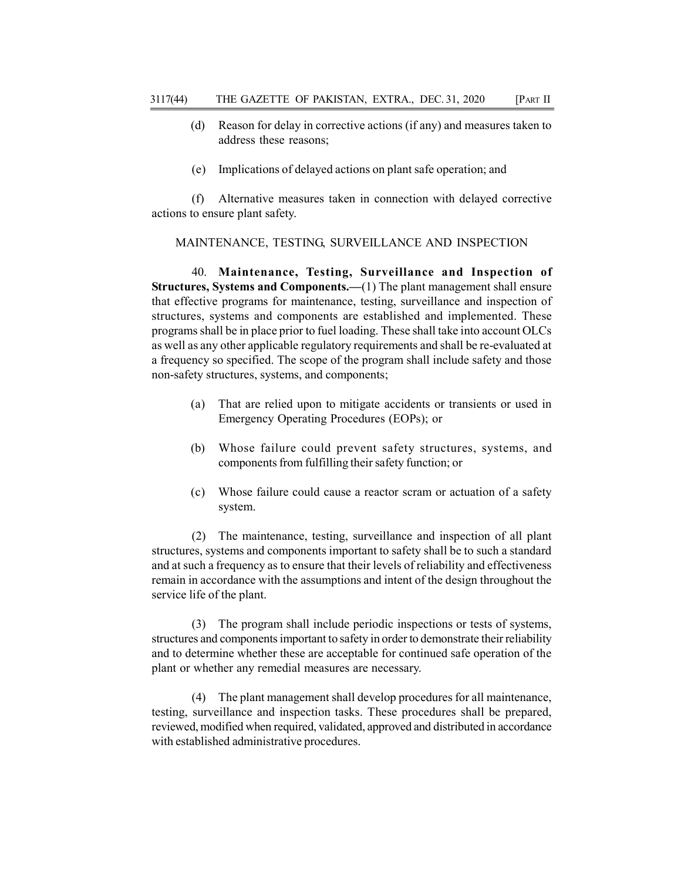- (d) Reason for delay in corrective actions (if any) and measures taken to address these reasons;
- (e) Implications of delayed actions on plant safe operation; and

(f) Alternative measures taken in connection with delayed corrective actions to ensure plant safety.

## MAINTENANCE, TESTING, SURVEILLANCE AND INSPECTION

40. Maintenance, Testing, Surveillance and Inspection of Structures, Systems and Components.—(1) The plant management shall ensure that effective programs for maintenance, testing, surveillance and inspection of structures, systems and components are established and implemented. These programs shall be in place prior to fuel loading. These shall take into account OLCs as well as any other applicable regulatory requirements and shall be re-evaluated at a frequency so specified. The scope of the program shall include safety and those non-safety structures, systems, and components;

- (a) That are relied upon to mitigate accidents or transients or used in Emergency Operating Procedures (EOPs); or
- (b) Whose failure could prevent safety structures, systems, and components from fulfilling their safety function; or
- (c) Whose failure could cause a reactor scram or actuation of a safety system.

(2) The maintenance, testing, surveillance and inspection of all plant structures, systems and components important to safety shall be to such a standard and at such a frequency as to ensure that their levels of reliability and effectiveness remain in accordance with the assumptions and intent of the design throughout the service life of the plant.

(3) The program shall include periodic inspections or tests of systems, structures and components important to safety in order to demonstrate their reliability and to determine whether these are acceptable for continued safe operation of the plant or whether any remedial measures are necessary.

(4) The plant management shall develop procedures for all maintenance, testing, surveillance and inspection tasks. These procedures shall be prepared, reviewed, modified when required, validated, approved and distributed in accordance with established administrative procedures.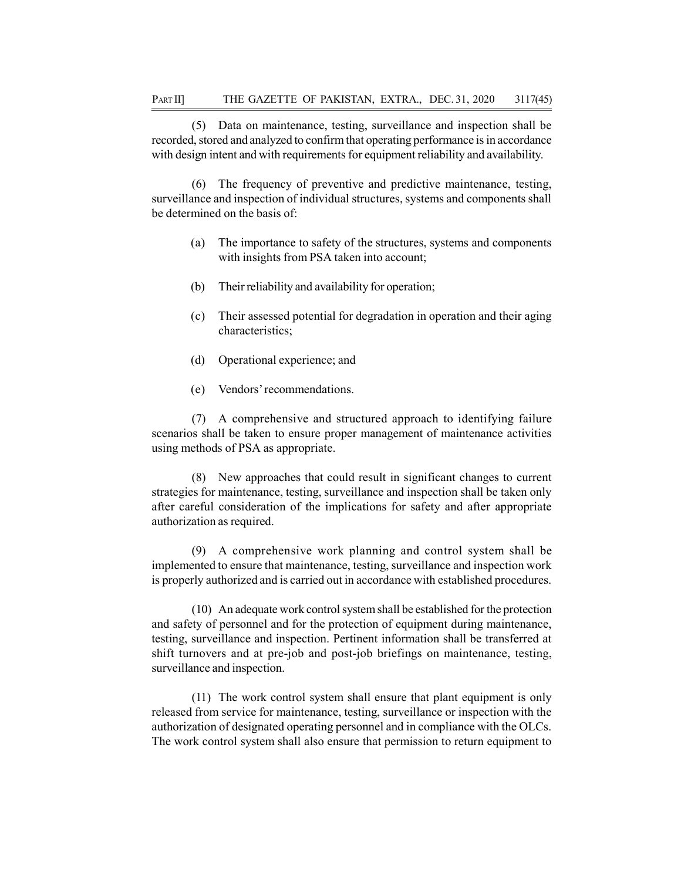(5) Data on maintenance, testing, surveillance and inspection shall be recorded, stored and analyzed to confirm that operating performance is in accordance with design intent and with requirements for equipment reliability and availability.

(6) The frequency of preventive and predictive maintenance, testing, surveillance and inspection of individual structures, systems and components shall be determined on the basis of:

- (a) The importance to safety of the structures, systems and components with insights from PSA taken into account;
- (b) Their reliability and availability for operation;
- (c) Their assessed potential for degradation in operation and their aging characteristics;
- (d) Operational experience; and
- (e) Vendors' recommendations.

(7) A comprehensive and structured approach to identifying failure scenarios shall be taken to ensure proper management of maintenance activities using methods of PSA as appropriate.

(8) New approaches that could result in significant changes to current strategies for maintenance, testing, surveillance and inspection shall be taken only after careful consideration of the implications for safety and after appropriate authorization as required.

(9) A comprehensive work planning and control system shall be implemented to ensure that maintenance, testing, surveillance and inspection work is properly authorized and is carried out in accordance with established procedures.

(10) An adequate work control system shall be established for the protection and safety of personnel and for the protection of equipment during maintenance, testing, surveillance and inspection. Pertinent information shall be transferred at shift turnovers and at pre-job and post-job briefings on maintenance, testing, surveillance and inspection.

(11) The work control system shall ensure that plant equipment is only released from service for maintenance, testing, surveillance or inspection with the authorization of designated operating personnel and in compliance with the OLCs. The work control system shall also ensure that permission to return equipment to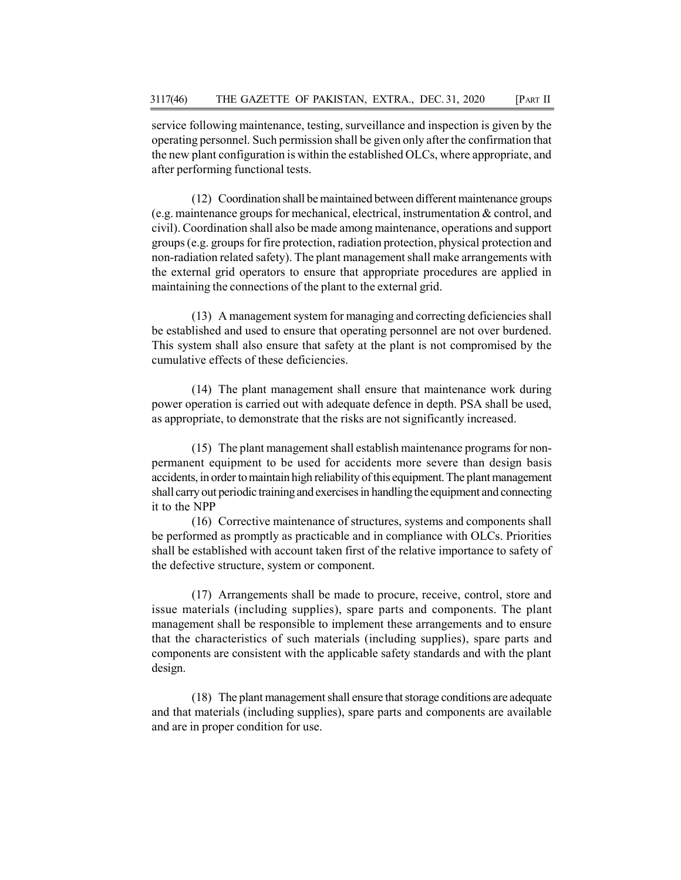service following maintenance, testing, surveillance and inspection is given by the operating personnel. Such permission shall be given only after the confirmation that the new plant configuration is within the established OLCs, where appropriate, and after performing functional tests.

(12) Coordination shall be maintained between different maintenance groups (e.g. maintenance groups for mechanical, electrical, instrumentation & control, and civil). Coordination shall also be made among maintenance, operations and support groups (e.g. groups for fire protection, radiation protection, physical protection and non-radiation related safety). The plant management shall make arrangements with the external grid operators to ensure that appropriate procedures are applied in maintaining the connections of the plant to the external grid.

(13) A management system for managing and correcting deficiencies shall be established and used to ensure that operating personnel are not over burdened. This system shall also ensure that safety at the plant is not compromised by the cumulative effects of these deficiencies.

(14) The plant management shall ensure that maintenance work during power operation is carried out with adequate defence in depth. PSA shall be used, as appropriate, to demonstrate that the risks are not significantly increased.

(15) The plant management shall establish maintenance programs for nonpermanent equipment to be used for accidents more severe than design basis accidents, in order to maintain high reliability of this equipment. The plant management shall carry out periodic training and exercises in handling the equipment and connecting it to the NPP

(16) Corrective maintenance of structures, systems and components shall be performed as promptly as practicable and in compliance with OLCs. Priorities shall be established with account taken first of the relative importance to safety of the defective structure, system or component.

(17) Arrangements shall be made to procure, receive, control, store and issue materials (including supplies), spare parts and components. The plant management shall be responsible to implement these arrangements and to ensure that the characteristics of such materials (including supplies), spare parts and components are consistent with the applicable safety standards and with the plant design.

(18) The plant management shall ensure that storage conditions are adequate and that materials (including supplies), spare parts and components are available and are in proper condition for use.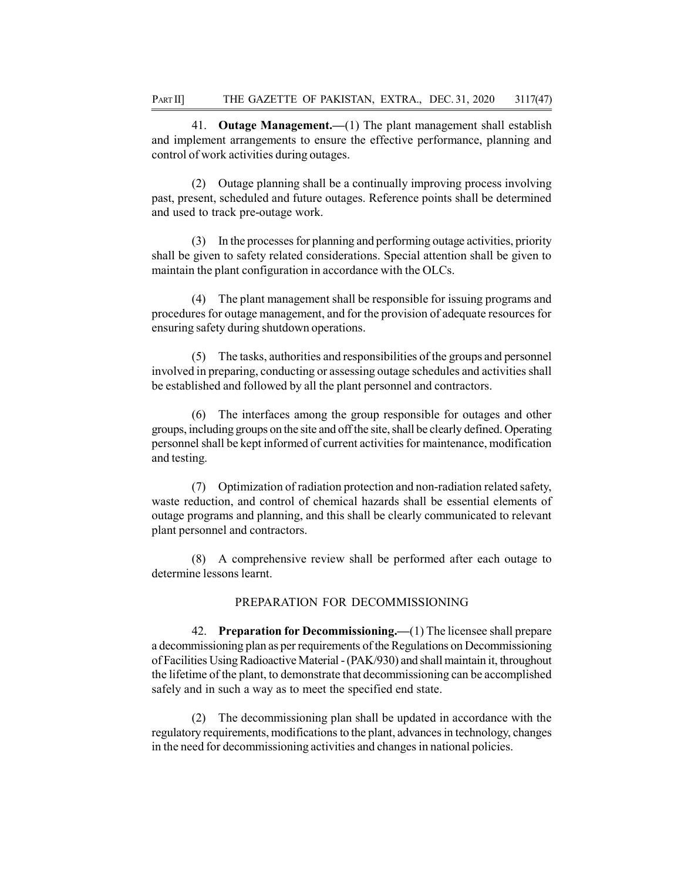41. Outage Management.—(1) The plant management shall establish and implement arrangements to ensure the effective performance, planning and control of work activities during outages.

(2) Outage planning shall be a continually improving process involving past, present, scheduled and future outages. Reference points shall be determined and used to track pre-outage work.

(3) In the processes for planning and performing outage activities, priority shall be given to safety related considerations. Special attention shall be given to maintain the plant configuration in accordance with the OLCs.

(4) The plant management shall be responsible for issuing programs and procedures for outage management, and for the provision of adequate resources for ensuring safety during shutdown operations.

(5) The tasks, authorities and responsibilities of the groups and personnel involved in preparing, conducting or assessing outage schedules and activities shall be established and followed by all the plant personnel and contractors.

(6) The interfaces among the group responsible for outages and other groups, including groups on the site and off the site, shall be clearly defined. Operating personnel shall be kept informed of current activities for maintenance, modification and testing.

(7) Optimization of radiation protection and non-radiation related safety, waste reduction, and control of chemical hazards shall be essential elements of outage programs and planning, and this shall be clearly communicated to relevant plant personnel and contractors.

(8) A comprehensive review shall be performed after each outage to determine lessons learnt.

### PREPARATION FOR DECOMMISSIONING

42. Preparation for Decommissioning.—(1) The licensee shall prepare a decommissioning plan as per requirements of the Regulations on Decommissioning of Facilities Using Radioactive Material - (PAK/930) and shall maintain it, throughout the lifetime of the plant, to demonstrate that decommissioning can be accomplished safely and in such a way as to meet the specified end state.

(2) The decommissioning plan shall be updated in accordance with the regulatory requirements, modifications to the plant, advances in technology, changes in the need for decommissioning activities and changes in national policies.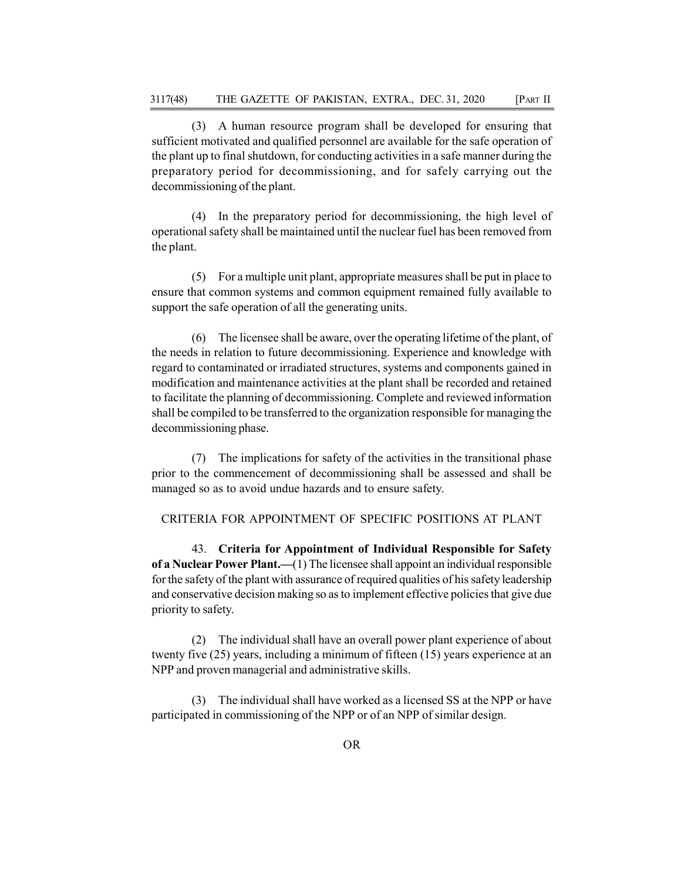(3) A human resource program shall be developed for ensuring that sufficient motivated and qualified personnel are available for the safe operation of the plant up to final shutdown, for conducting activities in a safe manner during the preparatory period for decommissioning, and for safely carrying out the decommissioning of the plant.

(4) In the preparatory period for decommissioning, the high level of operational safety shall be maintained until the nuclear fuel has been removed from the plant.

(5) For a multiple unit plant, appropriate measures shall be put in place to ensure that common systems and common equipment remained fully available to support the safe operation of all the generating units.

(6) The licensee shall be aware, over the operating lifetime of the plant, of the needs in relation to future decommissioning. Experience and knowledge with regard to contaminated or irradiated structures, systems and components gained in modification and maintenance activities at the plant shall be recorded and retained to facilitate the planning of decommissioning. Complete and reviewed information shall be compiled to be transferred to the organization responsible for managing the decommissioning phase.

(7) The implications for safety of the activities in the transitional phase prior to the commencement of decommissioning shall be assessed and shall be managed so as to avoid undue hazards and to ensure safety.

CRITERIA FOR APPOINTMENT OF SPECIFIC POSITIONS AT PLANT

43. Criteria for Appointment of Individual Responsible for Safety of a Nuclear Power Plant.—(1) The licensee shall appoint an individual responsible for the safety of the plant with assurance of required qualities of his safety leadership and conservative decision making so as to implement effective policies that give due priority to safety.

(2) The individual shall have an overall power plant experience of about twenty five (25) years, including a minimum of fifteen (15) years experience at an NPP and proven managerial and administrative skills.

The individual shall have worked as a licensed SS at the NPP or have participated in commissioning of the NPP or of an NPP of similar design.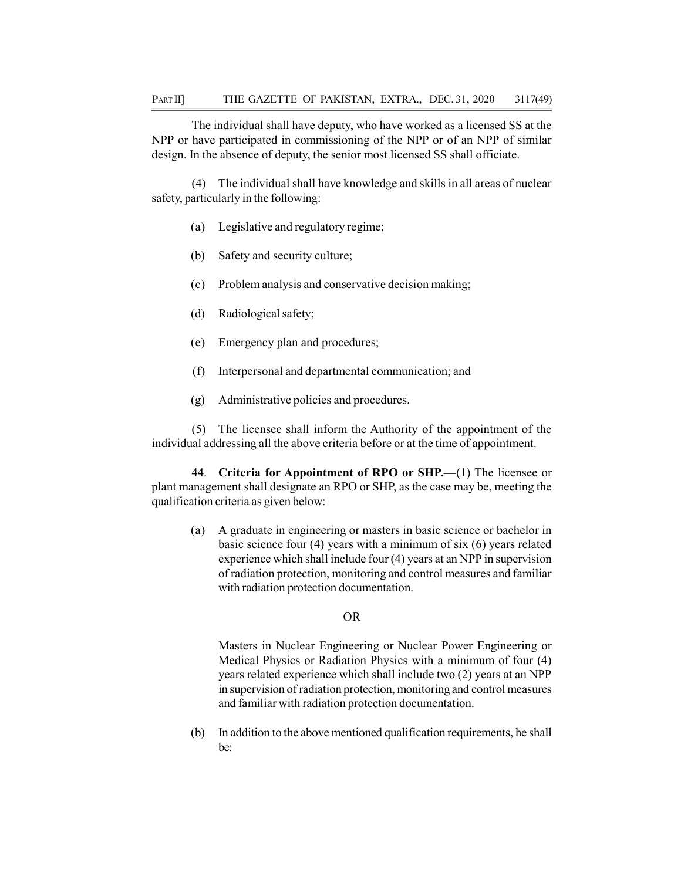The individual shall have deputy, who have worked as a licensed SS at the NPP or have participated in commissioning of the NPP or of an NPP of similar design. In the absence of deputy, the senior most licensed SS shall officiate.

(4) The individual shall have knowledge and skills in all areas of nuclear safety, particularly in the following:

- (a) Legislative and regulatory regime;
- (b) Safety and security culture;
- (c) Problem analysis and conservative decision making;
- (d) Radiological safety;
- (e) Emergency plan and procedures;
- (f) Interpersonal and departmental communication; and
- (g) Administrative policies and procedures.

(5) The licensee shall inform the Authority of the appointment of the individual addressing all the above criteria before or at the time of appointment.

44. Criteria for Appointment of RPO or SHP.—(1) The licensee or plant management shall designate an RPO or SHP, as the case may be, meeting the qualification criteria as given below:

(a) A graduate in engineering or masters in basic science or bachelor in basic science four (4) years with a minimum of six (6) years related experience which shall include four (4) years at an NPP in supervision of radiation protection, monitoring and control measures and familiar with radiation protection documentation.

# OR

Masters in Nuclear Engineering or Nuclear Power Engineering or Medical Physics or Radiation Physics with a minimum of four (4) years related experience which shall include two (2) years at an NPP in supervision of radiation protection, monitoring and control measures and familiar with radiation protection documentation.

(b) In addition to the above mentioned qualification requirements, he shall be: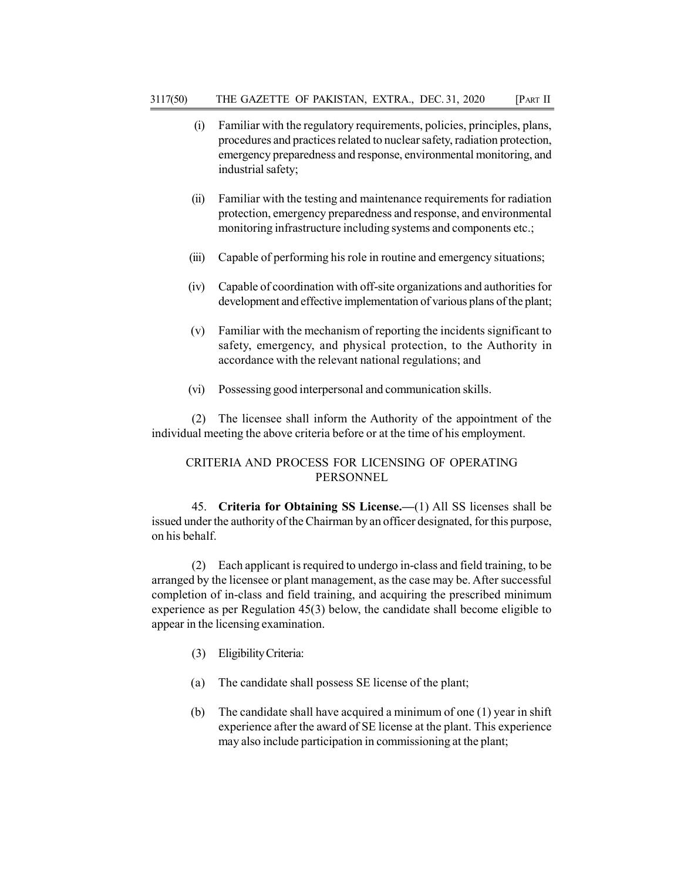- (i) Familiar with the regulatory requirements, policies, principles, plans, procedures and practices related to nuclear safety, radiation protection, emergency preparedness and response, environmental monitoring, and industrial safety;
- (ii) Familiar with the testing and maintenance requirements for radiation protection, emergency preparedness and response, and environmental monitoring infrastructure including systems and components etc.;
- (iii) Capable of performing his role in routine and emergency situations;
- (iv) Capable of coordination with off-site organizations and authorities for development and effective implementation of various plans of the plant;
- (v) Familiar with the mechanism of reporting the incidents significant to safety, emergency, and physical protection, to the Authority in accordance with the relevant national regulations; and
- (vi) Possessing good interpersonal and communication skills.

(2) The licensee shall inform the Authority of the appointment of the individual meeting the above criteria before or at the time of his employment.

# CRITERIA AND PROCESS FOR LICENSING OF OPERATING PERSONNEL

45. Criteria for Obtaining SS License.—(1) All SS licenses shall be issued under the authority of the Chairman by an officer designated, for this purpose, on his behalf.

(2) Each applicant is required to undergo in-class and field training, to be arranged by the licensee or plant management, as the case may be. After successful completion of in-class and field training, and acquiring the prescribed minimum experience as per Regulation 45(3) below, the candidate shall become eligible to appear in the licensing examination.

- (3) Eligibility Criteria:
- (a) The candidate shall possess SE license of the plant;
- (b) The candidate shall have acquired a minimum of one (1) year in shift experience after the award of SE license at the plant. This experience may also include participation in commissioning at the plant;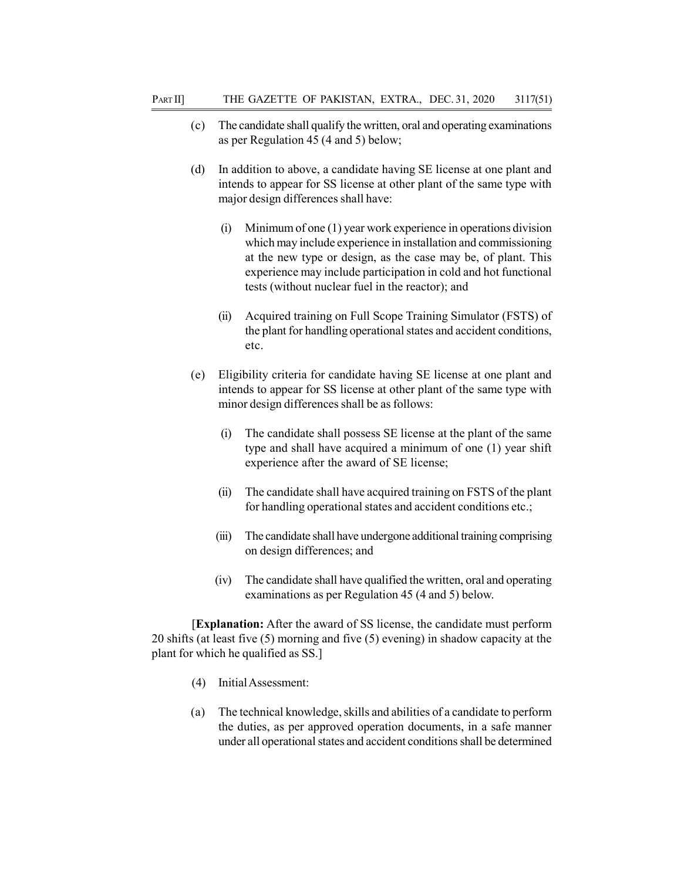- (c) The candidate shall qualify the written, oral and operating examinations as per Regulation 45 (4 and 5) below;
- (d) In addition to above, a candidate having SE license at one plant and intends to appear for SS license at other plant of the same type with major design differences shall have:
	- (i) Minimum of one (1) year work experience in operations division which may include experience in installation and commissioning at the new type or design, as the case may be, of plant. This experience may include participation in cold and hot functional tests (without nuclear fuel in the reactor); and
	- (ii) Acquired training on Full Scope Training Simulator (FSTS) of the plant for handling operational states and accident conditions, etc.
- (e) Eligibility criteria for candidate having SE license at one plant and intends to appear for SS license at other plant of the same type with minor design differences shall be as follows:
	- (i) The candidate shall possess SE license at the plant of the same type and shall have acquired a minimum of one (1) year shift experience after the award of SE license;
	- (ii) The candidate shall have acquired training on FSTS of the plant for handling operational states and accident conditions etc.;
	- (iii) The candidate shall have undergone additional training comprising on design differences; and
	- (iv) The candidate shall have qualified the written, oral and operating examinations as per Regulation 45 (4 and 5) below.

[Explanation: After the award of SS license, the candidate must perform 20 shifts (at least five (5) morning and five (5) evening) in shadow capacity at the plant for which he qualified as SS.]

- (4) Initial Assessment:
- (a) The technical knowledge, skills and abilities of a candidate to perform the duties, as per approved operation documents, in a safe manner under all operational states and accident conditions shall be determined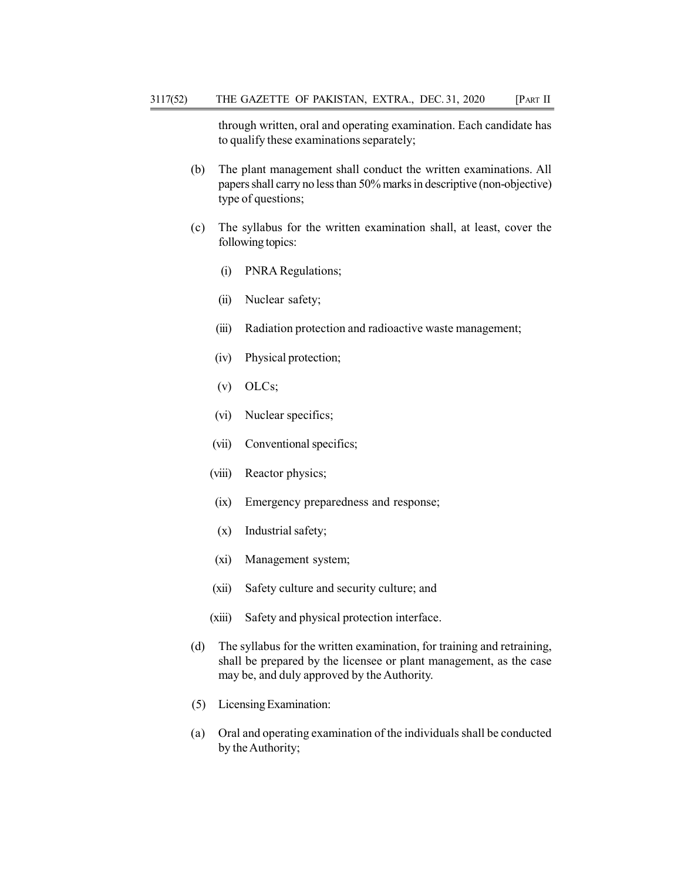through written, oral and operating examination. Each candidate has to qualify these examinations separately;

- (b) The plant management shall conduct the written examinations. All papers shall carry no less than 50% marks in descriptive (non-objective) type of questions;
- (c) The syllabus for the written examination shall, at least, cover the following topics:
	- (i) PNRA Regulations;
	- (ii) Nuclear safety;
	- (iii) Radiation protection and radioactive waste management;
	- (iv) Physical protection;
	- (v) OLCs;
	- (vi) Nuclear specifics;
	- (vii) Conventional specifics;
	- (viii) Reactor physics;
	- (ix) Emergency preparedness and response;
	- (x) Industrial safety;
	- (xi) Management system;
	- (xii) Safety culture and security culture; and
	- (xiii) Safety and physical protection interface.
- (d) The syllabus for the written examination, for training and retraining, shall be prepared by the licensee or plant management, as the case may be, and duly approved by the Authority.
- (5) Licensing Examination:
- (a) Oral and operating examination of the individuals shall be conducted by the Authority;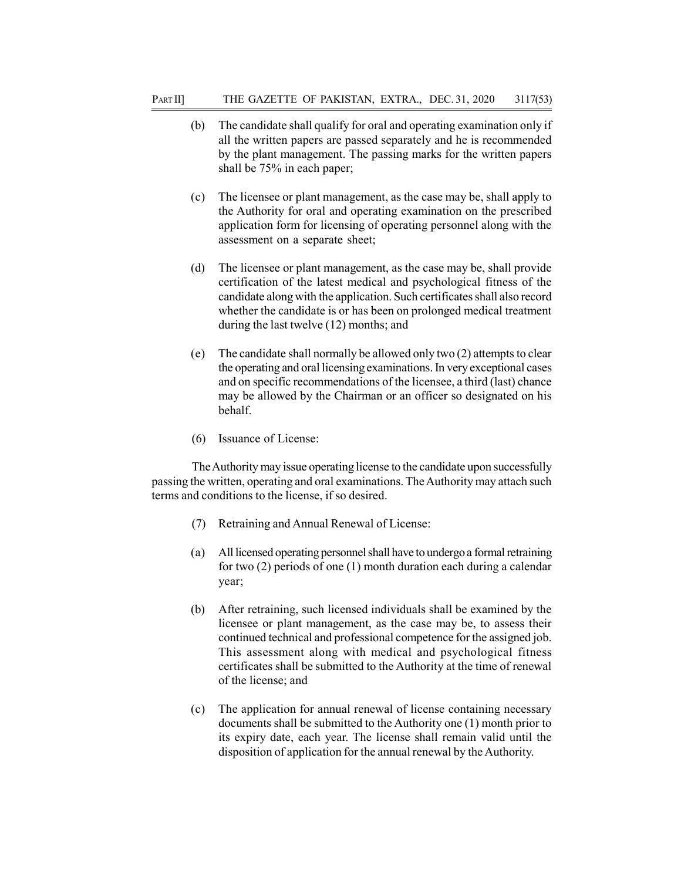- (b) The candidate shall qualify for oral and operating examination only if all the written papers are passed separately and he is recommended by the plant management. The passing marks for the written papers shall be 75% in each paper;
- (c) The licensee or plant management, as the case may be, shall apply to the Authority for oral and operating examination on the prescribed application form for licensing of operating personnel along with the assessment on a separate sheet;
- (d) The licensee or plant management, as the case may be, shall provide certification of the latest medical and psychological fitness of the candidate along with the application. Such certificates shall also record whether the candidate is or has been on prolonged medical treatment during the last twelve (12) months; and
- (e) The candidate shall normally be allowed only two (2) attempts to clear the operating and oral licensing examinations. In very exceptional cases and on specific recommendations of the licensee, a third (last) chance may be allowed by the Chairman or an officer so designated on his behalf.
- (6) Issuance of License:

The Authority may issue operating license to the candidate upon successfully passing the written, operating and oral examinations. The Authority may attach such terms and conditions to the license, if so desired.

- (7) Retraining and Annual Renewal of License:
- (a) All licensed operating personnel shall have to undergo a formal retraining for two (2) periods of one (1) month duration each during a calendar year;
- (b) After retraining, such licensed individuals shall be examined by the licensee or plant management, as the case may be, to assess their continued technical and professional competence for the assigned job. This assessment along with medical and psychological fitness certificates shall be submitted to the Authority at the time of renewal of the license; and
- (c) The application for annual renewal of license containing necessary documents shall be submitted to the Authority one (1) month prior to its expiry date, each year. The license shall remain valid until the disposition of application for the annual renewal by the Authority.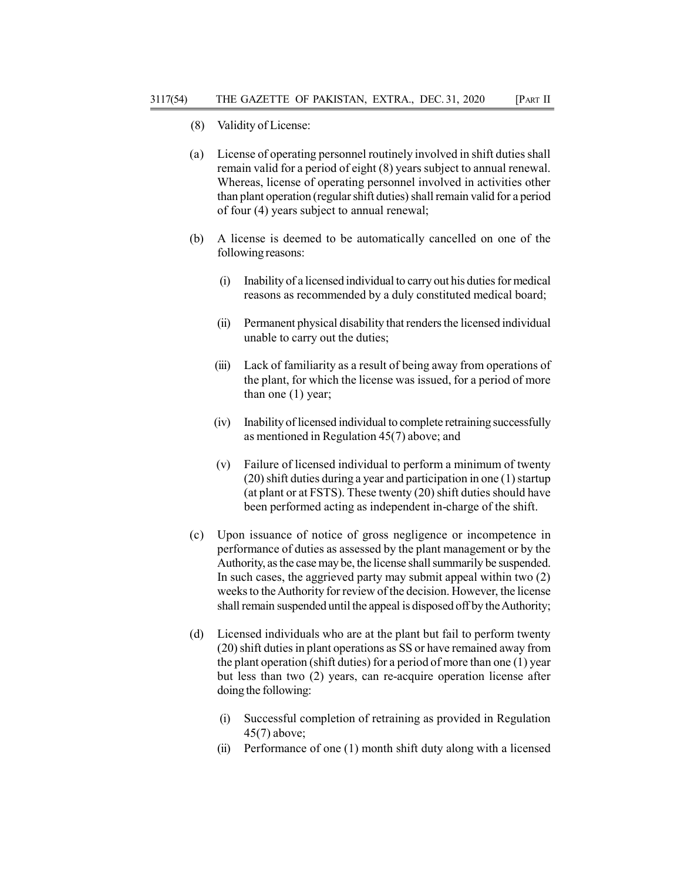- (8) Validity of License:
- (a) License of operating personnel routinely involved in shift duties shall remain valid for a period of eight (8) years subject to annual renewal. Whereas, license of operating personnel involved in activities other than plant operation (regular shift duties) shall remain valid for a period of four (4) years subject to annual renewal;
- (b) A license is deemed to be automatically cancelled on one of the following reasons:
	- (i) Inability of a licensed individual to carry out his duties for medical reasons as recommended by a duly constituted medical board;
	- (ii) Permanent physical disability that renders the licensed individual unable to carry out the duties;
	- (iii) Lack of familiarity as a result of being away from operations of the plant, for which the license was issued, for a period of more than one (1) year;
	- (iv) Inability of licensed individual to complete retraining successfully as mentioned in Regulation 45(7) above; and
	- (v) Failure of licensed individual to perform a minimum of twenty (20) shift duties during a year and participation in one (1) startup (at plant or at FSTS). These twenty (20) shift duties should have been performed acting as independent in-charge of the shift.
- (c) Upon issuance of notice of gross negligence or incompetence in performance of duties as assessed by the plant management or by the Authority, as the case may be, the license shall summarily be suspended. In such cases, the aggrieved party may submit appeal within two (2) weeks to the Authority for review of the decision. However, the license shall remain suspended until the appeal is disposed off by the Authority;
- (d) Licensed individuals who are at the plant but fail to perform twenty (20) shift duties in plant operations as SS or have remained away from the plant operation (shift duties) for a period of more than one (1) year but less than two (2) years, can re-acquire operation license after doing the following:
	- (i) Successful completion of retraining as provided in Regulation 45(7) above;
	- (ii) Performance of one (1) month shift duty along with a licensed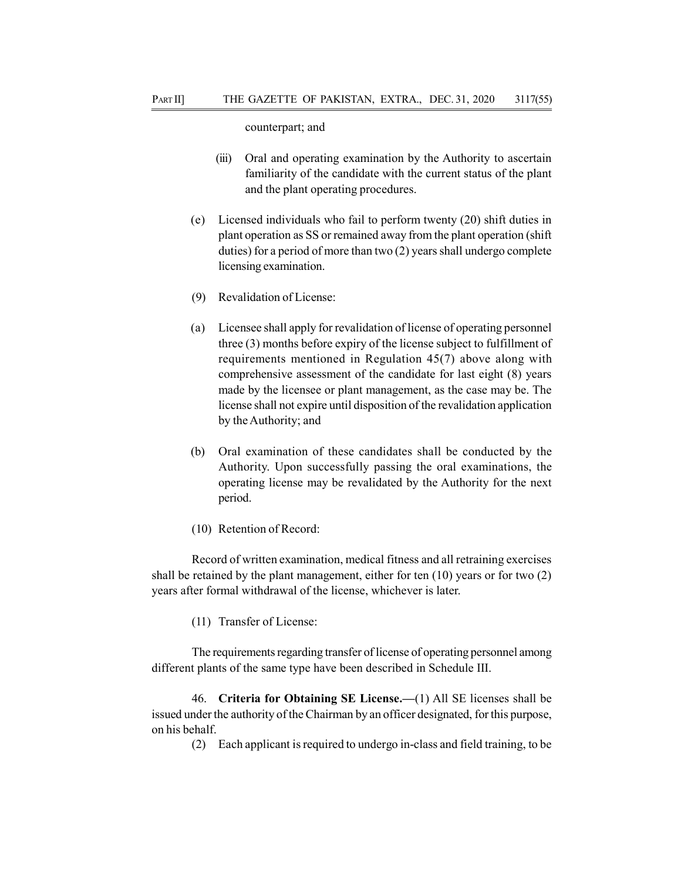counterpart; and

- (iii) Oral and operating examination by the Authority to ascertain familiarity of the candidate with the current status of the plant and the plant operating procedures.
- (e) Licensed individuals who fail to perform twenty (20) shift duties in plant operation as SS or remained away from the plant operation (shift duties) for a period of more than two (2) years shall undergo complete licensing examination.
- (9) Revalidation of License:
- (a) Licensee shall apply for revalidation of license of operating personnel three (3) months before expiry of the license subject to fulfillment of requirements mentioned in Regulation 45(7) above along with comprehensive assessment of the candidate for last eight (8) years made by the licensee or plant management, as the case may be. The license shall not expire until disposition of the revalidation application by the Authority; and
- (b) Oral examination of these candidates shall be conducted by the Authority. Upon successfully passing the oral examinations, the operating license may be revalidated by the Authority for the next period.
- (10) Retention of Record:

Record of written examination, medical fitness and all retraining exercises shall be retained by the plant management, either for ten  $(10)$  years or for two  $(2)$ years after formal withdrawal of the license, whichever is later.

(11) Transfer of License:

The requirements regarding transfer of license of operating personnel among different plants of the same type have been described in Schedule III.

46. Criteria for Obtaining SE License.—(1) All SE licenses shall be issued under the authority of the Chairman by an officer designated, for this purpose, on his behalf.

(2) Each applicant is required to undergo in-class and field training, to be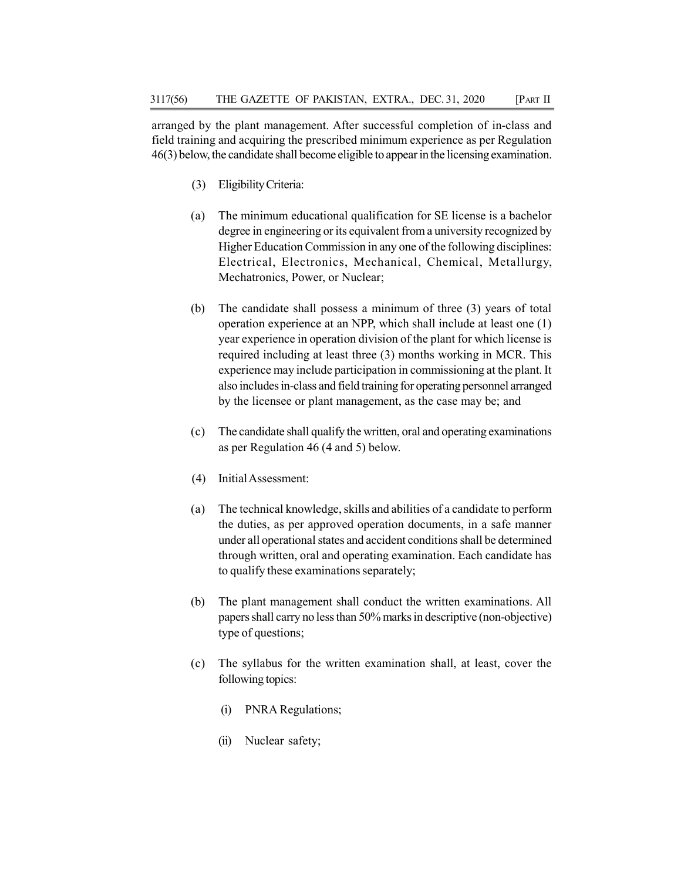arranged by the plant management. After successful completion of in-class and field training and acquiring the prescribed minimum experience as per Regulation 46(3) below, the candidate shall become eligible to appear in the licensing examination.

- (3) Eligibility Criteria:
- (a) The minimum educational qualification for SE license is a bachelor degree in engineering or its equivalent from a university recognized by Higher Education Commission in any one of the following disciplines: Electrical, Electronics, Mechanical, Chemical, Metallurgy, Mechatronics, Power, or Nuclear;
- (b) The candidate shall possess a minimum of three (3) years of total operation experience at an NPP, which shall include at least one (1) year experience in operation division of the plant for which license is required including at least three (3) months working in MCR. This experience may include participation in commissioning at the plant. It also includes in-class and field training for operating personnel arranged by the licensee or plant management, as the case may be; and
- (c) The candidate shall qualify the written, oral and operating examinations as per Regulation 46 (4 and 5) below.
- (4) Initial Assessment:
- (a) The technical knowledge, skills and abilities of a candidate to perform the duties, as per approved operation documents, in a safe manner under all operational states and accident conditions shall be determined through written, oral and operating examination. Each candidate has to qualify these examinations separately;
- (b) The plant management shall conduct the written examinations. All papers shall carry no less than 50% marks in descriptive (non-objective) type of questions;
- (c) The syllabus for the written examination shall, at least, cover the following topics:
	- (i) PNRA Regulations;
	- (ii) Nuclear safety;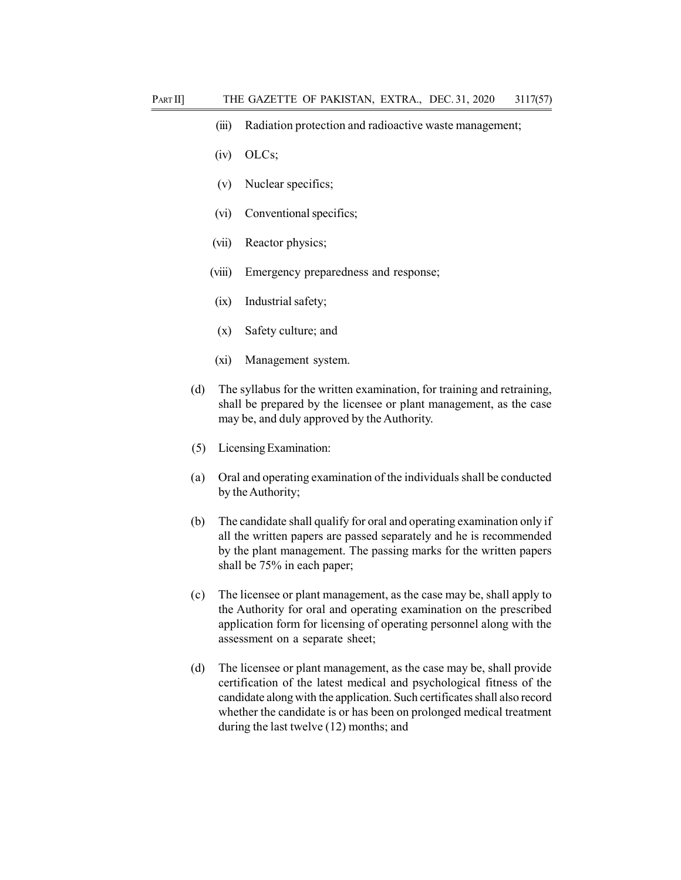- (iii) Radiation protection and radioactive waste management;
- (iv) OLCs;
- (v) Nuclear specifics;
- (vi) Conventional specifics;
- (vii) Reactor physics;
- (viii) Emergency preparedness and response;
- (ix) Industrial safety;
- (x) Safety culture; and
- (xi) Management system.
- (d) The syllabus for the written examination, for training and retraining, shall be prepared by the licensee or plant management, as the case may be, and duly approved by the Authority.
- (5) Licensing Examination:
- (a) Oral and operating examination of the individuals shall be conducted by the Authority;
- (b) The candidate shall qualify for oral and operating examination only if all the written papers are passed separately and he is recommended by the plant management. The passing marks for the written papers shall be 75% in each paper;
- (c) The licensee or plant management, as the case may be, shall apply to the Authority for oral and operating examination on the prescribed application form for licensing of operating personnel along with the assessment on a separate sheet;
- (d) The licensee or plant management, as the case may be, shall provide certification of the latest medical and psychological fitness of the candidate along with the application. Such certificates shall also record whether the candidate is or has been on prolonged medical treatment during the last twelve (12) months; and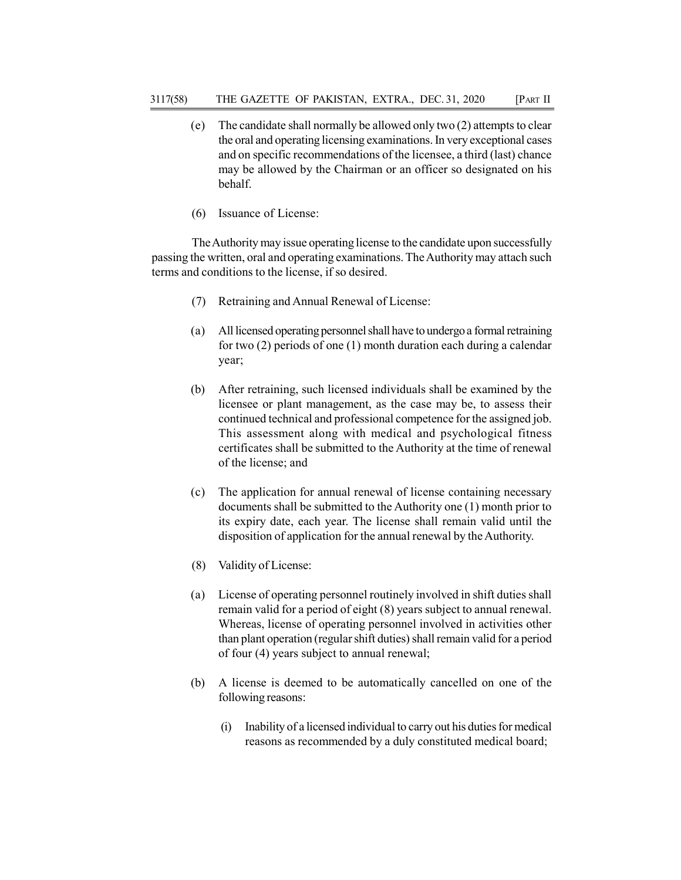- (e) The candidate shall normally be allowed only two (2) attempts to clear the oral and operating licensing examinations. In very exceptional cases and on specific recommendations of the licensee, a third (last) chance may be allowed by the Chairman or an officer so designated on his behalf.
- (6) Issuance of License:

The Authority may issue operating license to the candidate upon successfully passing the written, oral and operating examinations. The Authority may attach such terms and conditions to the license, if so desired.

- (7) Retraining and Annual Renewal of License:
- (a) All licensed operating personnel shall have to undergo a formal retraining for two (2) periods of one (1) month duration each during a calendar year;
- (b) After retraining, such licensed individuals shall be examined by the licensee or plant management, as the case may be, to assess their continued technical and professional competence for the assigned job. This assessment along with medical and psychological fitness certificates shall be submitted to the Authority at the time of renewal of the license; and
- (c) The application for annual renewal of license containing necessary documents shall be submitted to the Authority one (1) month prior to its expiry date, each year. The license shall remain valid until the disposition of application for the annual renewal by the Authority.
- (8) Validity of License:
- (a) License of operating personnel routinely involved in shift duties shall remain valid for a period of eight (8) years subject to annual renewal. Whereas, license of operating personnel involved in activities other than plant operation (regular shift duties) shall remain valid for a period of four (4) years subject to annual renewal;
- (b) A license is deemed to be automatically cancelled on one of the following reasons:
	- (i) Inability of a licensed individual to carry out his duties for medical reasons as recommended by a duly constituted medical board;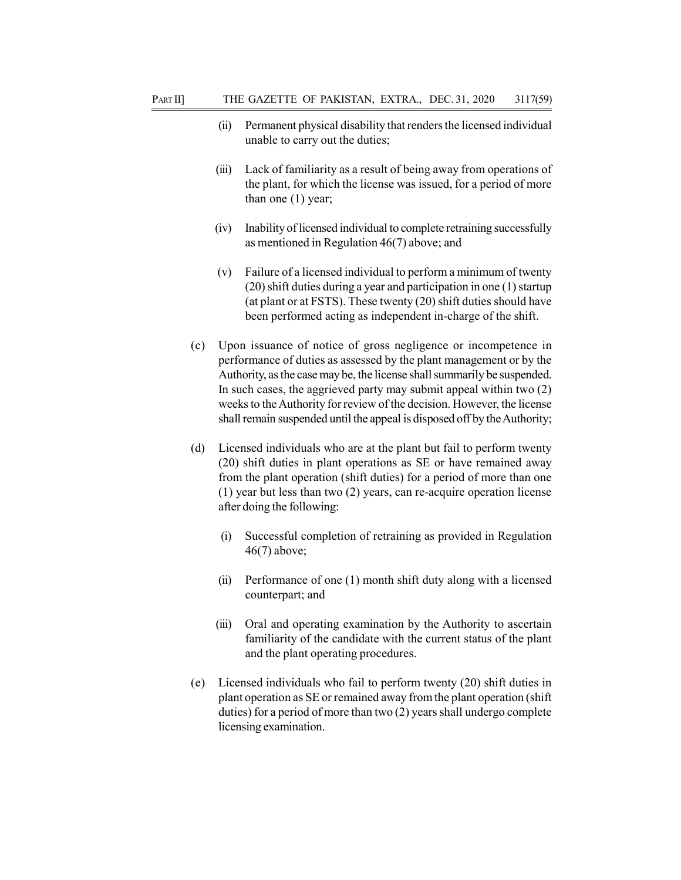- (ii) Permanent physical disability that renders the licensed individual unable to carry out the duties;
- (iii) Lack of familiarity as a result of being away from operations of the plant, for which the license was issued, for a period of more than one (1) year;
- (iv) Inability of licensed individual to complete retraining successfully as mentioned in Regulation 46(7) above; and
- (v) Failure of a licensed individual to perform a minimum of twenty (20) shift duties during a year and participation in one (1) startup (at plant or at FSTS). These twenty (20) shift duties should have been performed acting as independent in-charge of the shift.
- (c) Upon issuance of notice of gross negligence or incompetence in performance of duties as assessed by the plant management or by the Authority, as the case may be, the license shall summarily be suspended. In such cases, the aggrieved party may submit appeal within two (2) weeks to the Authority for review of the decision. However, the license shall remain suspended until the appeal is disposed off by the Authority;
- (d) Licensed individuals who are at the plant but fail to perform twenty (20) shift duties in plant operations as SE or have remained away from the plant operation (shift duties) for a period of more than one (1) year but less than two (2) years, can re-acquire operation license after doing the following:
	- (i) Successful completion of retraining as provided in Regulation 46(7) above;
	- (ii) Performance of one (1) month shift duty along with a licensed counterpart; and
	- (iii) Oral and operating examination by the Authority to ascertain familiarity of the candidate with the current status of the plant and the plant operating procedures.
- (e) Licensed individuals who fail to perform twenty (20) shift duties in plant operation as SE or remained away from the plant operation (shift duties) for a period of more than two (2) years shall undergo complete licensing examination.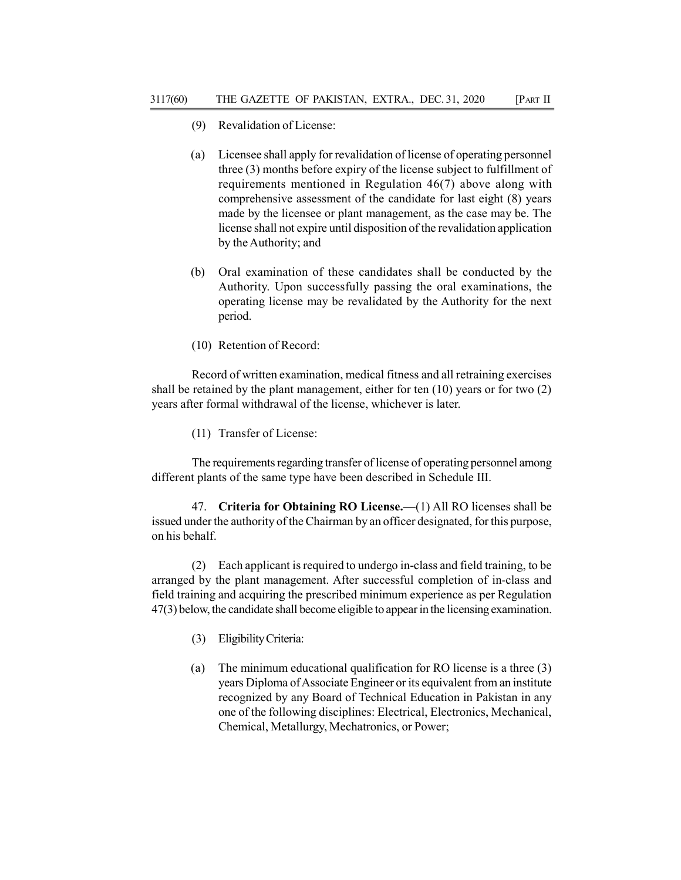- (9) Revalidation of License:
- (a) Licensee shall apply for revalidation of license of operating personnel three (3) months before expiry of the license subject to fulfillment of requirements mentioned in Regulation 46(7) above along with comprehensive assessment of the candidate for last eight (8) years made by the licensee or plant management, as the case may be. The license shall not expire until disposition of the revalidation application by the Authority; and
- (b) Oral examination of these candidates shall be conducted by the Authority. Upon successfully passing the oral examinations, the operating license may be revalidated by the Authority for the next period.
- (10) Retention of Record:

Record of written examination, medical fitness and all retraining exercises shall be retained by the plant management, either for ten (10) years or for two (2) years after formal withdrawal of the license, whichever is later.

(11) Transfer of License:

The requirements regarding transfer of license of operating personnel among different plants of the same type have been described in Schedule III.

47. Criteria for Obtaining RO License.—(1) All RO licenses shall be issued under the authority of the Chairman by an officer designated, for this purpose, on his behalf.

(2) Each applicant is required to undergo in-class and field training, to be arranged by the plant management. After successful completion of in-class and field training and acquiring the prescribed minimum experience as per Regulation 47(3) below, the candidate shall become eligible to appear in the licensing examination.

- (3) Eligibility Criteria:
- (a) The minimum educational qualification for RO license is a three (3) years Diploma of Associate Engineer or its equivalent from an institute recognized by any Board of Technical Education in Pakistan in any one of the following disciplines: Electrical, Electronics, Mechanical, Chemical, Metallurgy, Mechatronics, or Power;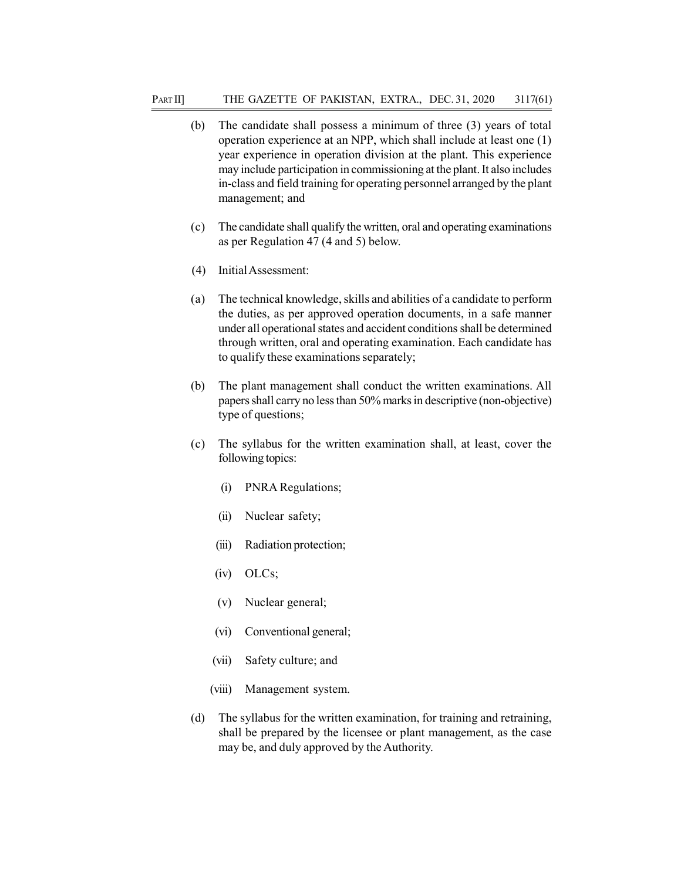- (b) The candidate shall possess a minimum of three (3) years of total operation experience at an NPP, which shall include at least one (1) year experience in operation division at the plant. This experience may include participation in commissioning at the plant. It also includes in-class and field training for operating personnel arranged by the plant management; and
- (c) The candidate shall qualify the written, oral and operating examinations as per Regulation 47 (4 and 5) below.
- (4) Initial Assessment:
- (a) The technical knowledge, skills and abilities of a candidate to perform the duties, as per approved operation documents, in a safe manner under all operational states and accident conditions shall be determined through written, oral and operating examination. Each candidate has to qualify these examinations separately;
- (b) The plant management shall conduct the written examinations. All papers shall carry no less than 50% marks in descriptive (non-objective) type of questions;
- (c) The syllabus for the written examination shall, at least, cover the following topics:
	- (i) PNRA Regulations;
	- (ii) Nuclear safety;
	- (iii) Radiation protection;
	- (iv) OLCs;
	- (v) Nuclear general;
	- (vi) Conventional general;
	- (vii) Safety culture; and
	- (viii) Management system.
- (d) The syllabus for the written examination, for training and retraining, shall be prepared by the licensee or plant management, as the case may be, and duly approved by the Authority.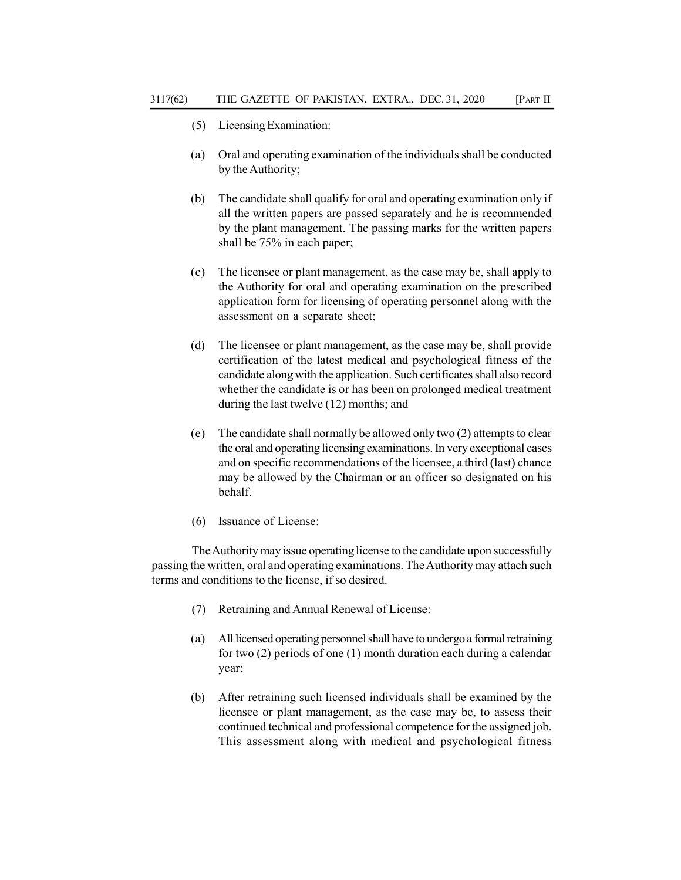- (5) Licensing Examination:
- (a) Oral and operating examination of the individuals shall be conducted by the Authority;
- (b) The candidate shall qualify for oral and operating examination only if all the written papers are passed separately and he is recommended by the plant management. The passing marks for the written papers shall be 75% in each paper;
- (c) The licensee or plant management, as the case may be, shall apply to the Authority for oral and operating examination on the prescribed application form for licensing of operating personnel along with the assessment on a separate sheet;
- (d) The licensee or plant management, as the case may be, shall provide certification of the latest medical and psychological fitness of the candidate along with the application. Such certificates shall also record whether the candidate is or has been on prolonged medical treatment during the last twelve (12) months; and
- (e) The candidate shall normally be allowed only two (2) attempts to clear the oral and operating licensing examinations. In very exceptional cases and on specific recommendations of the licensee, a third (last) chance may be allowed by the Chairman or an officer so designated on his behalf.
- (6) Issuance of License:

The Authority may issue operating license to the candidate upon successfully passing the written, oral and operating examinations. The Authority may attach such terms and conditions to the license, if so desired.

- (7) Retraining and Annual Renewal of License:
- (a) All licensed operating personnel shall have to undergo a formal retraining for two (2) periods of one (1) month duration each during a calendar year;
- (b) After retraining such licensed individuals shall be examined by the licensee or plant management, as the case may be, to assess their continued technical and professional competence for the assigned job. This assessment along with medical and psychological fitness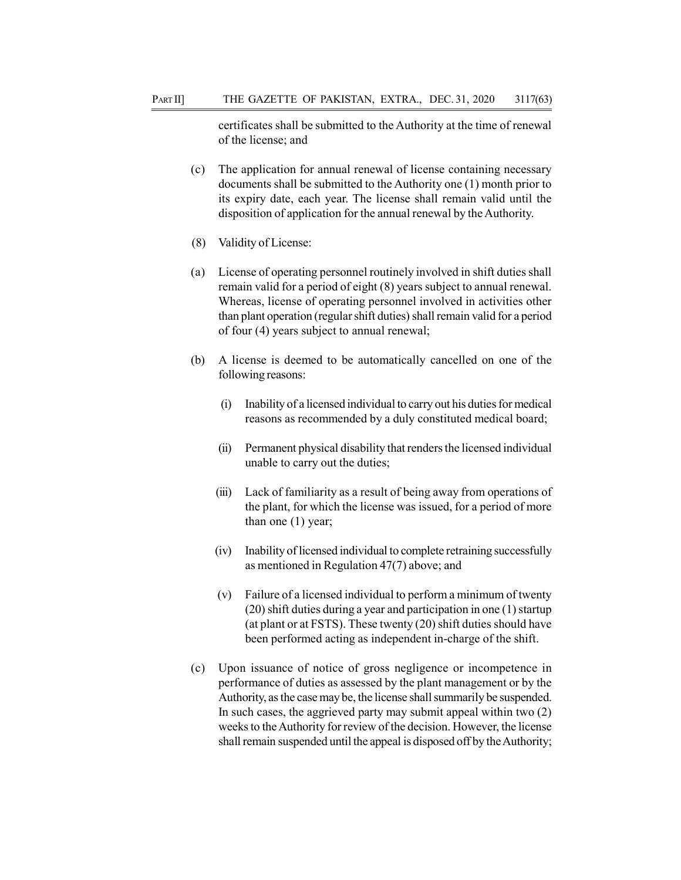certificates shall be submitted to the Authority at the time of renewal of the license; and

- (c) The application for annual renewal of license containing necessary documents shall be submitted to the Authority one (1) month prior to its expiry date, each year. The license shall remain valid until the disposition of application for the annual renewal by the Authority.
- (8) Validity of License:
- (a) License of operating personnel routinely involved in shift duties shall remain valid for a period of eight (8) years subject to annual renewal. Whereas, license of operating personnel involved in activities other than plant operation (regular shift duties) shall remain valid for a period of four (4) years subject to annual renewal;
- (b) A license is deemed to be automatically cancelled on one of the following reasons:
	- (i) Inability of a licensed individual to carry out his duties for medical reasons as recommended by a duly constituted medical board;
	- (ii) Permanent physical disability that renders the licensed individual unable to carry out the duties;
	- (iii) Lack of familiarity as a result of being away from operations of the plant, for which the license was issued, for a period of more than one (1) year;
	- (iv) Inability of licensed individual to complete retraining successfully as mentioned in Regulation 47(7) above; and
	- (v) Failure of a licensed individual to perform a minimum of twenty (20) shift duties during a year and participation in one (1) startup (at plant or at FSTS). These twenty (20) shift duties should have been performed acting as independent in-charge of the shift.
- (c) Upon issuance of notice of gross negligence or incompetence in performance of duties as assessed by the plant management or by the Authority, as the case may be, the license shall summarily be suspended. In such cases, the aggrieved party may submit appeal within two (2) weeks to the Authority for review of the decision. However, the license shall remain suspended until the appeal is disposed off by the Authority;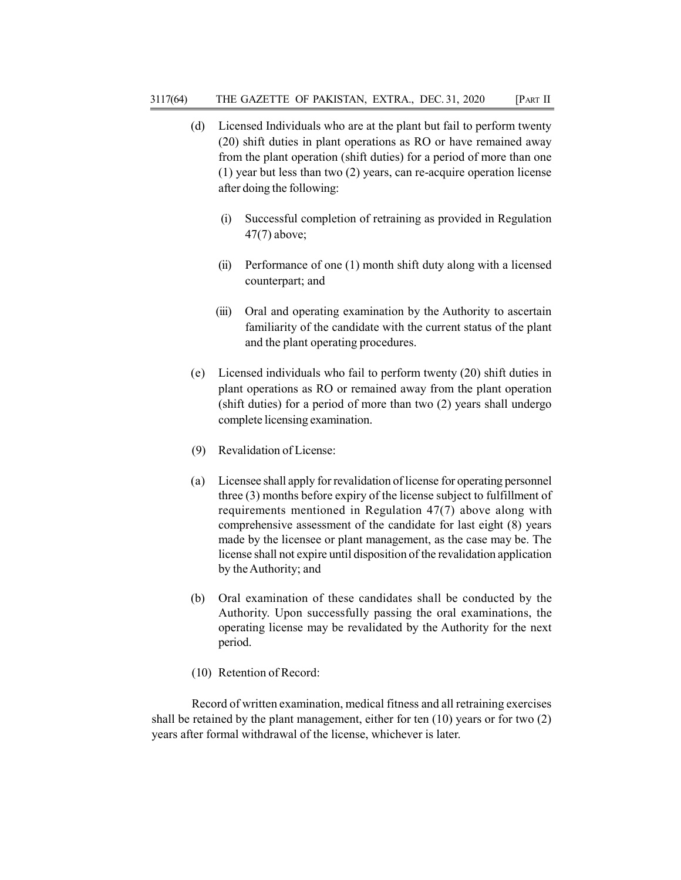- (d) Licensed Individuals who are at the plant but fail to perform twenty (20) shift duties in plant operations as RO or have remained away from the plant operation (shift duties) for a period of more than one (1) year but less than two (2) years, can re-acquire operation license after doing the following:
	- (i) Successful completion of retraining as provided in Regulation 47(7) above;
	- (ii) Performance of one (1) month shift duty along with a licensed counterpart; and
	- (iii) Oral and operating examination by the Authority to ascertain familiarity of the candidate with the current status of the plant and the plant operating procedures.
- (e) Licensed individuals who fail to perform twenty (20) shift duties in plant operations as RO or remained away from the plant operation (shift duties) for a period of more than two (2) years shall undergo complete licensing examination.
- (9) Revalidation of License:
- (a) Licensee shall apply for revalidation of license for operating personnel three (3) months before expiry of the license subject to fulfillment of requirements mentioned in Regulation 47(7) above along with comprehensive assessment of the candidate for last eight (8) years made by the licensee or plant management, as the case may be. The license shall not expire until disposition of the revalidation application by the Authority; and
- (b) Oral examination of these candidates shall be conducted by the Authority. Upon successfully passing the oral examinations, the operating license may be revalidated by the Authority for the next period.
- (10) Retention of Record:

Record of written examination, medical fitness and all retraining exercises shall be retained by the plant management, either for ten (10) years or for two (2) years after formal withdrawal of the license, whichever is later.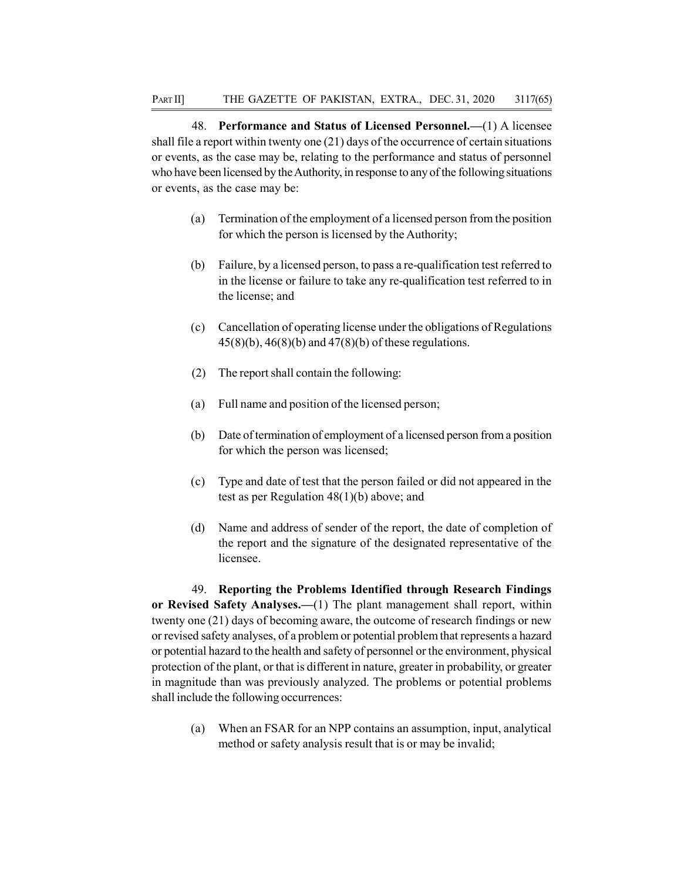48. Performance and Status of Licensed Personnel.—(1) A licensee shall file a report within twenty one (21) days of the occurrence of certain situations or events, as the case may be, relating to the performance and status of personnel who have been licensed by the Authority, in response to any of the following situations or events, as the case may be:

- (a) Termination of the employment of a licensed person from the position for which the person is licensed by the Authority;
- (b) Failure, by a licensed person, to pass a re-qualification test referred to in the license or failure to take any re-qualification test referred to in the license; and
- (c) Cancellation of operating license under the obligations of Regulations 45(8)(b), 46(8)(b) and 47(8)(b) of these regulations.
- (2) The report shall contain the following:
- (a) Full name and position of the licensed person;
- (b) Date of termination of employment of a licensed person from a position for which the person was licensed;
- (c) Type and date of test that the person failed or did not appeared in the test as per Regulation 48(1)(b) above; and
- (d) Name and address of sender of the report, the date of completion of the report and the signature of the designated representative of the licensee.

49. Reporting the Problems Identified through Research Findings or Revised Safety Analyses.—(1) The plant management shall report, within twenty one (21) days of becoming aware, the outcome of research findings or new or revised safety analyses, of a problem or potential problem that represents a hazard or potential hazard to the health and safety of personnel or the environment, physical protection of the plant, or that is different in nature, greater in probability, or greater in magnitude than was previously analyzed. The problems or potential problems shall include the following occurrences:

(a) When an FSAR for an NPP contains an assumption, input, analytical method or safety analysis result that is or may be invalid;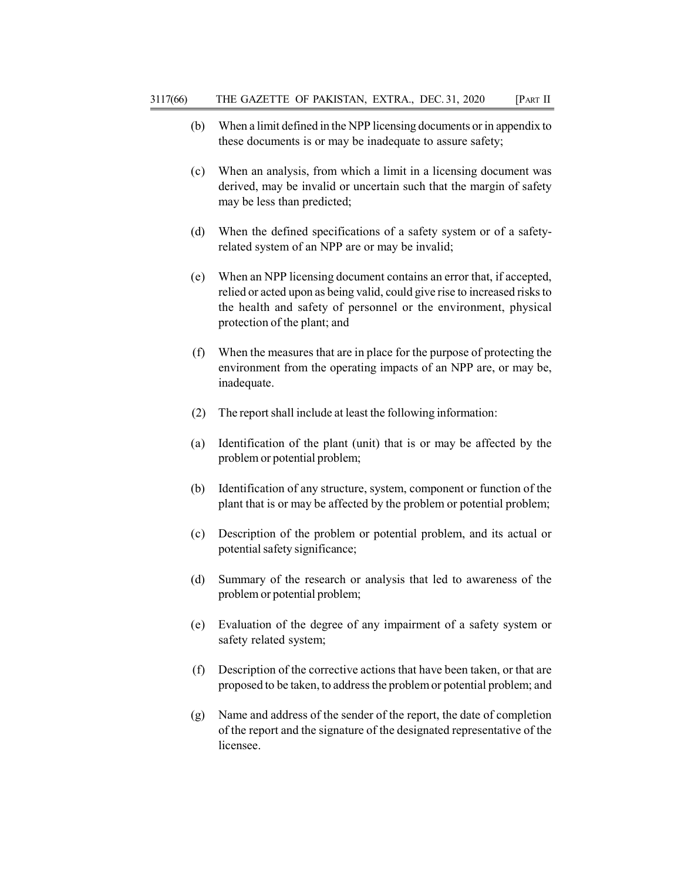- (b) When a limit defined in the NPP licensing documents or in appendix to these documents is or may be inadequate to assure safety;
- (c) When an analysis, from which a limit in a licensing document was derived, may be invalid or uncertain such that the margin of safety may be less than predicted;
- (d) When the defined specifications of a safety system or of a safetyrelated system of an NPP are or may be invalid;
- (e) When an NPP licensing document contains an error that, if accepted, relied or acted upon as being valid, could give rise to increased risks to the health and safety of personnel or the environment, physical protection of the plant; and
- (f) When the measures that are in place for the purpose of protecting the environment from the operating impacts of an NPP are, or may be, inadequate.
- (2) The report shall include at least the following information:
- (a) Identification of the plant (unit) that is or may be affected by the problem or potential problem;
- (b) Identification of any structure, system, component or function of the plant that is or may be affected by the problem or potential problem;
- (c) Description of the problem or potential problem, and its actual or potential safety significance;
- (d) Summary of the research or analysis that led to awareness of the problem or potential problem;
- (e) Evaluation of the degree of any impairment of a safety system or safety related system;
- (f) Description of the corrective actions that have been taken, or that are proposed to be taken, to address the problem or potential problem; and
- (g) Name and address of the sender of the report, the date of completion of the report and the signature of the designated representative of the licensee.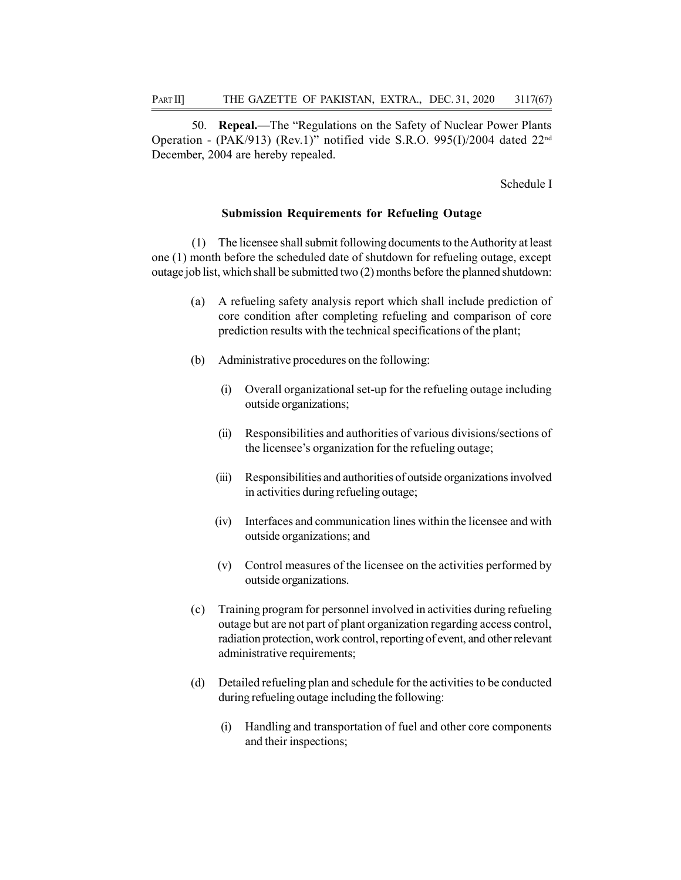50. Repeal.—The "Regulations on the Safety of Nuclear Power Plants Operation - (PAK/913) (Rev.1)" notified vide S.R.O. 995(I)/2004 dated 22nd December, 2004 are hereby repealed.

Schedule I

#### Submission Requirements for Refueling Outage

(1) The licensee shall submit following documents to the Authority at least one (1) month before the scheduled date of shutdown for refueling outage, except outage job list, which shall be submitted two (2) months before the planned shutdown:

- (a) A refueling safety analysis report which shall include prediction of core condition after completing refueling and comparison of core prediction results with the technical specifications of the plant;
- (b) Administrative procedures on the following:
	- (i) Overall organizational set-up for the refueling outage including outside organizations;
	- (ii) Responsibilities and authorities of various divisions/sections of the licensee's organization for the refueling outage;
	- (iii) Responsibilities and authorities of outside organizations involved in activities during refueling outage;
	- (iv) Interfaces and communication lines within the licensee and with outside organizations; and
	- (v) Control measures of the licensee on the activities performed by outside organizations.
- (c) Training program for personnel involved in activities during refueling outage but are not part of plant organization regarding access control, radiation protection, work control, reporting of event, and other relevant administrative requirements;
- (d) Detailed refueling plan and schedule for the activities to be conducted during refueling outage including the following:
	- (i) Handling and transportation of fuel and other core components and their inspections;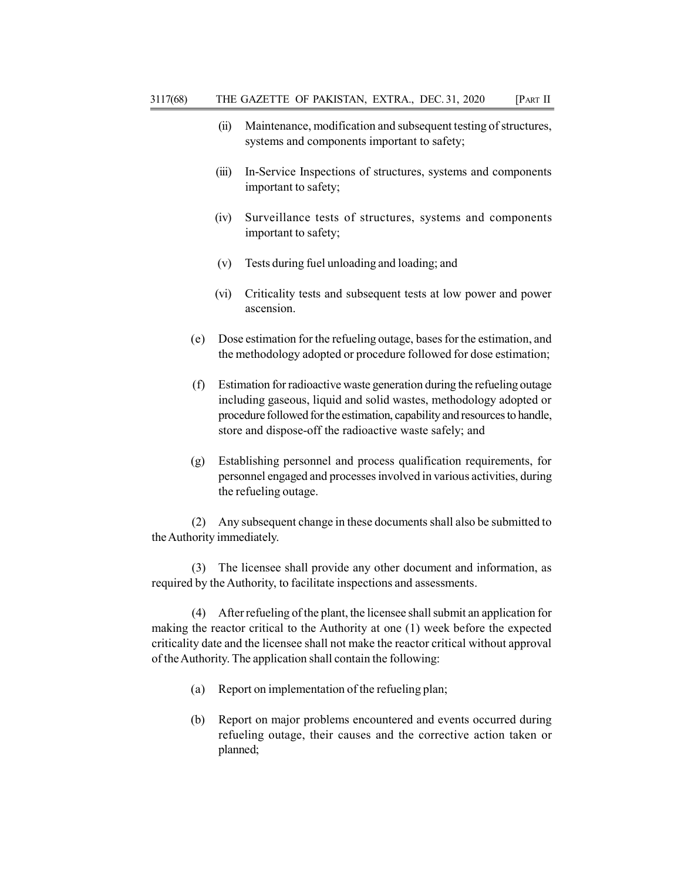- (ii) Maintenance, modification and subsequent testing of structures, systems and components important to safety;
- (iii) In-Service Inspections of structures, systems and components important to safety;
- (iv) Surveillance tests of structures, systems and components important to safety;
- (v) Tests during fuel unloading and loading; and
- (vi) Criticality tests and subsequent tests at low power and power ascension.
- (e) Dose estimation for the refueling outage, bases for the estimation, and the methodology adopted or procedure followed for dose estimation;
- (f) Estimation for radioactive waste generation during the refueling outage including gaseous, liquid and solid wastes, methodology adopted or procedure followed for the estimation, capability and resources to handle, store and dispose-off the radioactive waste safely; and
- (g) Establishing personnel and process qualification requirements, for personnel engaged and processes involved in various activities, during the refueling outage.

(2) Any subsequent change in these documents shall also be submitted to the Authority immediately.

(3) The licensee shall provide any other document and information, as required by the Authority, to facilitate inspections and assessments.

(4) After refueling of the plant, the licensee shall submit an application for making the reactor critical to the Authority at one (1) week before the expected criticality date and the licensee shall not make the reactor critical without approval of the Authority. The application shall contain the following:

- (a) Report on implementation of the refueling plan;
- (b) Report on major problems encountered and events occurred during refueling outage, their causes and the corrective action taken or planned;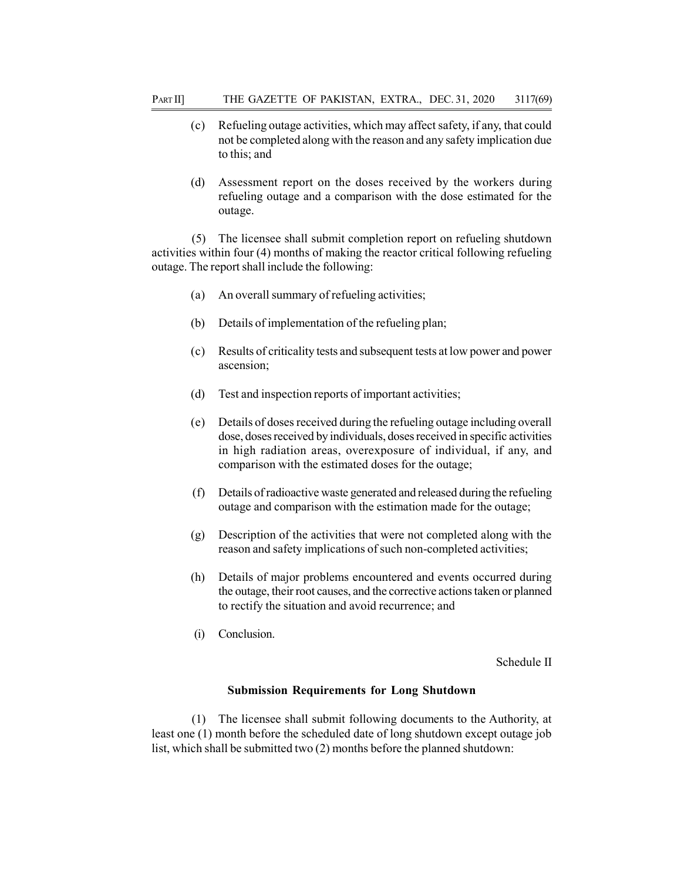- (c) Refueling outage activities, which may affect safety, if any, that could not be completed along with the reason and any safety implication due to this; and
- (d) Assessment report on the doses received by the workers during refueling outage and a comparison with the dose estimated for the outage.

(5) The licensee shall submit completion report on refueling shutdown activities within four (4) months of making the reactor critical following refueling outage. The report shall include the following:

- (a) An overall summary of refueling activities;
- (b) Details of implementation of the refueling plan;
- (c) Results of criticality tests and subsequent tests at low power and power ascension;
- (d) Test and inspection reports of important activities;
- (e) Details of doses received during the refueling outage including overall dose, doses received by individuals, doses received in specific activities in high radiation areas, overexposure of individual, if any, and comparison with the estimated doses for the outage;
- (f) Details of radioactive waste generated and released during the refueling outage and comparison with the estimation made for the outage;
- (g) Description of the activities that were not completed along with the reason and safety implications of such non-completed activities;
- (h) Details of major problems encountered and events occurred during the outage, their root causes, and the corrective actions taken or planned to rectify the situation and avoid recurrence; and
- (i) Conclusion.

Schedule II

### Submission Requirements for Long Shutdown

(1) The licensee shall submit following documents to the Authority, at least one (1) month before the scheduled date of long shutdown except outage job list, which shall be submitted two (2) months before the planned shutdown: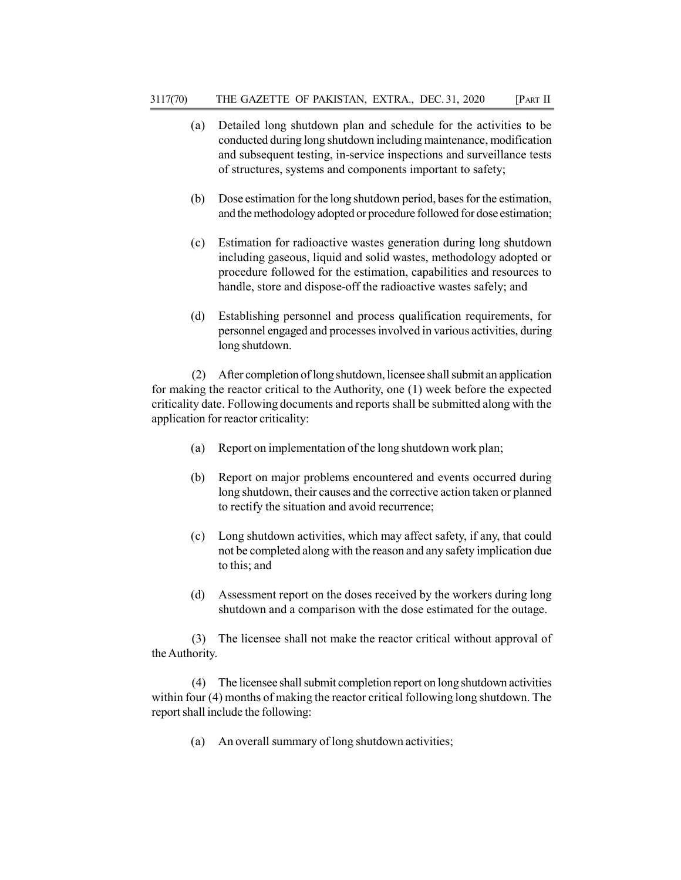- (a) Detailed long shutdown plan and schedule for the activities to be conducted during long shutdown including maintenance, modification and subsequent testing, in-service inspections and surveillance tests of structures, systems and components important to safety;
- (b) Dose estimation for the long shutdown period, bases for the estimation, and the methodology adopted or procedure followed for dose estimation;
- (c) Estimation for radioactive wastes generation during long shutdown including gaseous, liquid and solid wastes, methodology adopted or procedure followed for the estimation, capabilities and resources to handle, store and dispose-off the radioactive wastes safely; and
- (d) Establishing personnel and process qualification requirements, for personnel engaged and processes involved in various activities, during long shutdown.

(2) After completion of long shutdown, licensee shall submit an application for making the reactor critical to the Authority, one (1) week before the expected criticality date. Following documents and reports shall be submitted along with the application for reactor criticality:

- (a) Report on implementation of the long shutdown work plan;
- (b) Report on major problems encountered and events occurred during long shutdown, their causes and the corrective action taken or planned to rectify the situation and avoid recurrence;
- (c) Long shutdown activities, which may affect safety, if any, that could not be completed along with the reason and any safety implication due to this; and
- (d) Assessment report on the doses received by the workers during long shutdown and a comparison with the dose estimated for the outage.

(3) The licensee shall not make the reactor critical without approval of the Authority.

(4) The licensee shall submit completion report on long shutdown activities within four (4) months of making the reactor critical following long shutdown. The report shall include the following:

(a) An overall summary of long shutdown activities;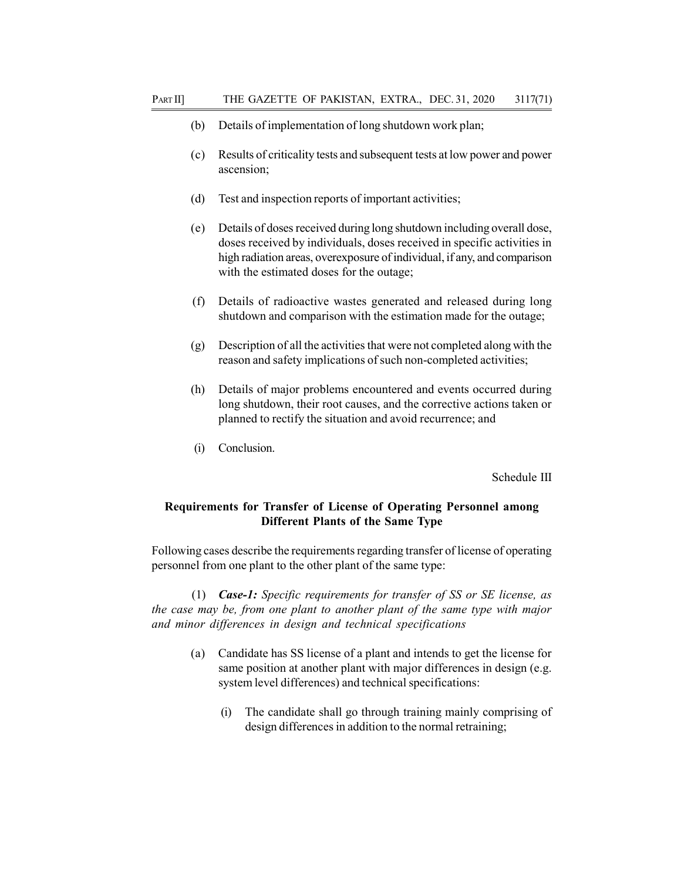- (b) Details of implementation of long shutdown work plan;
- (c) Results of criticality tests and subsequent tests at low power and power ascension;
- (d) Test and inspection reports of important activities;
- (e) Details of doses received during long shutdown including overall dose, doses received by individuals, doses received in specific activities in high radiation areas, overexposure of individual, if any, and comparison with the estimated doses for the outage;
- (f) Details of radioactive wastes generated and released during long shutdown and comparison with the estimation made for the outage;
- (g) Description of all the activities that were not completed along with the reason and safety implications of such non-completed activities;
- (h) Details of major problems encountered and events occurred during long shutdown, their root causes, and the corrective actions taken or planned to rectify the situation and avoid recurrence; and
- (i) Conclusion.

Schedule III

# Requirements for Transfer of License of Operating Personnel among Different Plants of the Same Type

Following cases describe the requirements regarding transfer of license of operating personnel from one plant to the other plant of the same type:

(1) **Case-1:** Specific requirements for transfer of SS or SE license, as the case may be, from one plant to another plant of the same type with major and minor differences in design and technical specifications

- (a) Candidate has SS license of a plant and intends to get the license for same position at another plant with major differences in design (e.g. system level differences) and technical specifications:
	- (i) The candidate shall go through training mainly comprising of design differences in addition to the normal retraining;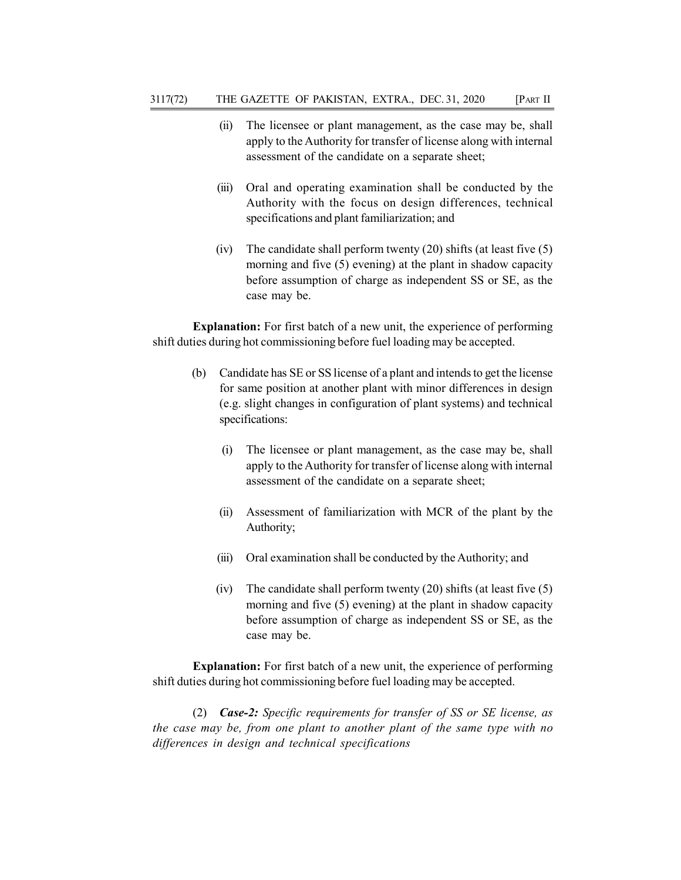- (ii) The licensee or plant management, as the case may be, shall apply to the Authority for transfer of license along with internal assessment of the candidate on a separate sheet;
- (iii) Oral and operating examination shall be conducted by the Authority with the focus on design differences, technical specifications and plant familiarization; and
- (iv) The candidate shall perform twenty (20) shifts (at least five (5) morning and five (5) evening) at the plant in shadow capacity before assumption of charge as independent SS or SE, as the case may be.

Explanation: For first batch of a new unit, the experience of performing shift duties during hot commissioning before fuel loading may be accepted.

- (b) Candidate has SE or SS license of a plant and intends to get the license for same position at another plant with minor differences in design (e.g. slight changes in configuration of plant systems) and technical specifications:
	- (i) The licensee or plant management, as the case may be, shall apply to the Authority for transfer of license along with internal assessment of the candidate on a separate sheet;
	- (ii) Assessment of familiarization with MCR of the plant by the Authority;
	- (iii) Oral examination shall be conducted by the Authority; and
	- (iv) The candidate shall perform twenty  $(20)$  shifts (at least five  $(5)$ ) morning and five (5) evening) at the plant in shadow capacity before assumption of charge as independent SS or SE, as the case may be.

Explanation: For first batch of a new unit, the experience of performing shift duties during hot commissioning before fuel loading may be accepted.

(2) Case-2: Specific requirements for transfer of SS or SE license, as the case may be, from one plant to another plant of the same type with no differences in design and technical specifications